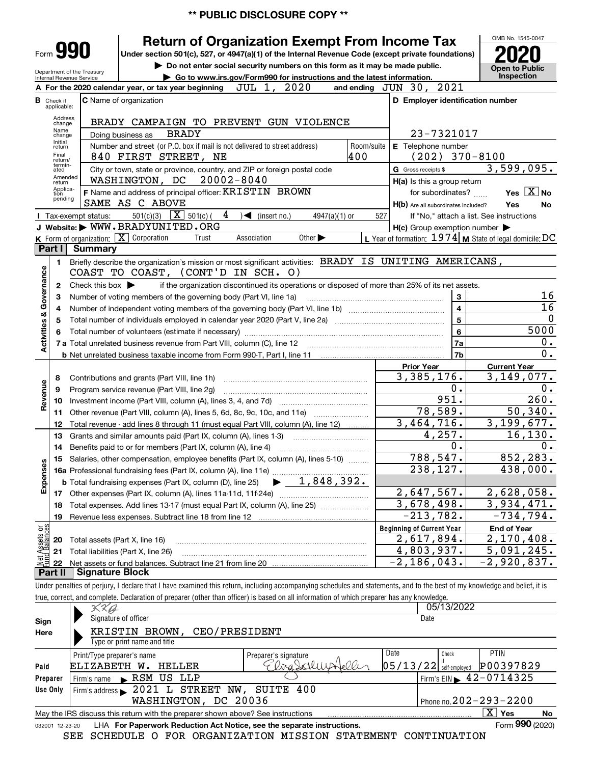# **\*\* PUBLIC DISCLOSURE COPY \*\***

|                                                                                                                                                                        |                                  |                                                        |                                                                                                                                                                               |                                                                            |                              | <b>PUBLIC DISCLOSURE COPY **</b>                                                                                                   |            |                                                                                                                                            |                                                                                                                                                                            |
|------------------------------------------------------------------------------------------------------------------------------------------------------------------------|----------------------------------|--------------------------------------------------------|-------------------------------------------------------------------------------------------------------------------------------------------------------------------------------|----------------------------------------------------------------------------|------------------------------|------------------------------------------------------------------------------------------------------------------------------------|------------|--------------------------------------------------------------------------------------------------------------------------------------------|----------------------------------------------------------------------------------------------------------------------------------------------------------------------------|
|                                                                                                                                                                        |                                  |                                                        |                                                                                                                                                                               |                                                                            |                              |                                                                                                                                    |            |                                                                                                                                            | OMB No. 1545-0047                                                                                                                                                          |
| <b>Return of Organization Exempt From Income Tax</b><br>Form 990<br>Under section 501(c), 527, or 4947(a)(1) of the Internal Revenue Code (except private foundations) |                                  |                                                        |                                                                                                                                                                               |                                                                            |                              |                                                                                                                                    |            |                                                                                                                                            |                                                                                                                                                                            |
|                                                                                                                                                                        |                                  |                                                        |                                                                                                                                                                               |                                                                            |                              | Do not enter social security numbers on this form as it may be made public.                                                        |            |                                                                                                                                            | <b>Open to Public</b>                                                                                                                                                      |
|                                                                                                                                                                        |                                  | Department of the Treasury<br>Internal Revenue Service |                                                                                                                                                                               |                                                                            |                              | Go to www.irs.gov/Form990 for instructions and the latest information.                                                             |            |                                                                                                                                            | Inspection                                                                                                                                                                 |
|                                                                                                                                                                        |                                  |                                                        |                                                                                                                                                                               | A For the 2020 calendar year, or tax year beginning                        | JUL 1,                       | 2020                                                                                                                               |            | 2021<br>and ending $JUN$ 30,                                                                                                               |                                                                                                                                                                            |
|                                                                                                                                                                        | <b>B</b> Check if<br>applicable: |                                                        | C Name of organization                                                                                                                                                        |                                                                            |                              |                                                                                                                                    |            | D Employer identification number                                                                                                           |                                                                                                                                                                            |
|                                                                                                                                                                        | Address                          |                                                        |                                                                                                                                                                               |                                                                            |                              | BRADY CAMPAIGN TO PREVENT GUN VIOLENCE                                                                                             |            |                                                                                                                                            |                                                                                                                                                                            |
|                                                                                                                                                                        | change<br>Name                   |                                                        | Doing business as                                                                                                                                                             | <b>BRADY</b>                                                               |                              |                                                                                                                                    |            | 23-7321017                                                                                                                                 |                                                                                                                                                                            |
|                                                                                                                                                                        | change<br>Initial<br>return      |                                                        |                                                                                                                                                                               | Number and street (or P.O. box if mail is not delivered to street address) |                              |                                                                                                                                    | Room/suite | E Telephone number                                                                                                                         |                                                                                                                                                                            |
|                                                                                                                                                                        | Final<br>return/                 |                                                        |                                                                                                                                                                               | 840 FIRST STREET, NE                                                       |                              |                                                                                                                                    | 400        | $(202)$ 370-8100                                                                                                                           |                                                                                                                                                                            |
|                                                                                                                                                                        | termin-<br>ated                  |                                                        |                                                                                                                                                                               | City or town, state or province, country, and ZIP or foreign postal code   |                              |                                                                                                                                    |            | G Gross receipts \$                                                                                                                        | 3,599,095.                                                                                                                                                                 |
|                                                                                                                                                                        | Amended<br>return                |                                                        | WASHINGTON, DC                                                                                                                                                                |                                                                            | $20002 - 8040$               |                                                                                                                                    |            | H(a) Is this a group return                                                                                                                |                                                                                                                                                                            |
|                                                                                                                                                                        | Applica-<br>tion                 |                                                        |                                                                                                                                                                               | F Name and address of principal officer: KRISTIN BROWN                     |                              |                                                                                                                                    |            | for subordinates?                                                                                                                          | Yes $X$ No                                                                                                                                                                 |
|                                                                                                                                                                        | pending                          |                                                        | SAME AS C ABOVE                                                                                                                                                               |                                                                            |                              |                                                                                                                                    |            | H(b) Are all subordinates included?                                                                                                        | Yes<br>No                                                                                                                                                                  |
|                                                                                                                                                                        |                                  | I Tax-exempt status:                                   |                                                                                                                                                                               | 501(c)(3) $\boxed{\mathbf{X}}$ 501(c)(                                     | $4 \rightarrow$ (insert no.) | $4947(a)(1)$ or                                                                                                                    | 527        |                                                                                                                                            | If "No," attach a list. See instructions                                                                                                                                   |
|                                                                                                                                                                        |                                  |                                                        |                                                                                                                                                                               | J Website: WWW.BRADYUNITED.ORG                                             |                              |                                                                                                                                    |            | $H(c)$ Group exemption number $\blacktriangleright$                                                                                        |                                                                                                                                                                            |
|                                                                                                                                                                        | Part I                           | <b>Summary</b>                                         | K Form of organization: X Corporation                                                                                                                                         | Trust                                                                      | Association                  | Other $\blacktriangleright$                                                                                                        |            |                                                                                                                                            | L Year of formation: $1974$ M State of legal domicile: DC                                                                                                                  |
|                                                                                                                                                                        | 1.                               |                                                        |                                                                                                                                                                               |                                                                            |                              |                                                                                                                                    |            | Briefly describe the organization's mission or most significant activities: BRADY IS UNITING AMERICANS,                                    |                                                                                                                                                                            |
|                                                                                                                                                                        |                                  |                                                        |                                                                                                                                                                               |                                                                            |                              |                                                                                                                                    |            |                                                                                                                                            |                                                                                                                                                                            |
| Governance                                                                                                                                                             | $\mathbf{2}$                     |                                                        | COAST TO COAST, (CONT'D IN SCH. O)<br>Check this box $\blacktriangleright$<br>if the organization discontinued its operations or disposed of more than 25% of its net assets. |                                                                            |                              |                                                                                                                                    |            |                                                                                                                                            |                                                                                                                                                                            |
|                                                                                                                                                                        | 3                                |                                                        |                                                                                                                                                                               | Number of voting members of the governing body (Part VI, line 1a)          |                              |                                                                                                                                    |            | 3                                                                                                                                          | 16                                                                                                                                                                         |
|                                                                                                                                                                        | 4                                | $\overline{\mathbf{4}}$                                |                                                                                                                                                                               |                                                                            |                              | $\overline{16}$                                                                                                                    |            |                                                                                                                                            |                                                                                                                                                                            |
|                                                                                                                                                                        | 5                                |                                                        |                                                                                                                                                                               |                                                                            |                              |                                                                                                                                    |            | $\overline{\mathbf{5}}$                                                                                                                    | $\mathbf 0$                                                                                                                                                                |
|                                                                                                                                                                        | 6                                |                                                        |                                                                                                                                                                               |                                                                            |                              |                                                                                                                                    |            | 6                                                                                                                                          | 5000                                                                                                                                                                       |
| Activities &                                                                                                                                                           |                                  |                                                        |                                                                                                                                                                               |                                                                            |                              |                                                                                                                                    |            | 7a                                                                                                                                         | 0.                                                                                                                                                                         |
|                                                                                                                                                                        |                                  |                                                        |                                                                                                                                                                               |                                                                            |                              |                                                                                                                                    |            | 7b                                                                                                                                         | $\overline{0}$ .                                                                                                                                                           |
|                                                                                                                                                                        |                                  |                                                        |                                                                                                                                                                               |                                                                            |                              |                                                                                                                                    |            | <b>Prior Year</b>                                                                                                                          | <b>Current Year</b>                                                                                                                                                        |
|                                                                                                                                                                        | 8                                |                                                        |                                                                                                                                                                               | Contributions and grants (Part VIII, line 1h)                              |                              |                                                                                                                                    |            | 3,385,176.                                                                                                                                 | 3,149,077.                                                                                                                                                                 |
| Revenue                                                                                                                                                                | 9                                |                                                        |                                                                                                                                                                               | Program service revenue (Part VIII, line 2g)                               |                              |                                                                                                                                    |            | 0.<br>951.                                                                                                                                 | $0$ .                                                                                                                                                                      |
|                                                                                                                                                                        | 10                               |                                                        |                                                                                                                                                                               |                                                                            |                              |                                                                                                                                    |            | 78,589.                                                                                                                                    | 260.<br>50,340.                                                                                                                                                            |
|                                                                                                                                                                        | 11                               |                                                        |                                                                                                                                                                               |                                                                            |                              | Other revenue (Part VIII, column (A), lines 5, 6d, 8c, 9c, 10c, and 11e)                                                           |            | 3,464,716.                                                                                                                                 | 3,199,677.                                                                                                                                                                 |
|                                                                                                                                                                        | 12                               |                                                        |                                                                                                                                                                               |                                                                            |                              | Total revenue - add lines 8 through 11 (must equal Part VIII, column (A), line 12)                                                 |            | 4,257.                                                                                                                                     | 16, 130.                                                                                                                                                                   |
|                                                                                                                                                                        |                                  |                                                        |                                                                                                                                                                               | 14 Benefits paid to or for members (Part IX, column (A), line 4).          |                              |                                                                                                                                    |            | $\overline{0}$ .                                                                                                                           | 0.                                                                                                                                                                         |
|                                                                                                                                                                        | 15                               |                                                        |                                                                                                                                                                               |                                                                            |                              | Salaries, other compensation, employee benefits (Part IX, column (A), lines 5-10)                                                  |            | 788, 547.                                                                                                                                  | 852,283.                                                                                                                                                                   |
|                                                                                                                                                                        |                                  |                                                        |                                                                                                                                                                               |                                                                            |                              |                                                                                                                                    |            | 238,127.                                                                                                                                   | 438,000.                                                                                                                                                                   |
| Expenses                                                                                                                                                               |                                  |                                                        |                                                                                                                                                                               | <b>b</b> Total fundraising expenses (Part IX, column (D), line 25)         |                              | $\blacktriangleright$ 1,848,392.                                                                                                   |            |                                                                                                                                            |                                                                                                                                                                            |
|                                                                                                                                                                        |                                  |                                                        |                                                                                                                                                                               |                                                                            |                              |                                                                                                                                    |            | 2,647,567.                                                                                                                                 | 2,628,058.                                                                                                                                                                 |
|                                                                                                                                                                        | 18                               |                                                        |                                                                                                                                                                               |                                                                            |                              | Total expenses. Add lines 13-17 (must equal Part IX, column (A), line 25)                                                          |            | 3,678,498.                                                                                                                                 | 3,934,471.                                                                                                                                                                 |
|                                                                                                                                                                        | 19                               |                                                        |                                                                                                                                                                               |                                                                            |                              | Revenue less expenses. Subtract line 18 from line 12 [11] [21] [21] [21] [21] Revenue less expenses. Subtract line 18 from line 12 |            | $-213,782.$                                                                                                                                | $-734, 794.$                                                                                                                                                               |
| ៦អ្ន                                                                                                                                                                   |                                  |                                                        |                                                                                                                                                                               |                                                                            |                              |                                                                                                                                    |            | <b>Beginning of Current Year</b>                                                                                                           | <b>End of Year</b>                                                                                                                                                         |
| Assets<br>1Balanc                                                                                                                                                      | 20                               | Total assets (Part X, line 16)                         |                                                                                                                                                                               |                                                                            |                              |                                                                                                                                    |            | 2,617,894.                                                                                                                                 | 2,170,408.                                                                                                                                                                 |
|                                                                                                                                                                        | 21                               |                                                        | Total liabilities (Part X, line 26)                                                                                                                                           |                                                                            |                              |                                                                                                                                    |            | 4,803,937.                                                                                                                                 | 5,091,245.                                                                                                                                                                 |
|                                                                                                                                                                        | 22                               |                                                        |                                                                                                                                                                               |                                                                            |                              |                                                                                                                                    |            | $-2, 186, 043.$                                                                                                                            | $-2,920,837.$                                                                                                                                                              |
|                                                                                                                                                                        | Part II                          | <b>Signature Block</b>                                 |                                                                                                                                                                               |                                                                            |                              |                                                                                                                                    |            |                                                                                                                                            |                                                                                                                                                                            |
|                                                                                                                                                                        |                                  |                                                        |                                                                                                                                                                               |                                                                            |                              |                                                                                                                                    |            |                                                                                                                                            | Under penalties of perjury, I declare that I have examined this return, including accompanying schedules and statements, and to the best of my knowledge and belief, it is |
|                                                                                                                                                                        |                                  |                                                        |                                                                                                                                                                               |                                                                            |                              |                                                                                                                                    |            | true, correct, and complete. Declaration of preparer (other than officer) is based on all information of which preparer has any knowledge. |                                                                                                                                                                            |

|          |                                                                                                              |                      |                          | 05/13/2022 |                                             |    |  |  |  |  |
|----------|--------------------------------------------------------------------------------------------------------------|----------------------|--------------------------|------------|---------------------------------------------|----|--|--|--|--|
| Sign     | Signature of officer                                                                                         |                      |                          | Date       |                                             |    |  |  |  |  |
| Here     | CEO/PRESIDENT<br>KRISTIN BROWN,                                                                              |                      |                          |            |                                             |    |  |  |  |  |
|          | Type or print name and title                                                                                 |                      |                          |            |                                             |    |  |  |  |  |
|          | Print/Type preparer's name                                                                                   | Preparer's signature | Date                     | Check      | <b>PTIN</b>                                 |    |  |  |  |  |
| Paid     | ELIZABETH<br>w.<br><b>HELLER</b>                                                                             | Wasch.               | $05/13/22$ self-employed |            | P00397829                                   |    |  |  |  |  |
| Preparer | RSM US LLP<br>Firm's name<br>$\blacksquare$                                                                  |                      |                          |            | Firm's EIN $\blacktriangleright$ 42-0714325 |    |  |  |  |  |
| Use Only | Firm's address > 2021 L STREET NW, SUITE 400                                                                 |                      |                          |            |                                             |    |  |  |  |  |
|          | Phone no. $202 - 293 - 2200$<br>WASHINGTON, DC 20036                                                         |                      |                          |            |                                             |    |  |  |  |  |
|          | May the IRS discuss this return with the preparer shown above? See instructions                              |                      |                          |            | $\mathbf{X}$<br>Yes                         | No |  |  |  |  |
|          | Form 990 (2020)<br>LHA For Paperwork Reduction Act Notice, see the separate instructions.<br>032001 12-23-20 |                      |                          |            |                                             |    |  |  |  |  |

SEE SCHEDULE O FOR ORGANIZATION MISSION STATEMENT CONTINUATION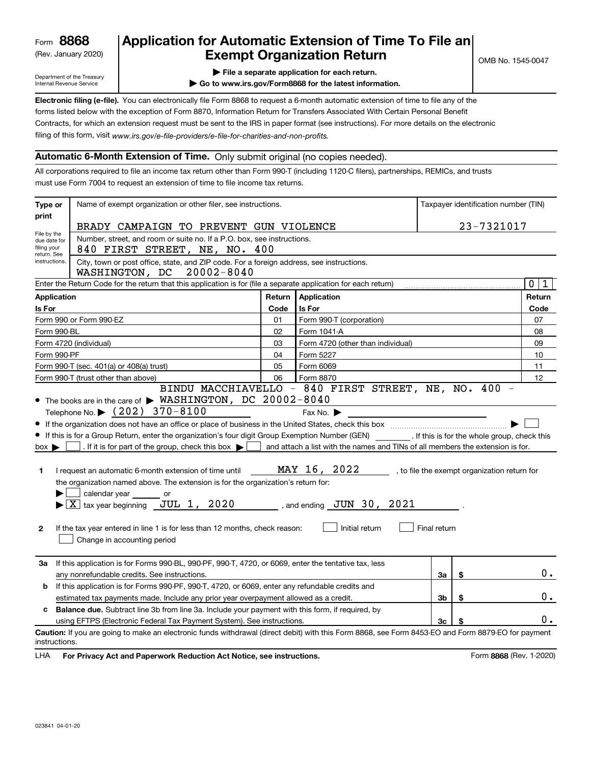# (Rev. January 2020) **Cxempt Organization Return** and the No. 1545-0047 **8868 Application for Automatic Extension of Time To File an**

Department of the Treasury Internal Revenue Service

- **| File a separate application for each return.**
- **| Go to www.irs.gov/Form8868 for the latest information.**

filing of this form, visit www.irs.gov/e-file-providers/e-file-for-charities-and-non-profits. forms listed below with the exception of Form 8870, Information Return for Transfers Associated With Certain Personal Benefit Contracts, for which an extension request must be sent to the IRS in paper format (see instructions). For more details on the electronic

## **Automatic 6-Month Extension of Time.** Only submit original (no copies needed).

All corporations required to file an income tax return other than Form 990-T (including 1120-C filers), partnerships, REMICs, and trusts must use Form 7004 to request an extension of time to file income tax returns.

| Type or                                                                                              | Name of exempt organization or other filer, see instructions.                                                                                                                                                                                                                                                                                                                                                                                                                                                                                                                                                                                                                                                        |        |                                                                                                                                                                         |              | Taxpayer identification number (TIN)         |        |  |  |
|------------------------------------------------------------------------------------------------------|----------------------------------------------------------------------------------------------------------------------------------------------------------------------------------------------------------------------------------------------------------------------------------------------------------------------------------------------------------------------------------------------------------------------------------------------------------------------------------------------------------------------------------------------------------------------------------------------------------------------------------------------------------------------------------------------------------------------|--------|-------------------------------------------------------------------------------------------------------------------------------------------------------------------------|--------------|----------------------------------------------|--------|--|--|
| print                                                                                                | BRADY CAMPAIGN TO PREVENT GUN VIOLENCE                                                                                                                                                                                                                                                                                                                                                                                                                                                                                                                                                                                                                                                                               |        |                                                                                                                                                                         |              | 23-7321017                                   |        |  |  |
| File by the<br>due date for<br>filing your<br>return. See<br>instructions.                           | Number, street, and room or suite no. If a P.O. box, see instructions.<br>840 FIRST STREET, NE, NO. 400<br>City, town or post office, state, and ZIP code. For a foreign address, see instructions.<br>WASHINGTON, DC 20002-8040                                                                                                                                                                                                                                                                                                                                                                                                                                                                                     |        |                                                                                                                                                                         |              |                                              |        |  |  |
|                                                                                                      | $\mathbf 0$<br>Enter the Return Code for the return that this application is for (file a separate application for each return)                                                                                                                                                                                                                                                                                                                                                                                                                                                                                                                                                                                       |        |                                                                                                                                                                         |              |                                              |        |  |  |
| <b>Application</b>                                                                                   |                                                                                                                                                                                                                                                                                                                                                                                                                                                                                                                                                                                                                                                                                                                      | Return | Application                                                                                                                                                             |              |                                              | Return |  |  |
| Is For                                                                                               |                                                                                                                                                                                                                                                                                                                                                                                                                                                                                                                                                                                                                                                                                                                      | Code   | Is For                                                                                                                                                                  |              |                                              | Code   |  |  |
|                                                                                                      | Form 990 or Form 990-EZ                                                                                                                                                                                                                                                                                                                                                                                                                                                                                                                                                                                                                                                                                              | 01     | Form 990-T (corporation)                                                                                                                                                | 07           |                                              |        |  |  |
| Form 990-BL                                                                                          |                                                                                                                                                                                                                                                                                                                                                                                                                                                                                                                                                                                                                                                                                                                      | 02     | Form 1041-A                                                                                                                                                             |              |                                              | 08     |  |  |
|                                                                                                      | Form 4720 (individual)                                                                                                                                                                                                                                                                                                                                                                                                                                                                                                                                                                                                                                                                                               | 03     | Form 4720 (other than individual)                                                                                                                                       |              |                                              | 09     |  |  |
| Form 990-PF                                                                                          |                                                                                                                                                                                                                                                                                                                                                                                                                                                                                                                                                                                                                                                                                                                      | 04     | Form 5227                                                                                                                                                               |              |                                              | 10     |  |  |
|                                                                                                      | Form 990-T (sec. 401(a) or 408(a) trust)                                                                                                                                                                                                                                                                                                                                                                                                                                                                                                                                                                                                                                                                             | 05     | Form 6069                                                                                                                                                               |              |                                              | 11     |  |  |
|                                                                                                      | Form 990-T (trust other than above)                                                                                                                                                                                                                                                                                                                                                                                                                                                                                                                                                                                                                                                                                  | 06     | Form 8870<br>BINDU MACCHIAVELLO - 840 FIRST STREET, NE, NO. 400 -                                                                                                       |              |                                              | 12     |  |  |
| $box \blacktriangleright$<br>1<br>$\mathbf{2}$                                                       | If the organization does not have an office or place of business in the United States, check this box manufactured uncontroller<br>If this is for a Group Return, enter the organization's four digit Group Exemption Number (GEN) [If this is for the whole group, check this<br>. If it is for part of the group, check this box $\blacktriangleright$<br>I request an automatic 6-month extension of time until<br>the organization named above. The extension is for the organization's return for:<br>calendar year or<br>$\blacktriangleright$ $\boxed{\text{X}}$ tax year beginning JUL 1, 2020<br>If the tax year entered in line 1 is for less than 12 months, check reason:<br>Change in accounting period |        | and attach a list with the names and TINs of all members the extension is for.<br>MAY 16, 2022<br>, and ending $\,$ JUN $\,$ 30 $\,$ , $\,$ 2021 $\,$<br>Initial return | Final return | , to file the exempt organization return for |        |  |  |
| За                                                                                                   | If this application is for Forms 990-BL, 990-PF, 990-T, 4720, or 6069, enter the tentative tax, less<br>any nonrefundable credits. See instructions.                                                                                                                                                                                                                                                                                                                                                                                                                                                                                                                                                                 |        |                                                                                                                                                                         | За           | \$                                           | $0$ .  |  |  |
| If this application is for Forms 990-PF, 990-T, 4720, or 6069, enter any refundable credits and<br>b |                                                                                                                                                                                                                                                                                                                                                                                                                                                                                                                                                                                                                                                                                                                      |        |                                                                                                                                                                         |              |                                              |        |  |  |
| estimated tax payments made. Include any prior year overpayment allowed as a credit.                 |                                                                                                                                                                                                                                                                                                                                                                                                                                                                                                                                                                                                                                                                                                                      |        |                                                                                                                                                                         | 3b           | \$                                           | 0.     |  |  |
| c                                                                                                    | <b>Balance due.</b> Subtract line 3b from line 3a. Include your payment with this form, if required, by                                                                                                                                                                                                                                                                                                                                                                                                                                                                                                                                                                                                              |        |                                                                                                                                                                         |              |                                              |        |  |  |
|                                                                                                      | 3c<br>using EFTPS (Electronic Federal Tax Payment System). See instructions                                                                                                                                                                                                                                                                                                                                                                                                                                                                                                                                                                                                                                          |        |                                                                                                                                                                         |              |                                              | ο.     |  |  |
| instructions.                                                                                        | Caution: If you are going to make an electronic funds withdrawal (direct debit) with this Form 8868, see Form 8453-EO and Form 8879-EO for payment                                                                                                                                                                                                                                                                                                                                                                                                                                                                                                                                                                   |        |                                                                                                                                                                         |              |                                              |        |  |  |

LHA For Privacy Act and Paperwork Reduction Act Notice, see instructions. **8868** (Rev. 1-2020) Form 8868 (Rev. 1-2020)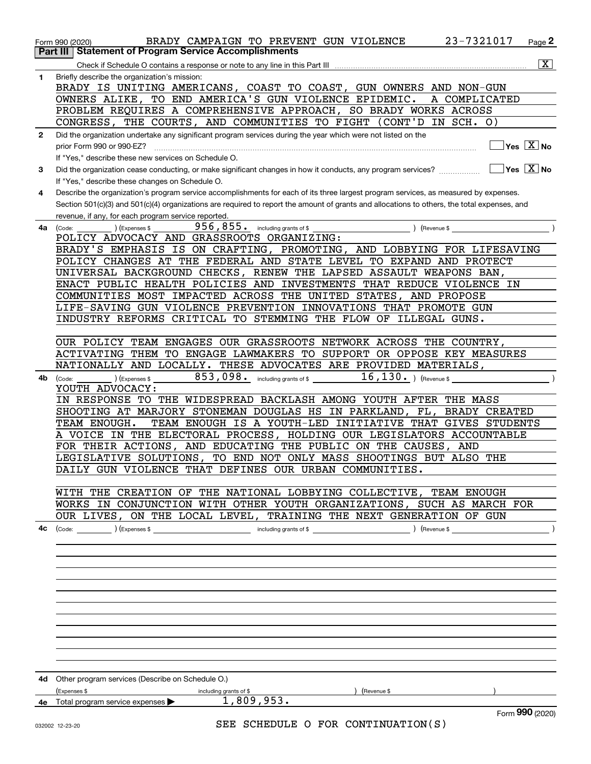|              | 23-7321017<br>BRADY CAMPAIGN TO PREVENT GUN VIOLENCE<br>Page 2<br>Form 990 (2020)                                                                                                                              |
|--------------|----------------------------------------------------------------------------------------------------------------------------------------------------------------------------------------------------------------|
|              | <b>Statement of Program Service Accomplishments</b><br>Part III                                                                                                                                                |
|              | $\overline{\mathbf{X}}$                                                                                                                                                                                        |
| 1            | Briefly describe the organization's mission:                                                                                                                                                                   |
|              | BRADY IS UNITING AMERICANS, COAST TO COAST, GUN OWNERS AND NON-GUN                                                                                                                                             |
|              | OWNERS ALIKE, TO END AMERICA'S GUN VIOLENCE EPIDEMIC.<br>A COMPLICATED                                                                                                                                         |
|              | PROBLEM REQUIRES A COMPREHENSIVE APPROACH, SO BRADY WORKS ACROSS                                                                                                                                               |
|              | CONGRESS, THE COURTS, AND COMMUNITIES TO FIGHT (CONT'D IN SCH. O)                                                                                                                                              |
| $\mathbf{2}$ | Did the organization undertake any significant program services during the year which were not listed on the<br>$Yes \ \boxed{X}$ No                                                                           |
|              | prior Form 990 or 990-EZ?                                                                                                                                                                                      |
| 3            | If "Yes," describe these new services on Schedule O.<br>$\sqrt{}$ Yes $\sqrt{}$ X $\sqrt{}$ No<br>Did the organization cease conducting, or make significant changes in how it conducts, any program services? |
|              | If "Yes," describe these changes on Schedule O.                                                                                                                                                                |
| 4            | Describe the organization's program service accomplishments for each of its three largest program services, as measured by expenses.                                                                           |
|              | Section 501(c)(3) and 501(c)(4) organizations are required to report the amount of grants and allocations to others, the total expenses, and                                                                   |
|              | revenue, if any, for each program service reported.                                                                                                                                                            |
| 4a           | $956, 855$ . including grants of \$<br>) (Expenses \$<br>Revenue \$<br>(Code:                                                                                                                                  |
|              | POLICY ADVOCACY AND GRASSROOTS ORGANIZING:                                                                                                                                                                     |
|              | BRADY'S EMPHASIS IS ON CRAFTING, PROMOTING, AND LOBBYING FOR LIFESAVING                                                                                                                                        |
|              | POLICY CHANGES AT THE FEDERAL AND STATE LEVEL TO EXPAND AND PROTECT                                                                                                                                            |
|              | UNIVERSAL BACKGROUND CHECKS, RENEW THE LAPSED ASSAULT WEAPONS BAN,                                                                                                                                             |
|              | ENACT PUBLIC HEALTH POLICIES AND INVESTMENTS THAT REDUCE VIOLENCE IN                                                                                                                                           |
|              | COMMUNITIES MOST IMPACTED ACROSS THE UNITED STATES, AND PROPOSE                                                                                                                                                |
|              | LIFE-SAVING GUN VIOLENCE PREVENTION INNOVATIONS THAT PROMOTE GUN                                                                                                                                               |
|              | INDUSTRY REFORMS CRITICAL TO STEMMING THE FLOW OF ILLEGAL GUNS.                                                                                                                                                |
|              | OUR POLICY TEAM ENGAGES OUR GRASSROOTS NETWORK ACROSS THE COUNTRY,                                                                                                                                             |
|              | ACTIVATING THEM TO ENGAGE LAWMAKERS TO SUPPORT OR OPPOSE KEY MEASURES                                                                                                                                          |
|              | NATIONALLY AND LOCALLY. THESE ADVOCATES ARE PROVIDED MATERIALS,                                                                                                                                                |
| 4b           | 853,098. including grants of \$ $16,130.$ (Revenue \$<br>(Expenses \$<br>(Code:                                                                                                                                |
|              | YOUTH ADVOCACY:                                                                                                                                                                                                |
|              | IN RESPONSE TO THE WIDESPREAD BACKLASH AMONG YOUTH AFTER THE MASS                                                                                                                                              |
|              | SHOOTING AT MARJORY STONEMAN DOUGLAS HS IN PARKLAND,<br>FL,<br>BRADY CREATED                                                                                                                                   |
|              | TEAM ENOUGH.<br>TEAM ENOUGH IS A YOUTH-LED INITIATIVE THAT GIVES STUDENTS                                                                                                                                      |
|              | A VOICE IN THE ELECTORAL PROCESS, HOLDING OUR LEGISLATORS ACCOUNTABLE                                                                                                                                          |
|              | FOR THEIR ACTIONS, AND EDUCATING THE PUBLIC ON THE CAUSES,<br>AND                                                                                                                                              |
|              | LEGISLATIVE SOLUTIONS, TO END NOT ONLY MASS SHOOTINGS BUT ALSO THE                                                                                                                                             |
|              | DAILY GUN VIOLENCE THAT DEFINES OUR URBAN COMMUNITIES.                                                                                                                                                         |
|              | WITH THE CREATION OF THE NATIONAL LOBBYING COLLECTIVE, TEAM ENOUGH                                                                                                                                             |
|              | WORKS IN CONJUNCTION WITH OTHER YOUTH ORGANIZATIONS, SUCH AS MARCH FOR                                                                                                                                         |
|              | OUR LIVES, ON THE LOCAL LEVEL, TRAINING THE NEXT GENERATION OF GUN                                                                                                                                             |
| 4с           |                                                                                                                                                                                                                |
|              |                                                                                                                                                                                                                |
|              |                                                                                                                                                                                                                |
|              |                                                                                                                                                                                                                |
|              |                                                                                                                                                                                                                |
|              |                                                                                                                                                                                                                |
|              |                                                                                                                                                                                                                |
|              |                                                                                                                                                                                                                |
|              |                                                                                                                                                                                                                |
|              |                                                                                                                                                                                                                |
|              |                                                                                                                                                                                                                |
|              |                                                                                                                                                                                                                |
|              |                                                                                                                                                                                                                |
|              | 4d Other program services (Describe on Schedule O.)                                                                                                                                                            |
|              | (Expenses \$<br>) (Revenue \$<br>including grants of \$<br>1,809,953.                                                                                                                                          |
|              | 4e Total program service expenses<br>Form 990 (2020)                                                                                                                                                           |
|              | SEE SCHEDULE O FOR CONTINUATION(S)<br>000000 10.00.00                                                                                                                                                          |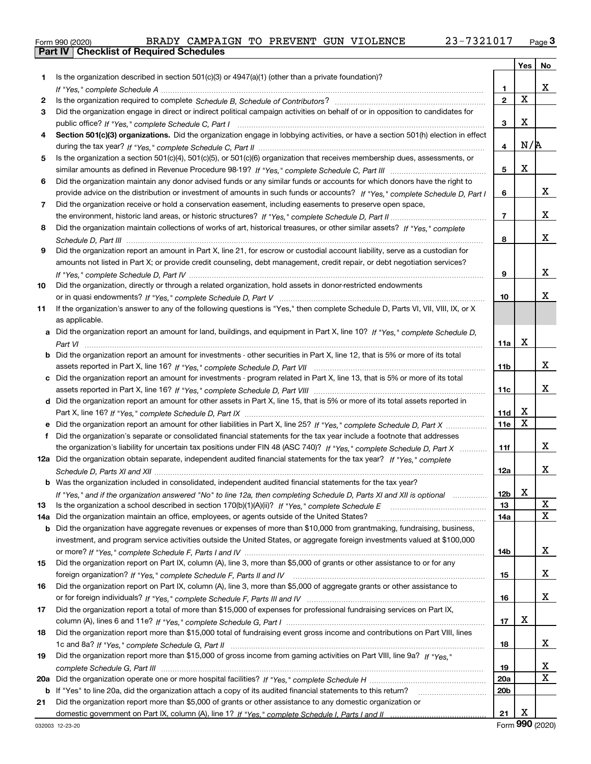|  | Form 990 (2020) |
|--|-----------------|

**Part IV Checklist of Required Schedules**

|         |                                                                                                                                                                                                                             |                 | Yes | No     |
|---------|-----------------------------------------------------------------------------------------------------------------------------------------------------------------------------------------------------------------------------|-----------------|-----|--------|
| 1.      | Is the organization described in section $501(c)(3)$ or $4947(a)(1)$ (other than a private foundation)?                                                                                                                     |                 |     |        |
|         |                                                                                                                                                                                                                             | 1               |     | X.     |
| 2       |                                                                                                                                                                                                                             | $\mathbf{2}$    | X   |        |
| 3       | Did the organization engage in direct or indirect political campaign activities on behalf of or in opposition to candidates for                                                                                             |                 |     |        |
|         |                                                                                                                                                                                                                             | 3               | х   |        |
| 4       | Section 501(c)(3) organizations. Did the organization engage in lobbying activities, or have a section 501(h) election in effect                                                                                            |                 |     |        |
|         |                                                                                                                                                                                                                             | 4               | N/R |        |
| 5       | Is the organization a section 501(c)(4), 501(c)(5), or 501(c)(6) organization that receives membership dues, assessments, or                                                                                                |                 |     |        |
|         |                                                                                                                                                                                                                             | 5               | х   |        |
| 6       | Did the organization maintain any donor advised funds or any similar funds or accounts for which donors have the right to                                                                                                   |                 |     |        |
|         | provide advice on the distribution or investment of amounts in such funds or accounts? If "Yes," complete Schedule D, Part I                                                                                                | 6               |     | X.     |
| 7       | Did the organization receive or hold a conservation easement, including easements to preserve open space,                                                                                                                   |                 |     |        |
|         |                                                                                                                                                                                                                             | 7               |     | X.     |
| 8       | Did the organization maintain collections of works of art, historical treasures, or other similar assets? If "Yes," complete                                                                                                |                 |     |        |
|         |                                                                                                                                                                                                                             | 8               |     | x      |
| 9       | Did the organization report an amount in Part X, line 21, for escrow or custodial account liability, serve as a custodian for                                                                                               |                 |     |        |
|         | amounts not listed in Part X; or provide credit counseling, debt management, credit repair, or debt negotiation services?                                                                                                   |                 |     |        |
|         |                                                                                                                                                                                                                             | 9               |     | X.     |
| 10      | Did the organization, directly or through a related organization, hold assets in donor-restricted endowments                                                                                                                |                 |     |        |
|         |                                                                                                                                                                                                                             | 10              |     | х      |
| 11      | If the organization's answer to any of the following questions is "Yes," then complete Schedule D, Parts VI, VIII, VIII, IX, or X                                                                                           |                 |     |        |
|         | as applicable.                                                                                                                                                                                                              |                 |     |        |
| a       | Did the organization report an amount for land, buildings, and equipment in Part X, line 10? If "Yes," complete Schedule D,                                                                                                 |                 |     |        |
|         |                                                                                                                                                                                                                             | 11a             | х   |        |
| b       | Did the organization report an amount for investments - other securities in Part X, line 12, that is 5% or more of its total                                                                                                |                 |     | x      |
|         |                                                                                                                                                                                                                             | 11b             |     |        |
| c       | Did the organization report an amount for investments - program related in Part X, line 13, that is 5% or more of its total                                                                                                 | 11c             |     | X.     |
|         | d Did the organization report an amount for other assets in Part X, line 15, that is 5% or more of its total assets reported in                                                                                             |                 |     |        |
|         |                                                                                                                                                                                                                             | 11d             | x   |        |
|         | Did the organization report an amount for other liabilities in Part X, line 25? If "Yes," complete Schedule D, Part X                                                                                                       | 11e             | X   |        |
| f       | Did the organization's separate or consolidated financial statements for the tax year include a footnote that addresses                                                                                                     |                 |     |        |
|         | the organization's liability for uncertain tax positions under FIN 48 (ASC 740)? If "Yes," complete Schedule D, Part X                                                                                                      | 11f             |     | X.     |
|         | 12a Did the organization obtain separate, independent audited financial statements for the tax year? If "Yes," complete                                                                                                     |                 |     |        |
|         |                                                                                                                                                                                                                             | 12a             |     | X.     |
|         | Was the organization included in consolidated, independent audited financial statements for the tax year?                                                                                                                   |                 |     |        |
|         | If "Yes," and if the organization answered "No" to line 12a, then completing Schedule D, Parts XI and XII is optional                                                                                                       | 12 <sub>b</sub> | х   |        |
| 13      | Is the organization a school described in section 170(b)(1)(A)(ii)? If "Yes," complete Schedule E                                                                                                                           | 13              |     | X      |
| 14a     | Did the organization maintain an office, employees, or agents outside of the United States?                                                                                                                                 | 14a             |     | X      |
| b       | Did the organization have aggregate revenues or expenses of more than \$10,000 from grantmaking, fundraising, business,                                                                                                     |                 |     |        |
|         | investment, and program service activities outside the United States, or aggregate foreign investments valued at \$100,000                                                                                                  |                 |     |        |
|         |                                                                                                                                                                                                                             | 14b             |     | X.     |
| 15      | Did the organization report on Part IX, column (A), line 3, more than \$5,000 of grants or other assistance to or for any                                                                                                   |                 |     |        |
|         |                                                                                                                                                                                                                             | 15              |     | X.     |
| 16      | Did the organization report on Part IX, column (A), line 3, more than \$5,000 of aggregate grants or other assistance to                                                                                                    |                 |     |        |
|         |                                                                                                                                                                                                                             | 16              |     | X.     |
| 17      | Did the organization report a total of more than \$15,000 of expenses for professional fundraising services on Part IX,                                                                                                     |                 |     |        |
|         |                                                                                                                                                                                                                             | 17              | X   |        |
| 18      | Did the organization report more than \$15,000 total of fundraising event gross income and contributions on Part VIII, lines                                                                                                |                 |     |        |
|         |                                                                                                                                                                                                                             | 18              |     | X.     |
| 19      | Did the organization report more than \$15,000 of gross income from gaming activities on Part VIII, line 9a? If "Yes."                                                                                                      |                 |     |        |
|         |                                                                                                                                                                                                                             | 19              |     | X<br>X |
| 20a     |                                                                                                                                                                                                                             | 20a<br>20b      |     |        |
| b<br>21 | If "Yes" to line 20a, did the organization attach a copy of its audited financial statements to this return?<br>Did the organization report more than \$5,000 of grants or other assistance to any domestic organization or |                 |     |        |
|         |                                                                                                                                                                                                                             | 21              | x   |        |
|         |                                                                                                                                                                                                                             |                 |     |        |

Form (2020) **990**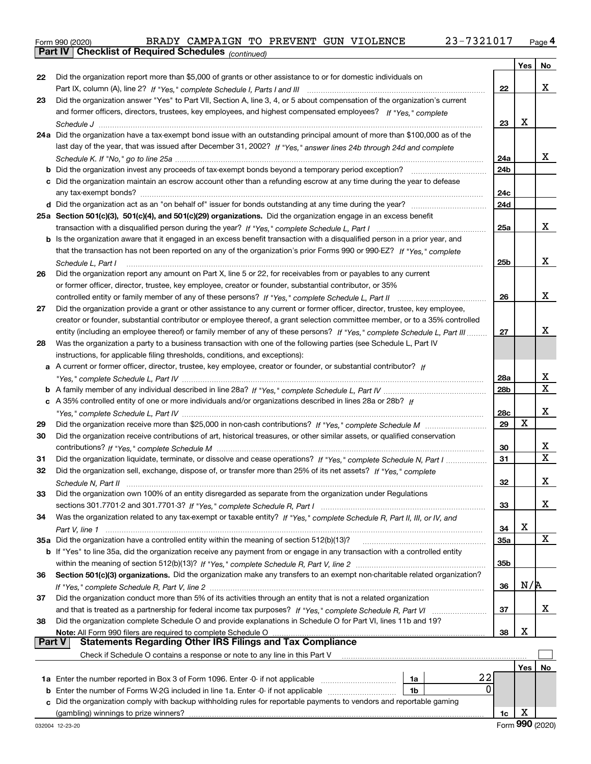|  | Form 990 (2020) |
|--|-----------------|
|  |                 |

**Part IV Checklist of Required Schedules**

*(continued)*

|               |                                                                                                                                   |                 | Yes | No |
|---------------|-----------------------------------------------------------------------------------------------------------------------------------|-----------------|-----|----|
| 22            | Did the organization report more than \$5,000 of grants or other assistance to or for domestic individuals on                     |                 |     |    |
|               |                                                                                                                                   | 22              |     | x  |
| 23            | Did the organization answer "Yes" to Part VII, Section A, line 3, 4, or 5 about compensation of the organization's current        |                 |     |    |
|               | and former officers, directors, trustees, key employees, and highest compensated employees? If "Yes," complete                    |                 |     |    |
|               |                                                                                                                                   | 23              | X   |    |
|               | 24a Did the organization have a tax-exempt bond issue with an outstanding principal amount of more than \$100,000 as of the       |                 |     |    |
|               | last day of the year, that was issued after December 31, 2002? If "Yes," answer lines 24b through 24d and complete                |                 |     |    |
|               |                                                                                                                                   | 24a             |     | x  |
|               | <b>b</b> Did the organization invest any proceeds of tax-exempt bonds beyond a temporary period exception?                        | 24 <sub>b</sub> |     |    |
|               | c Did the organization maintain an escrow account other than a refunding escrow at any time during the year to defease            |                 |     |    |
|               |                                                                                                                                   | 24c             |     |    |
|               |                                                                                                                                   | 24d             |     |    |
|               | 25a Section 501(c)(3), 501(c)(4), and 501(c)(29) organizations. Did the organization engage in an excess benefit                  |                 |     |    |
|               |                                                                                                                                   | 25a             |     | x  |
|               | b Is the organization aware that it engaged in an excess benefit transaction with a disqualified person in a prior year, and      |                 |     |    |
|               | that the transaction has not been reported on any of the organization's prior Forms 990 or 990-EZ? If "Yes," complete             |                 |     |    |
|               | Schedule L, Part I                                                                                                                | 25 <sub>b</sub> |     | x  |
| 26            | Did the organization report any amount on Part X, line 5 or 22, for receivables from or payables to any current                   |                 |     |    |
|               | or former officer, director, trustee, key employee, creator or founder, substantial contributor, or 35%                           |                 |     |    |
|               | controlled entity or family member of any of these persons? If "Yes," complete Schedule L, Part II                                | 26              |     | x  |
| 27            | Did the organization provide a grant or other assistance to any current or former officer, director, trustee, key employee,       |                 |     |    |
|               | creator or founder, substantial contributor or employee thereof, a grant selection committee member, or to a 35% controlled       |                 |     |    |
|               | entity (including an employee thereof) or family member of any of these persons? If "Yes," complete Schedule L, Part III          | 27              |     | x  |
| 28            | Was the organization a party to a business transaction with one of the following parties (see Schedule L, Part IV                 |                 |     |    |
|               | instructions, for applicable filing thresholds, conditions, and exceptions):                                                      |                 |     |    |
|               | a A current or former officer, director, trustee, key employee, creator or founder, or substantial contributor? If                |                 |     |    |
|               |                                                                                                                                   | 28a             |     | х  |
|               |                                                                                                                                   | 28 <sub>b</sub> |     | X  |
|               | c A 35% controlled entity of one or more individuals and/or organizations described in lines 28a or 28b? If                       |                 |     |    |
|               |                                                                                                                                   | 28c             |     | х  |
| 29            |                                                                                                                                   | 29              | X   |    |
| 30            | Did the organization receive contributions of art, historical treasures, or other similar assets, or qualified conservation       |                 |     |    |
|               |                                                                                                                                   | 30              |     | х  |
| 31            | Did the organization liquidate, terminate, or dissolve and cease operations? If "Yes," complete Schedule N, Part I                | 31              |     | X  |
| 32            | Did the organization sell, exchange, dispose of, or transfer more than 25% of its net assets? If "Yes," complete                  |                 |     |    |
|               |                                                                                                                                   | 32              |     | х  |
| 33            | Did the organization own 100% of an entity disregarded as separate from the organization under Regulations                        |                 |     |    |
|               |                                                                                                                                   | 33              |     | x  |
| 34            | Was the organization related to any tax-exempt or taxable entity? If "Yes," complete Schedule R, Part II, III, or IV, and         |                 |     |    |
|               |                                                                                                                                   | 34              | х   |    |
|               | 35a Did the organization have a controlled entity within the meaning of section 512(b)(13)?                                       | <b>35a</b>      |     | X  |
|               | b If "Yes" to line 35a, did the organization receive any payment from or engage in any transaction with a controlled entity       |                 |     |    |
|               |                                                                                                                                   | 35 <sub>b</sub> |     |    |
| 36            | Section 501(c)(3) organizations. Did the organization make any transfers to an exempt non-charitable related organization?        |                 |     |    |
|               |                                                                                                                                   | 36              | N/R |    |
| 37            | Did the organization conduct more than 5% of its activities through an entity that is not a related organization                  |                 |     |    |
|               |                                                                                                                                   | 37              |     | х  |
| 38            | Did the organization complete Schedule O and provide explanations in Schedule O for Part VI, lines 11b and 19?                    |                 | х   |    |
| <b>Part V</b> | Note: All Form 990 filers are required to complete Schedule O<br><b>Statements Regarding Other IRS Filings and Tax Compliance</b> | 38              |     |    |
|               | Check if Schedule O contains a response or note to any line in this Part V                                                        |                 |     |    |
|               |                                                                                                                                   |                 | Yes | No |
|               | 22<br>1a Enter the number reported in Box 3 of Form 1096. Enter -0- if not applicable<br>1a                                       |                 |     |    |
|               | 0<br><b>b</b> Enter the number of Forms W-2G included in line 1a. Enter -0- if not applicable<br>1b                               |                 |     |    |
|               | c Did the organization comply with backup withholding rules for reportable payments to vendors and reportable gaming              |                 |     |    |
|               | (gambling) winnings to prize winners?                                                                                             | 1c              | х   |    |
|               |                                                                                                                                   |                 |     |    |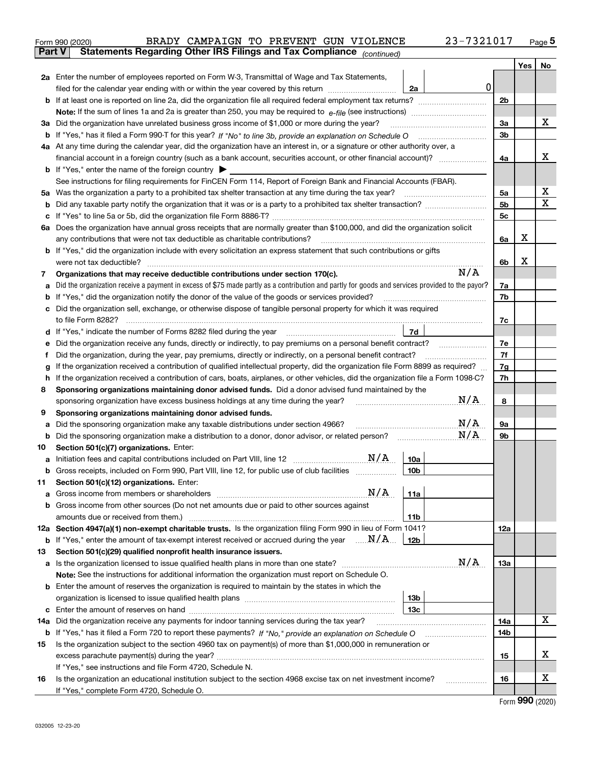|               |                                                                                                                                         | BRADY CAMPAIGN TO PREVENT GUN VIOLENCE<br>Form 990 (2020)                                                                                       |                 | 23-7321017 |                |     | Page $5$ |
|---------------|-----------------------------------------------------------------------------------------------------------------------------------------|-------------------------------------------------------------------------------------------------------------------------------------------------|-----------------|------------|----------------|-----|----------|
| <b>Part V</b> |                                                                                                                                         | Statements Regarding Other IRS Filings and Tax Compliance (continued)                                                                           |                 |            |                |     |          |
|               |                                                                                                                                         |                                                                                                                                                 |                 |            |                | Yes | No       |
|               |                                                                                                                                         | 2a Enter the number of employees reported on Form W-3, Transmittal of Wage and Tax Statements,                                                  |                 |            |                |     |          |
|               |                                                                                                                                         | filed for the calendar year ending with or within the year covered by this return                                                               | 2a              | 0          |                |     |          |
| b             |                                                                                                                                         |                                                                                                                                                 |                 |            | 2b             |     |          |
|               |                                                                                                                                         |                                                                                                                                                 |                 |            |                |     |          |
| За            |                                                                                                                                         | Did the organization have unrelated business gross income of \$1,000 or more during the year?                                                   |                 |            | 3a             |     | X        |
| b             |                                                                                                                                         |                                                                                                                                                 |                 |            |                |     |          |
|               | 4a At any time during the calendar year, did the organization have an interest in, or a signature or other authority over, a            |                                                                                                                                                 |                 |            |                |     | х        |
|               |                                                                                                                                         |                                                                                                                                                 |                 |            |                |     |          |
|               | <b>b</b> If "Yes," enter the name of the foreign country $\blacktriangleright$                                                          |                                                                                                                                                 |                 |            |                |     |          |
|               |                                                                                                                                         | See instructions for filing requirements for FinCEN Form 114, Report of Foreign Bank and Financial Accounts (FBAR).                             |                 |            |                |     |          |
| 5a            |                                                                                                                                         | Was the organization a party to a prohibited tax shelter transaction at any time during the tax year?                                           |                 |            | 5a             |     | X        |
| b             |                                                                                                                                         |                                                                                                                                                 |                 |            | 5b             |     | X        |
| с             |                                                                                                                                         |                                                                                                                                                 |                 |            | 5 <sub>c</sub> |     |          |
|               |                                                                                                                                         | 6a Does the organization have annual gross receipts that are normally greater than \$100,000, and did the organization solicit                  |                 |            |                |     |          |
|               |                                                                                                                                         | any contributions that were not tax deductible as charitable contributions?                                                                     |                 |            | 6a             | X   |          |
|               |                                                                                                                                         | <b>b</b> If "Yes," did the organization include with every solicitation an express statement that such contributions or gifts                   |                 |            |                |     |          |
|               |                                                                                                                                         | were not tax deductible?                                                                                                                        |                 |            | 6b             | х   |          |
| 7             |                                                                                                                                         | Organizations that may receive deductible contributions under section 170(c).                                                                   |                 | N/A        |                |     |          |
| а             |                                                                                                                                         | Did the organization receive a payment in excess of \$75 made partly as a contribution and partly for goods and services provided to the payor? |                 |            | 7a             |     |          |
| b             |                                                                                                                                         | If "Yes," did the organization notify the donor of the value of the goods or services provided?                                                 |                 |            | 7b             |     |          |
| c             |                                                                                                                                         | Did the organization sell, exchange, or otherwise dispose of tangible personal property for which it was required                               |                 |            |                |     |          |
|               |                                                                                                                                         |                                                                                                                                                 |                 |            | 7c             |     |          |
| d             |                                                                                                                                         |                                                                                                                                                 | 7d              |            |                |     |          |
| е             |                                                                                                                                         | Did the organization receive any funds, directly or indirectly, to pay premiums on a personal benefit contract?                                 |                 |            | 7e<br>7f       |     |          |
| f             | Did the organization, during the year, pay premiums, directly or indirectly, on a personal benefit contract?                            |                                                                                                                                                 |                 |            |                |     |          |
| g             | If the organization received a contribution of qualified intellectual property, did the organization file Form 8899 as required?        |                                                                                                                                                 |                 |            |                |     |          |
|               | If the organization received a contribution of cars, boats, airplanes, or other vehicles, did the organization file a Form 1098-C?<br>h |                                                                                                                                                 |                 |            |                |     |          |
| 8             | Sponsoring organizations maintaining donor advised funds. Did a donor advised fund maintained by the                                    |                                                                                                                                                 |                 |            |                |     |          |
|               |                                                                                                                                         | sponsoring organization have excess business holdings at any time during the year?                                                              |                 | N/A        | 8              |     |          |
| 9             |                                                                                                                                         | Sponsoring organizations maintaining donor advised funds.                                                                                       |                 |            |                |     |          |
| а             |                                                                                                                                         | Did the sponsoring organization make any taxable distributions under section 4966?                                                              |                 | N/A        | 9а             |     |          |
| b             |                                                                                                                                         | Did the sponsoring organization make a distribution to a donor, donor advisor, or related person? [[[[[[[[[[[                                   |                 | N/A        | 9b             |     |          |
| 10            |                                                                                                                                         | Section 501(c)(7) organizations. Enter:                                                                                                         |                 |            |                |     |          |
| а             |                                                                                                                                         |                                                                                                                                                 | 10a             |            |                |     |          |
|               |                                                                                                                                         | Gross receipts, included on Form 990, Part VIII, line 12, for public use of club facilities                                                     | 10 <sub>b</sub> |            |                |     |          |
| 11            |                                                                                                                                         | Section 501(c)(12) organizations. Enter:                                                                                                        |                 |            |                |     |          |
| а             |                                                                                                                                         | N/A<br>Gross income from members or shareholders                                                                                                | 11a             |            |                |     |          |
| b             |                                                                                                                                         | Gross income from other sources (Do not net amounts due or paid to other sources against                                                        |                 |            |                |     |          |
|               |                                                                                                                                         | amounts due or received from them.)                                                                                                             | 11 <sub>b</sub> |            |                |     |          |
|               |                                                                                                                                         | 12a Section 4947(a)(1) non-exempt charitable trusts. Is the organization filing Form 990 in lieu of Form 1041?                                  |                 |            | 12a            |     |          |
|               |                                                                                                                                         | <b>b</b> If "Yes," enter the amount of tax-exempt interest received or accrued during the year $\ldots \mathbf{N}/\mathbf{A}$                   | 12 <sub>b</sub> |            |                |     |          |
| 13            |                                                                                                                                         | Section 501(c)(29) qualified nonprofit health insurance issuers.                                                                                |                 | N/A        |                |     |          |
|               |                                                                                                                                         | a Is the organization licensed to issue qualified health plans in more than one state?                                                          |                 |            | <b>13a</b>     |     |          |
|               |                                                                                                                                         | Note: See the instructions for additional information the organization must report on Schedule O.                                               |                 |            |                |     |          |
|               |                                                                                                                                         | <b>b</b> Enter the amount of reserves the organization is required to maintain by the states in which the                                       |                 |            |                |     |          |
|               |                                                                                                                                         |                                                                                                                                                 | 13 <sub>b</sub> |            |                |     |          |
| с             |                                                                                                                                         |                                                                                                                                                 | 13 <sub>c</sub> |            |                |     | X        |
| 14a           |                                                                                                                                         | Did the organization receive any payments for indoor tanning services during the tax year?                                                      |                 |            | 14a            |     |          |
|               |                                                                                                                                         | <b>b</b> If "Yes," has it filed a Form 720 to report these payments? If "No," provide an explanation on Schedule O                              |                 |            | 14b            |     |          |
| 15            |                                                                                                                                         | Is the organization subject to the section 4960 tax on payment(s) of more than \$1,000,000 in remuneration or                                   |                 |            |                |     | х        |
|               |                                                                                                                                         | excess parachute payment(s) during the year?                                                                                                    |                 |            | 15             |     |          |
|               |                                                                                                                                         | If "Yes," see instructions and file Form 4720, Schedule N.                                                                                      |                 |            |                |     | х        |
| 16            |                                                                                                                                         | Is the organization an educational institution subject to the section 4968 excise tax on net investment income?                                 |                 |            | 16             |     |          |
|               |                                                                                                                                         | If "Yes," complete Form 4720, Schedule O.                                                                                                       |                 |            |                |     |          |

Form (2020) **990**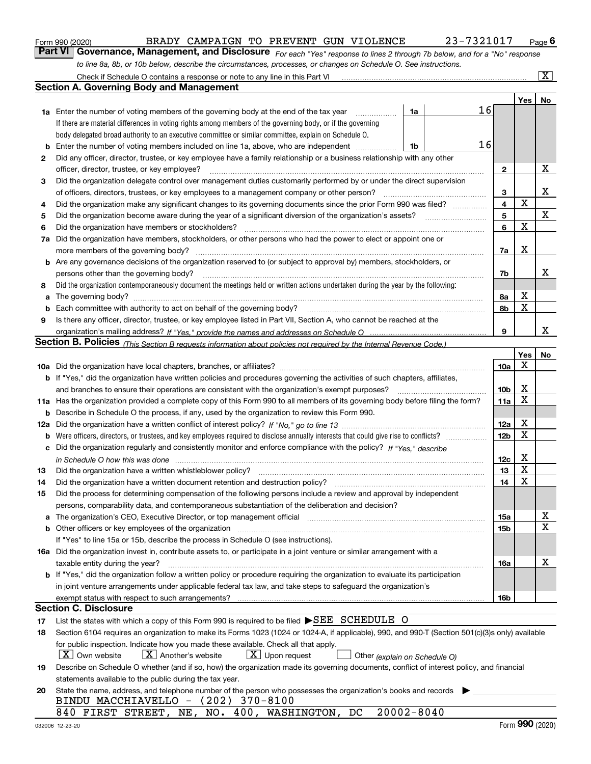|  | Form 990 (2020) |
|--|-----------------|
|  |                 |

### $_{\rm Form}$   $_{990}$   $_{(2020)}$   $_{\rm BRADY}$  CAMPAIGN TO PREVENT GUN VIOLENCE  $_{\rm 23-7321017}$   $_{\rm Page}$

**Part VI** Governance, Management, and Disclosure For each "Yes" response to lines 2 through 7b below, and for a "No" response *to line 8a, 8b, or 10b below, describe the circumstances, processes, or changes on Schedule O. See instructions.*

|    | Check if Schedule O contains a response or note to any line in this Part VI                                                                                                                                                    |                 |     | $\boxed{\text{X}}$ |
|----|--------------------------------------------------------------------------------------------------------------------------------------------------------------------------------------------------------------------------------|-----------------|-----|--------------------|
|    | <b>Section A. Governing Body and Management</b>                                                                                                                                                                                |                 |     |                    |
|    |                                                                                                                                                                                                                                |                 | Yes | No                 |
|    | 16<br>1a<br><b>1a</b> Enter the number of voting members of the governing body at the end of the tax year                                                                                                                      |                 |     |                    |
|    | If there are material differences in voting rights among members of the governing body, or if the governing                                                                                                                    |                 |     |                    |
|    | body delegated broad authority to an executive committee or similar committee, explain on Schedule O.                                                                                                                          |                 |     |                    |
| b  | 16<br>Enter the number of voting members included on line 1a, above, who are independent<br>1b                                                                                                                                 |                 |     |                    |
| 2  | Did any officer, director, trustee, or key employee have a family relationship or a business relationship with any other                                                                                                       |                 |     |                    |
|    | officer, director, trustee, or key employee?                                                                                                                                                                                   | 2               |     | х                  |
| 3  | Did the organization delegate control over management duties customarily performed by or under the direct supervision                                                                                                          |                 |     |                    |
|    | of officers, directors, trustees, or key employees to a management company or other person?                                                                                                                                    | 3               |     | х                  |
| 4  | Did the organization make any significant changes to its governing documents since the prior Form 990 was filed?                                                                                                               | 4               | X   |                    |
| 5  | Did the organization become aware during the year of a significant diversion of the organization's assets?                                                                                                                     | 5               |     | $\mathbf X$        |
| 6  | Did the organization have members or stockholders?                                                                                                                                                                             | 6               | X   |                    |
| 7a | Did the organization have members, stockholders, or other persons who had the power to elect or appoint one or                                                                                                                 |                 |     |                    |
|    | more members of the governing body?                                                                                                                                                                                            | 7a              | х   |                    |
|    | <b>b</b> Are any governance decisions of the organization reserved to (or subject to approval by) members, stockholders, or                                                                                                    |                 |     |                    |
|    | persons other than the governing body?                                                                                                                                                                                         | 7b              |     | x                  |
| 8  | Did the organization contemporaneously document the meetings held or written actions undertaken during the year by the following:                                                                                              |                 |     |                    |
| a  |                                                                                                                                                                                                                                | 8a              | х   |                    |
| b  | Each committee with authority to act on behalf of the governing body?                                                                                                                                                          | 8b              | X   |                    |
| 9  | Is there any officer, director, trustee, or key employee listed in Part VII, Section A, who cannot be reached at the                                                                                                           |                 |     |                    |
|    |                                                                                                                                                                                                                                | 9               |     | x                  |
|    | Section B. Policies <sub>(This Section B requests information about policies not required by the Internal Revenue Code.)</sub>                                                                                                 |                 |     |                    |
|    |                                                                                                                                                                                                                                |                 | Yes | No                 |
|    |                                                                                                                                                                                                                                | <b>10a</b>      | х   |                    |
|    | b If "Yes," did the organization have written policies and procedures governing the activities of such chapters, affiliates,                                                                                                   |                 |     |                    |
|    | and branches to ensure their operations are consistent with the organization's exempt purposes?                                                                                                                                | 10 <sub>b</sub> | х   |                    |
|    | 11a Has the organization provided a complete copy of this Form 990 to all members of its governing body before filing the form?                                                                                                | <b>11a</b>      | х   |                    |
|    | <b>b</b> Describe in Schedule O the process, if any, used by the organization to review this Form 990.                                                                                                                         |                 |     |                    |
|    |                                                                                                                                                                                                                                | 12a             | х   |                    |
|    |                                                                                                                                                                                                                                | 12 <sub>b</sub> | х   |                    |
|    | c Did the organization regularly and consistently monitor and enforce compliance with the policy? If "Yes," describe                                                                                                           |                 |     |                    |
|    | in Schedule O how this was done measured and continuum control of the control of the state of the control of t                                                                                                                 | 12c             | х   |                    |
| 13 | Did the organization have a written whistleblower policy?                                                                                                                                                                      | 13              | х   |                    |
| 14 | Did the organization have a written document retention and destruction policy?                                                                                                                                                 | 14              | X   |                    |
| 15 | Did the process for determining compensation of the following persons include a review and approval by independent                                                                                                             |                 |     |                    |
|    | persons, comparability data, and contemporaneous substantiation of the deliberation and decision?                                                                                                                              |                 |     |                    |
|    | a The organization's CEO, Executive Director, or top management official manufactured content content of the organization's CEO, Executive Director, or top management official manufactured content of the state of the state | 15a             |     | x                  |
|    | b Other officers or key employees of the organization manufactured content to the organization of the organization manufactured content of the organization manufactured content of the organization manufactured content of t | 15b             |     | х                  |
|    | If "Yes" to line 15a or 15b, describe the process in Schedule O (see instructions).                                                                                                                                            |                 |     |                    |
|    | 16a Did the organization invest in, contribute assets to, or participate in a joint venture or similar arrangement with a                                                                                                      |                 |     |                    |
|    | taxable entity during the year?                                                                                                                                                                                                | 16a             |     | х                  |
|    | b If "Yes," did the organization follow a written policy or procedure requiring the organization to evaluate its participation                                                                                                 |                 |     |                    |
|    | in joint venture arrangements under applicable federal tax law, and take steps to safeguard the organization's                                                                                                                 |                 |     |                    |
|    |                                                                                                                                                                                                                                | 16b             |     |                    |
|    | <b>Section C. Disclosure</b>                                                                                                                                                                                                   |                 |     |                    |
| 17 | List the states with which a copy of this Form 990 is required to be filed ▶SEE SCHEDULE O                                                                                                                                     |                 |     |                    |
| 18 | Section 6104 requires an organization to make its Forms 1023 (1024 or 1024-A, if applicable), 990, and 990-T (Section 501(c)(3)s only) available                                                                               |                 |     |                    |
|    | for public inspection. Indicate how you made these available. Check all that apply.                                                                                                                                            |                 |     |                    |
|    | $X$ Own website<br>$X$ Another's website<br>$X$ Upon request<br>Other (explain on Schedule O)                                                                                                                                  |                 |     |                    |
| 19 | Describe on Schedule O whether (and if so, how) the organization made its governing documents, conflict of interest policy, and financial                                                                                      |                 |     |                    |
|    | statements available to the public during the tax year.                                                                                                                                                                        |                 |     |                    |
| 20 | State the name, address, and telephone number of the person who possesses the organization's books and records                                                                                                                 |                 |     |                    |
|    | BINDU MACCHIAVELLO - (202) 370-8100                                                                                                                                                                                            |                 |     |                    |
|    | $20002 - 8040$<br>840 FIRST STREET, NE, NO. 400, WASHINGTON, DC                                                                                                                                                                |                 |     |                    |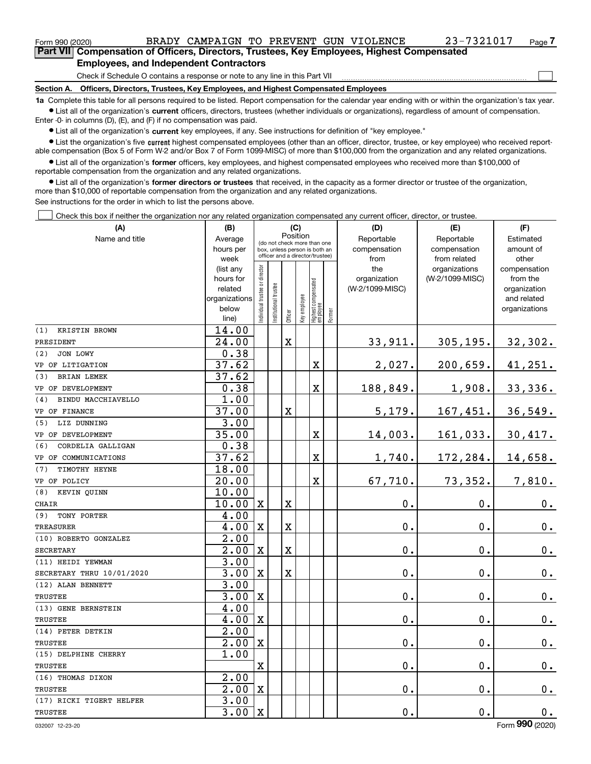$\begin{array}{c} \hline \end{array}$ 

| Part VII Compensation of Officers, Directors, Trustees, Key Employees, Highest Compensated |  |  |  |
|--------------------------------------------------------------------------------------------|--|--|--|
| <b>Employees, and Independent Contractors</b>                                              |  |  |  |

Check if Schedule O contains a response or note to any line in this Part VII

**Section A. Officers, Directors, Trustees, Key Employees, and Highest Compensated Employees**

**1a**  Complete this table for all persons required to be listed. Report compensation for the calendar year ending with or within the organization's tax year. **•** List all of the organization's current officers, directors, trustees (whether individuals or organizations), regardless of amount of compensation.

Enter -0- in columns (D), (E), and (F) if no compensation was paid.

**•** List all of the organization's current key employees, if any. See instructions for definition of "key employee."

**•** List the organization's five current highest compensated employees (other than an officer, director, trustee, or key employee) who received reportable compensation (Box 5 of Form W-2 and/or Box 7 of Form 1099-MISC) of more than \$100,000 from the organization and any related organizations.

 $\bullet$  List all of the organization's former officers, key employees, and highest compensated employees who received more than \$100,000 of reportable compensation from the organization and any related organizations.

**•** List all of the organization's former directors or trustees that received, in the capacity as a former director or trustee of the organization, more than \$10,000 of reportable compensation from the organization and any related organizations.

See instructions for the order in which to list the persons above.

Check this box if neither the organization nor any related organization compensated any current officer, director, or trustee.  $\Box$ 

| (A)                       | (B)                    |                                         |                                                                  | (C)         |              |                                  |           | (D)                             | (E)                              | (F)                      |
|---------------------------|------------------------|-----------------------------------------|------------------------------------------------------------------|-------------|--------------|----------------------------------|-----------|---------------------------------|----------------------------------|--------------------------|
| Name and title            | Average                | Position<br>(do not check more than one |                                                                  | Reportable  | Reportable   | Estimated                        |           |                                 |                                  |                          |
|                           | hours per              |                                         | box, unless person is both an<br>officer and a director/trustee) |             | compensation | compensation                     | amount of |                                 |                                  |                          |
|                           | week                   |                                         |                                                                  |             |              |                                  |           | from                            | from related                     | other                    |
|                           | (list any<br>hours for |                                         |                                                                  |             |              |                                  |           | the                             | organizations<br>(W-2/1099-MISC) | compensation<br>from the |
|                           | related                |                                         |                                                                  |             |              |                                  |           | organization<br>(W-2/1099-MISC) |                                  | organization             |
|                           | organizations          |                                         |                                                                  |             |              |                                  |           |                                 |                                  | and related              |
|                           | below                  | ndividual trustee or director           |                                                                  |             |              |                                  |           |                                 |                                  | organizations            |
|                           | line)                  |                                         | nstitutional trustee                                             | Officer     | Key employee | Highest compensated<br> employee | Former    |                                 |                                  |                          |
| (1)<br>KRISTIN BROWN      | 14.00                  |                                         |                                                                  |             |              |                                  |           |                                 |                                  |                          |
| PRESIDENT                 | 24.00                  |                                         |                                                                  | $\mathbf X$ |              |                                  |           | 33,911.                         | 305, 195.                        | 32,302.                  |
| (2)<br>JON LOWY           | 0.38                   |                                         |                                                                  |             |              |                                  |           |                                 |                                  |                          |
| VP OF LITIGATION          | 37.62                  |                                         |                                                                  |             |              | X                                |           | 2,027.                          | 200,659.                         | 41,251.                  |
| <b>BRIAN LEMEK</b><br>(3) | 37.62                  |                                         |                                                                  |             |              |                                  |           |                                 |                                  |                          |
| VP OF DEVELOPMENT         | 0.38                   |                                         |                                                                  |             |              | X                                |           | 188,849.                        | 1,908.                           | 33,336.                  |
| BINDU MACCHIAVELLO<br>(4) | 1.00                   |                                         |                                                                  |             |              |                                  |           |                                 |                                  |                          |
| VP OF FINANCE             | 37.00                  |                                         |                                                                  | $\mathbf X$ |              |                                  |           | 5,179.                          | 167,451.                         | 36,549.                  |
| LIZ DUNNING<br>(5)        | 3.00                   |                                         |                                                                  |             |              |                                  |           |                                 |                                  |                          |
| VP OF DEVELOPMENT         | 35.00                  |                                         |                                                                  |             |              | X                                |           | 14,003.                         | 161,033.                         | 30,417.                  |
| CORDELIA GALLIGAN<br>(6)  | 0.38                   |                                         |                                                                  |             |              |                                  |           |                                 |                                  |                          |
| VP OF COMMUNICATIONS      | 37.62                  |                                         |                                                                  |             |              | X                                |           | 1,740.                          | 172,284.                         | 14,658.                  |
| TIMOTHY HEYNE<br>(7)      | 18.00                  |                                         |                                                                  |             |              |                                  |           |                                 |                                  |                          |
| VP OF POLICY              | 20.00                  |                                         |                                                                  |             |              | X                                |           | 67,710.                         | 73,352.                          | 7,810.                   |
| (8) KEVIN OUINN           | 10.00                  |                                         |                                                                  |             |              |                                  |           |                                 |                                  |                          |
| <b>CHAIR</b>              | 10.00                  | $\mathbf x$                             |                                                                  | $\mathbf X$ |              |                                  |           | 0.                              | $\mathbf 0$ .                    | 0.                       |
| (9)<br>TONY PORTER        | 4.00                   |                                         |                                                                  |             |              |                                  |           |                                 |                                  |                          |
| <b>TREASURER</b>          | 4.00                   | $\mathbf X$                             |                                                                  | $\mathbf X$ |              |                                  |           | 0.                              | $\mathbf 0$ .                    | $\mathbf 0$ .            |
| (10) ROBERTO GONZALEZ     | 2.00                   |                                         |                                                                  |             |              |                                  |           |                                 |                                  |                          |
| <b>SECRETARY</b>          | 2.00                   | $\overline{\mathbf{X}}$                 |                                                                  | $\mathbf X$ |              |                                  |           | 0.                              | $\mathbf 0$ .                    | 0.                       |
| (11) HEIDI YEWMAN         | 3.00                   |                                         |                                                                  |             |              |                                  |           |                                 |                                  |                          |
| SECRETARY THRU 10/01/2020 | 3.00                   | $\mathbf X$                             |                                                                  | $\mathbf X$ |              |                                  |           | 0.                              | 0.                               | $0_{.}$                  |
| (12) ALAN BENNETT         | 3.00                   |                                         |                                                                  |             |              |                                  |           |                                 |                                  |                          |
| <b>TRUSTEE</b>            | 3.00                   | $\overline{\mathbf{X}}$                 |                                                                  |             |              |                                  |           | 0.                              | $\mathbf{0}$ .                   | 0.                       |
| (13) GENE BERNSTEIN       | 4.00                   |                                         |                                                                  |             |              |                                  |           |                                 |                                  |                          |
| <b>TRUSTEE</b>            | 4.00                   | $\mathbf X$                             |                                                                  |             |              |                                  |           | 0.                              | $\mathbf{0}$ .                   | 0.                       |
| (14) PETER DETKIN         | 2.00                   |                                         |                                                                  |             |              |                                  |           |                                 |                                  |                          |
| <b>TRUSTEE</b>            | 2.00                   | $\overline{\mathbf{X}}$                 |                                                                  |             |              |                                  |           | 0.                              | $\mathbf 0$ .                    | 0.                       |
| (15) DELPHINE CHERRY      | 1.00                   |                                         |                                                                  |             |              |                                  |           |                                 |                                  |                          |
| <b>TRUSTEE</b>            |                        | $\mathbf X$                             |                                                                  |             |              |                                  |           | 0.                              | $\mathbf 0$ .                    | 0.                       |
| (16) THOMAS DIXON         | 2.00                   |                                         |                                                                  |             |              |                                  |           |                                 |                                  |                          |
| <b>TRUSTEE</b>            | $\overline{2.00}$      | $\mathbf X$                             |                                                                  |             |              |                                  |           | 0.                              | $\mathbf 0$ .                    | $0$ .                    |
| (17) RICKI TIGERT HELFER  | 3.00                   |                                         |                                                                  |             |              |                                  |           |                                 |                                  |                          |
| <b>TRUSTEE</b>            | 3.00                   | $\mathbf X$                             |                                                                  |             |              |                                  |           | 0.                              | $\mathbf 0$ .                    | 0.                       |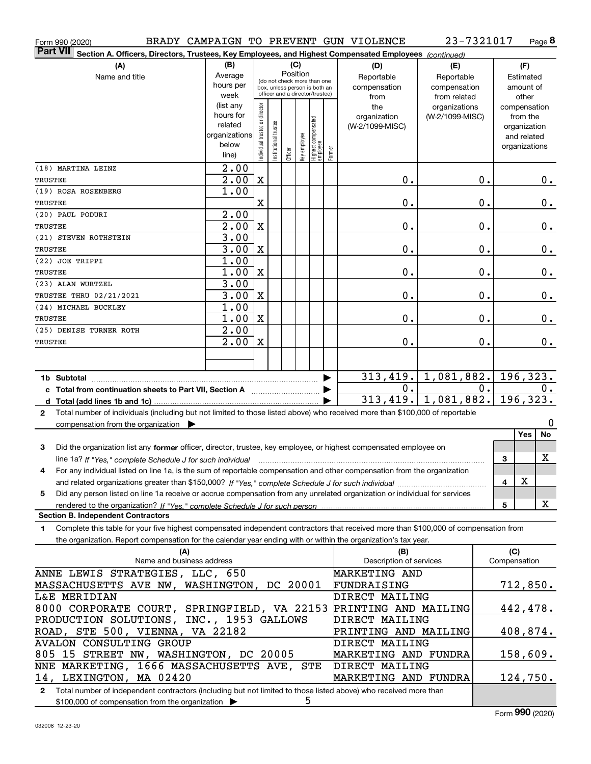| Form 990 (2020) |  |  |  |  |  | BRADY CAMPAIGN TO PREVENT GUN VIOLENCE | 23-7321017 | Page |
|-----------------|--|--|--|--|--|----------------------------------------|------------|------|
|-----------------|--|--|--|--|--|----------------------------------------|------------|------|

**8**

| <b>Part VII</b><br>Section A. Officers, Directors, Trustees, Key Employees, and Highest Compensated Employees (continued)                    |                      |                                         |                                 |         |              |                                 |            |                             |                 |           |              |                             |
|----------------------------------------------------------------------------------------------------------------------------------------------|----------------------|-----------------------------------------|---------------------------------|---------|--------------|---------------------------------|------------|-----------------------------|-----------------|-----------|--------------|-----------------------------|
| (A)                                                                                                                                          | (B)                  |                                         |                                 | (C)     |              |                                 |            | (D)                         | (E)             |           |              | (F)                         |
| Name and title                                                                                                                               | Average              | Position<br>(do not check more than one |                                 |         |              | Reportable                      | Reportable |                             |                 | Estimated |              |                             |
|                                                                                                                                              | hours per            |                                         | box, unless person is both an   |         |              |                                 |            | compensation                | compensation    |           |              | amount of                   |
|                                                                                                                                              | week                 |                                         | officer and a director/trustee) |         |              |                                 |            | from                        | from related    |           |              | other                       |
|                                                                                                                                              | (list any            |                                         |                                 |         |              |                                 |            | the                         | organizations   |           |              | compensation                |
|                                                                                                                                              | hours for<br>related |                                         |                                 |         |              |                                 |            | organization                | (W-2/1099-MISC) |           |              | from the                    |
|                                                                                                                                              | organizations        |                                         |                                 |         |              |                                 |            | (W-2/1099-MISC)             |                 |           |              | organization<br>and related |
|                                                                                                                                              | below                |                                         |                                 |         |              |                                 |            |                             |                 |           |              | organizations               |
|                                                                                                                                              | line)                | ndividual trustee or director           | In stitutional trustee          | Officer | Key employee | Highest compensated<br>employee | Former     |                             |                 |           |              |                             |
| (18) MARTINA LEINZ                                                                                                                           | $\overline{2.00}$    |                                         |                                 |         |              |                                 |            |                             |                 |           |              |                             |
| TRUSTEE                                                                                                                                      | 2.00                 | $\mathbf X$                             |                                 |         |              |                                 |            | 0.                          |                 | 0.        |              | 0.                          |
| (19) ROSA ROSENBERG                                                                                                                          | 1.00                 |                                         |                                 |         |              |                                 |            |                             |                 |           |              |                             |
| TRUSTEE                                                                                                                                      |                      | X                                       |                                 |         |              |                                 |            | 0.                          |                 | 0.        |              | $0$ .                       |
| (20) PAUL PODURI                                                                                                                             | 2.00                 |                                         |                                 |         |              |                                 |            |                             |                 |           |              |                             |
| <b>TRUSTEE</b>                                                                                                                               | $\overline{2.00}$    | $\mathbf X$                             |                                 |         |              |                                 |            | 0.                          |                 | 0.        |              | 0.                          |
| (21) STEVEN ROTHSTEIN                                                                                                                        | 3.00                 |                                         |                                 |         |              |                                 |            |                             |                 |           |              |                             |
| <b>TRUSTEE</b>                                                                                                                               | 3.00                 | $\mathbf X$                             |                                 |         |              |                                 |            | 0.                          |                 | 0.        |              | 0.                          |
| (22) JOE TRIPPI                                                                                                                              | 1.00                 |                                         |                                 |         |              |                                 |            |                             |                 |           |              |                             |
| TRUSTEE                                                                                                                                      | 1.00                 | $\mathbf X$                             |                                 |         |              |                                 |            | 0.                          |                 | 0.        |              | 0.                          |
| (23) ALAN WURTZEL                                                                                                                            | 3.00<br>3.00         | $\mathbf X$                             |                                 |         |              |                                 |            | 0.                          |                 | 0.        |              |                             |
| <b>TRUSTEE THRU 02/21/2021</b><br>(24) MICHAEL BUCKLEY                                                                                       | 1.00                 |                                         |                                 |         |              |                                 |            |                             |                 |           |              | 0.                          |
| TRUSTEE                                                                                                                                      | 1.00                 | $\mathbf X$                             |                                 |         |              |                                 |            | 0.                          |                 | 0.        |              | 0.                          |
| (25) DENISE TURNER ROTH                                                                                                                      | 2.00                 |                                         |                                 |         |              |                                 |            |                             |                 |           |              |                             |
| TRUSTEE                                                                                                                                      | 2.00                 | X                                       |                                 |         |              |                                 |            | 0.                          |                 | 0.        |              | 0.                          |
|                                                                                                                                              |                      |                                         |                                 |         |              |                                 |            |                             |                 |           |              |                             |
|                                                                                                                                              |                      |                                         |                                 |         |              |                                 |            |                             |                 |           |              |                             |
|                                                                                                                                              |                      |                                         |                                 |         |              |                                 |            | 313,419.                    | 1,081,882.      |           |              | 196, 323.                   |
| c Total from continuation sheets to Part VII, Section A <b>Constanting to Part VII</b> , Section A                                           |                      |                                         |                                 |         |              |                                 |            | 0.                          |                 | 0.        |              | 0.                          |
|                                                                                                                                              |                      |                                         |                                 |         |              |                                 |            | $313,419.$ 1,081,882.       |                 |           |              | 196, 323.                   |
| Total number of individuals (including but not limited to those listed above) who received more than \$100,000 of reportable<br>$\mathbf{2}$ |                      |                                         |                                 |         |              |                                 |            |                             |                 |           |              |                             |
| compensation from the organization                                                                                                           |                      |                                         |                                 |         |              |                                 |            |                             |                 |           |              | 0                           |
|                                                                                                                                              |                      |                                         |                                 |         |              |                                 |            |                             |                 |           |              | Yes<br>No                   |
| Did the organization list any former officer, director, trustee, key employee, or highest compensated employee on<br>3                       |                      |                                         |                                 |         |              |                                 |            |                             |                 |           |              |                             |
| line 1a? If "Yes," complete Schedule J for such individual                                                                                   |                      |                                         |                                 |         |              |                                 |            |                             |                 |           | 3            | х                           |
| For any individual listed on line 1a, is the sum of reportable compensation and other compensation from the organization<br>4                |                      |                                         |                                 |         |              |                                 |            |                             |                 |           |              |                             |
|                                                                                                                                              |                      |                                         |                                 |         |              |                                 |            |                             |                 |           | 4            | $\mathbf X$                 |
| Did any person listed on line 1a receive or accrue compensation from any unrelated organization or individual for services<br>5              |                      |                                         |                                 |         |              |                                 |            |                             |                 |           |              |                             |
| <b>Section B. Independent Contractors</b>                                                                                                    |                      |                                         |                                 |         |              |                                 |            |                             |                 |           | 5            | X                           |
| Complete this table for your five highest compensated independent contractors that received more than \$100,000 of compensation from         |                      |                                         |                                 |         |              |                                 |            |                             |                 |           |              |                             |
| 1<br>the organization. Report compensation for the calendar year ending with or within the organization's tax year.                          |                      |                                         |                                 |         |              |                                 |            |                             |                 |           |              |                             |
| (A)                                                                                                                                          |                      |                                         |                                 |         |              |                                 |            | (B)                         |                 |           | (C)          |                             |
| Name and business address                                                                                                                    |                      |                                         |                                 |         |              |                                 |            | Description of services     |                 |           | Compensation |                             |
| ANNE LEWIS STRATEGIES, LLC, 650                                                                                                              |                      |                                         |                                 |         |              |                                 |            | <b>MARKETING AND</b>        |                 |           |              |                             |
| MASSACHUSETTS AVE NW, WASHINGTON, DC 20001                                                                                                   |                      |                                         |                                 |         |              |                                 |            | FUNDRAISING                 |                 |           |              | 712,850.                    |
| <b>L&amp;E MERIDIAN</b>                                                                                                                      |                      |                                         |                                 |         |              |                                 |            | DIRECT MAILING              |                 |           |              |                             |
| 8000 CORPORATE COURT, SPRINGFIELD, VA 22153                                                                                                  |                      |                                         |                                 |         |              |                                 |            | PRINTING AND MAILING        |                 |           |              | 442,478.                    |
| PRODUCTION SOLUTIONS, INC., 1953 GALLOWS                                                                                                     |                      |                                         |                                 |         |              |                                 |            | DIRECT MAILING              |                 |           |              |                             |
| ROAD, STE 500, VIENNA, VA 22182<br>PRINTING AND MAILING                                                                                      |                      |                                         |                                 |         |              | 408,874.                        |            |                             |                 |           |              |                             |
| <b>AVALON CONSULTING GROUP</b>                                                                                                               |                      |                                         |                                 |         |              |                                 |            | DIRECT MAILING              |                 |           |              |                             |
| 805 15 STREET NW, WASHINGTON, DC 20005                                                                                                       |                      |                                         |                                 |         |              |                                 |            | <b>MARKETING AND FUNDRA</b> |                 |           |              | 158,609.                    |
| NNE MARKETING, 1666 MASSACHUSETTS AVE, STE                                                                                                   |                      |                                         |                                 |         |              |                                 |            | DIRECT MAILING              |                 |           |              |                             |
| 14, LEXINGTON, MA 02420<br>MARKETING AND FUNDRA<br>124,750.                                                                                  |                      |                                         |                                 |         |              |                                 |            |                             |                 |           |              |                             |

**2** Total number of independent contractors (including but not limited to those listed above) who received more than \$100,000 of compensation from the organization 5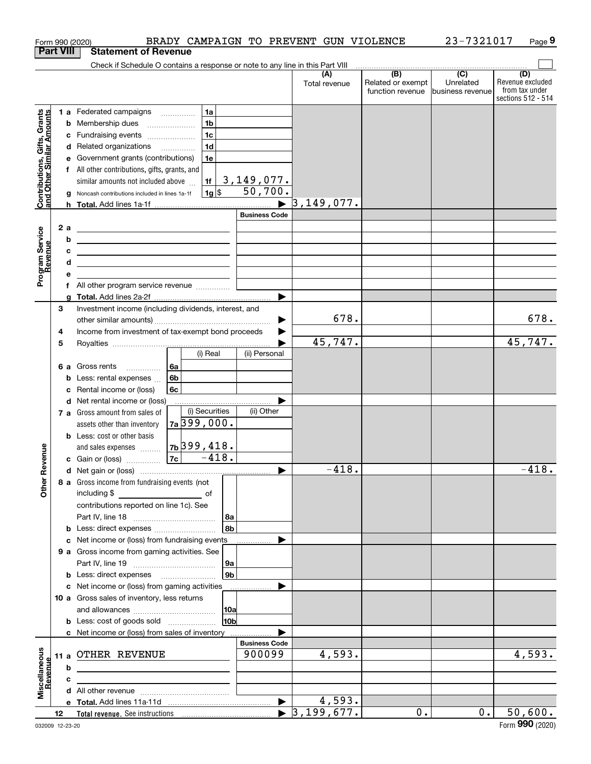|                                                           |                  |    | Form 990 (2020)                                                                                                        |               |                |                      | BRADY CAMPAIGN TO PREVENT GUN VIOLENCE |                                                     | 23-7321017                    | Page 9                             |
|-----------------------------------------------------------|------------------|----|------------------------------------------------------------------------------------------------------------------------|---------------|----------------|----------------------|----------------------------------------|-----------------------------------------------------|-------------------------------|------------------------------------|
|                                                           | <b>Part VIII</b> |    | <b>Statement of Revenue</b>                                                                                            |               |                |                      |                                        |                                                     |                               |                                    |
|                                                           |                  |    | Check if Schedule O contains a response or note to any line in this Part VIII                                          |               |                |                      |                                        | $\overline{(\mathsf{B})}$ $\overline{(\mathsf{C})}$ |                               | (D)                                |
|                                                           |                  |    |                                                                                                                        |               |                |                      | Total revenue                          | Related or exempt<br>function revenue               | Unrelated<br>business revenue | Revenue excluded<br>from tax under |
|                                                           |                  |    |                                                                                                                        |               |                |                      |                                        |                                                     |                               | sections 512 - 514                 |
|                                                           |                  |    | 1 a Federated campaigns                                                                                                |               | 1a             |                      |                                        |                                                     |                               |                                    |
| Contributions, Gifts, Grants<br>and Other Similar Amounts |                  | b  | Membership dues                                                                                                        |               | 1 <sub>b</sub> |                      |                                        |                                                     |                               |                                    |
|                                                           |                  | c  | Fundraising events                                                                                                     |               | 1 <sub>c</sub> |                      |                                        |                                                     |                               |                                    |
|                                                           |                  | d  | Related organizations                                                                                                  |               | 1 <sub>d</sub> |                      |                                        |                                                     |                               |                                    |
|                                                           |                  |    | Government grants (contributions)                                                                                      |               | 1e             |                      |                                        |                                                     |                               |                                    |
|                                                           |                  |    | f All other contributions, gifts, grants, and                                                                          |               |                |                      |                                        |                                                     |                               |                                    |
|                                                           |                  |    | similar amounts not included above                                                                                     |               | 1f             | 3,149,077.           |                                        |                                                     |                               |                                    |
|                                                           |                  | g  | Noncash contributions included in lines 1a-1f                                                                          |               | $1g$ \$        | 50,700.              |                                        |                                                     |                               |                                    |
|                                                           |                  | h. |                                                                                                                        |               |                |                      | 3, 149, 077.                           |                                                     |                               |                                    |
|                                                           |                  |    |                                                                                                                        |               |                | <b>Business Code</b> |                                        |                                                     |                               |                                    |
|                                                           | 2a               |    | <u> 1989 - Johann Stein, marwolaethau a bhann an t-Albann an t-Albann an t-Albann an t-Albann an t-Albann an t-Alb</u> |               |                |                      |                                        |                                                     |                               |                                    |
|                                                           |                  | b  | the contract of the contract of the contract of the contract of the contract of                                        |               |                |                      |                                        |                                                     |                               |                                    |
|                                                           |                  | c  | <u> 1989 - Johann Barbara, martxa alemaniar arg</u>                                                                    |               |                |                      |                                        |                                                     |                               |                                    |
| Program Service<br>Revenue                                |                  | d  | the contract of the contract of the contract of the contract of the contract of                                        |               |                |                      |                                        |                                                     |                               |                                    |
|                                                           |                  |    |                                                                                                                        |               |                |                      |                                        |                                                     |                               |                                    |
|                                                           |                  |    |                                                                                                                        |               |                |                      |                                        |                                                     |                               |                                    |
|                                                           | 3                |    | Investment income (including dividends, interest, and                                                                  |               |                |                      |                                        |                                                     |                               |                                    |
|                                                           |                  |    |                                                                                                                        |               |                |                      | 678.                                   |                                                     |                               | 678.                               |
|                                                           | 4                |    | Income from investment of tax-exempt bond proceeds                                                                     |               |                |                      |                                        |                                                     |                               |                                    |
|                                                           | 5                |    |                                                                                                                        |               |                |                      | 45,747.                                |                                                     |                               | 45,747.                            |
|                                                           |                  |    |                                                                                                                        |               | (i) Real       | (ii) Personal        |                                        |                                                     |                               |                                    |
|                                                           | 6а               |    | Gross rents                                                                                                            | 6a            |                |                      |                                        |                                                     |                               |                                    |
|                                                           |                  | b  | Less: rental expenses                                                                                                  | 6b            |                |                      |                                        |                                                     |                               |                                    |
|                                                           |                  | с  | Rental income or (loss)                                                                                                | 6c            |                |                      |                                        |                                                     |                               |                                    |
|                                                           |                  | d  | Net rental income or (loss)                                                                                            |               |                |                      |                                        |                                                     |                               |                                    |
|                                                           |                  |    | 7 a Gross amount from sales of                                                                                         |               | (i) Securities | (ii) Other           |                                        |                                                     |                               |                                    |
|                                                           |                  |    | assets other than inventory                                                                                            | $7a$ 399,000. |                |                      |                                        |                                                     |                               |                                    |
|                                                           |                  |    | <b>b</b> Less: cost or other basis                                                                                     |               |                |                      |                                        |                                                     |                               |                                    |
|                                                           |                  |    | and sales expenses                                                                                                     | 76399,418.    |                |                      |                                        |                                                     |                               |                                    |
| evenue                                                    |                  |    | c Gain or (loss)                                                                                                       | 7c            | $-418.$        |                      |                                        |                                                     |                               |                                    |
|                                                           |                  |    |                                                                                                                        |               |                |                      | 418.                                   |                                                     |                               | 418.                               |
| Other <sub>R</sub>                                        |                  |    | 8 a Gross income from fundraising events (not                                                                          |               |                |                      |                                        |                                                     |                               |                                    |
|                                                           |                  |    | including \$<br>$\overline{\phantom{a}}$ of                                                                            |               |                |                      |                                        |                                                     |                               |                                    |
|                                                           |                  |    | contributions reported on line 1c). See                                                                                |               |                |                      |                                        |                                                     |                               |                                    |
|                                                           |                  |    |                                                                                                                        |               | 8a             |                      |                                        |                                                     |                               |                                    |
|                                                           |                  | b  |                                                                                                                        |               | 8b             |                      |                                        |                                                     |                               |                                    |
|                                                           |                  | с  | Net income or (loss) from fundraising events                                                                           |               |                |                      |                                        |                                                     |                               |                                    |
|                                                           |                  |    | 9 a Gross income from gaming activities. See                                                                           |               |                |                      |                                        |                                                     |                               |                                    |
|                                                           |                  |    |                                                                                                                        |               | 9a             |                      |                                        |                                                     |                               |                                    |
|                                                           |                  |    |                                                                                                                        |               | 9b             |                      |                                        |                                                     |                               |                                    |
|                                                           |                  |    | c Net income or (loss) from gaming activities                                                                          |               |                |                      |                                        |                                                     |                               |                                    |
|                                                           |                  |    | 10 a Gross sales of inventory, less returns                                                                            |               |                |                      |                                        |                                                     |                               |                                    |
|                                                           |                  |    |                                                                                                                        |               | 10a            |                      |                                        |                                                     |                               |                                    |
|                                                           |                  |    | <b>b</b> Less: cost of goods sold                                                                                      |               | 10b            |                      |                                        |                                                     |                               |                                    |
|                                                           |                  |    | c Net income or (loss) from sales of inventory                                                                         |               |                | <b>Business Code</b> |                                        |                                                     |                               |                                    |
|                                                           | 11 a             |    | OTHER REVENUE                                                                                                          |               |                | 900099               | 4,593.                                 |                                                     |                               | 4,593.                             |
|                                                           |                  | b  |                                                                                                                        |               |                |                      |                                        |                                                     |                               |                                    |
|                                                           |                  | с  |                                                                                                                        |               |                |                      |                                        |                                                     |                               |                                    |
| Miscellaneous<br>Revenue                                  |                  |    |                                                                                                                        |               |                |                      |                                        |                                                     |                               |                                    |
|                                                           |                  |    |                                                                                                                        |               |                |                      | 4,593.                                 |                                                     |                               |                                    |
|                                                           | 12               |    |                                                                                                                        |               |                |                      | $\blacktriangleright$ 3,199,677.       | 0.                                                  | $0$ .                         | 50,600.                            |
|                                                           |                  |    |                                                                                                                        |               |                |                      |                                        |                                                     |                               |                                    |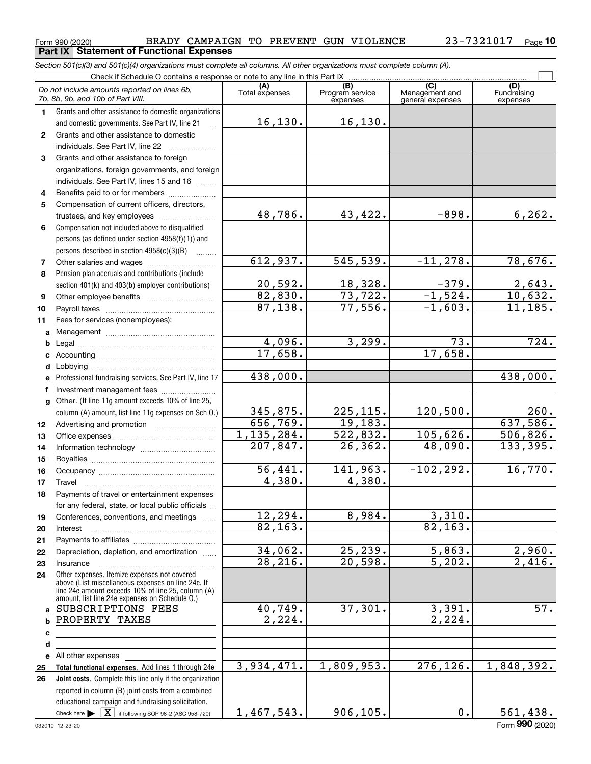Form 990 (2020) Page **Part IX Statement of Functional Expenses** BRADY CAMPAIGN TO PREVENT GUN VIOLENCE 23-7321017

|              | Section 501(c)(3) and 501(c)(4) organizations must complete all columns. All other organizations must complete column (A).                                                                                 |                       |                                    |                                           |                                |
|--------------|------------------------------------------------------------------------------------------------------------------------------------------------------------------------------------------------------------|-----------------------|------------------------------------|-------------------------------------------|--------------------------------|
|              | Check if Schedule O contains a response or note to any line in this Part IX                                                                                                                                |                       |                                    |                                           |                                |
|              | Do not include amounts reported on lines 6b,<br>7b, 8b, 9b, and 10b of Part VIII.                                                                                                                          | (A)<br>Total expenses | (B)<br>Program service<br>expenses | (C)<br>Management and<br>general expenses | (D)<br>Fundraising<br>expenses |
| 1.           | Grants and other assistance to domestic organizations                                                                                                                                                      |                       |                                    |                                           |                                |
|              | and domestic governments. See Part IV, line 21                                                                                                                                                             | 16, 130.              | 16, 130.                           |                                           |                                |
| $\mathbf{2}$ | Grants and other assistance to domestic                                                                                                                                                                    |                       |                                    |                                           |                                |
|              | individuals. See Part IV, line 22                                                                                                                                                                          |                       |                                    |                                           |                                |
| 3            | Grants and other assistance to foreign                                                                                                                                                                     |                       |                                    |                                           |                                |
|              | organizations, foreign governments, and foreign                                                                                                                                                            |                       |                                    |                                           |                                |
|              | individuals. See Part IV, lines 15 and 16                                                                                                                                                                  |                       |                                    |                                           |                                |
| 4            | Benefits paid to or for members                                                                                                                                                                            |                       |                                    |                                           |                                |
| 5            | Compensation of current officers, directors,                                                                                                                                                               |                       |                                    |                                           |                                |
|              |                                                                                                                                                                                                            | 48,786.               | 43,422.                            | $-898.$                                   | 6, 262.                        |
| 6            | Compensation not included above to disqualified                                                                                                                                                            |                       |                                    |                                           |                                |
|              | persons (as defined under section 4958(f)(1)) and                                                                                                                                                          |                       |                                    |                                           |                                |
|              | persons described in section 4958(c)(3)(B)                                                                                                                                                                 |                       |                                    |                                           |                                |
| 7            |                                                                                                                                                                                                            | 612,937.              | 545,539.                           | $-11, 278.$                               | 78,676.                        |
| 8            | Pension plan accruals and contributions (include                                                                                                                                                           |                       |                                    |                                           |                                |
|              | section 401(k) and 403(b) employer contributions)                                                                                                                                                          | 20,592.               | 18,328.                            | $\frac{-379}{-1,524}$                     | 2,643.                         |
| 9            |                                                                                                                                                                                                            | 82,830.               | 73,722.                            |                                           | 10,632.                        |
| 10           |                                                                                                                                                                                                            | 87,138.               | 77,556.                            | $-1,603.$                                 | 11,185.                        |
| 11           | Fees for services (nonemployees):                                                                                                                                                                          |                       |                                    |                                           |                                |
|              |                                                                                                                                                                                                            |                       |                                    |                                           |                                |
| b            |                                                                                                                                                                                                            | 4,096.                | 3,299.                             | 73.<br>17,658.                            | 724.                           |
|              |                                                                                                                                                                                                            | 17,658.               |                                    |                                           |                                |
|              |                                                                                                                                                                                                            | 438,000.              |                                    |                                           | 438,000.                       |
|              | e Professional fundraising services. See Part IV, line 17                                                                                                                                                  |                       |                                    |                                           |                                |
|              | Investment management fees                                                                                                                                                                                 |                       |                                    |                                           |                                |
|              | g Other. (If line 11g amount exceeds 10% of line 25,                                                                                                                                                       |                       |                                    | 120,500.                                  | 260.                           |
|              | column (A) amount, list line 11g expenses on Sch O.)                                                                                                                                                       | 345,875.<br>656,769.  | 225, 115.<br>19,183.               |                                           | 637,586.                       |
| 12           |                                                                                                                                                                                                            | 1, 135, 284.          | 522,832.                           | 105,626.                                  | 506,826.                       |
| 13           |                                                                                                                                                                                                            | 207,847.              | 26,362.                            | 48,090.                                   | 133,395.                       |
| 14           |                                                                                                                                                                                                            |                       |                                    |                                           |                                |
| 15           |                                                                                                                                                                                                            | 56,441.               | 141,963.                           | $-102, 292.$                              | 16,770.                        |
| 16<br>17     |                                                                                                                                                                                                            | 4,380.                | 4,380.                             |                                           |                                |
| 18           | Payments of travel or entertainment expenses                                                                                                                                                               |                       |                                    |                                           |                                |
|              | for any federal, state, or local public officials                                                                                                                                                          |                       |                                    |                                           |                                |
| 19           | Conferences, conventions, and meetings                                                                                                                                                                     | 12,294.               | 8,984.                             | 3,310.                                    |                                |
| 20           | Interest                                                                                                                                                                                                   | 82, 163.              |                                    | 82, 163.                                  |                                |
| 21           |                                                                                                                                                                                                            |                       |                                    |                                           |                                |
| 22           | Depreciation, depletion, and amortization                                                                                                                                                                  | 34,062.               | 25, 239.                           | 5,863.                                    |                                |
| 23           | Insurance                                                                                                                                                                                                  | 28,216.               | 20,598.                            | 5,202.                                    | $\frac{2,960}{2,416}$ .        |
| 24           | Other expenses. Itemize expenses not covered<br>above (List miscellaneous expenses on line 24e. If<br>line 24e amount exceeds 10% of line 25, column (A)<br>amount, list line 24e expenses on Schedule O.) |                       |                                    |                                           |                                |
|              | a SUBSCRIPTIONS FEES                                                                                                                                                                                       | 40,749.               | 37,301.                            | 3,391.                                    | 57.                            |
|              | PROPERTY TAXES                                                                                                                                                                                             | $\overline{2,224}$ .  |                                    | $\overline{2,224}$ .                      |                                |
| c            | the control of the control of the control of the control of the control of                                                                                                                                 |                       |                                    |                                           |                                |
| d            |                                                                                                                                                                                                            |                       |                                    |                                           |                                |
|              | e All other expenses                                                                                                                                                                                       |                       |                                    |                                           |                                |
| 25           | Total functional expenses. Add lines 1 through 24e                                                                                                                                                         | 3,934,471.            | 1,809,953.                         | 276, 126.                                 | 1,848,392.                     |
| 26           | Joint costs. Complete this line only if the organization                                                                                                                                                   |                       |                                    |                                           |                                |
|              | reported in column (B) joint costs from a combined                                                                                                                                                         |                       |                                    |                                           |                                |
|              | educational campaign and fundraising solicitation.                                                                                                                                                         |                       |                                    |                                           |                                |

1,467,543.

Check here

Check here  $\blacktriangleright$   $\boxed{\textbf{X}}$  if following SOP 98-2 (ASC 958-720)

906,105. 0. 561,438.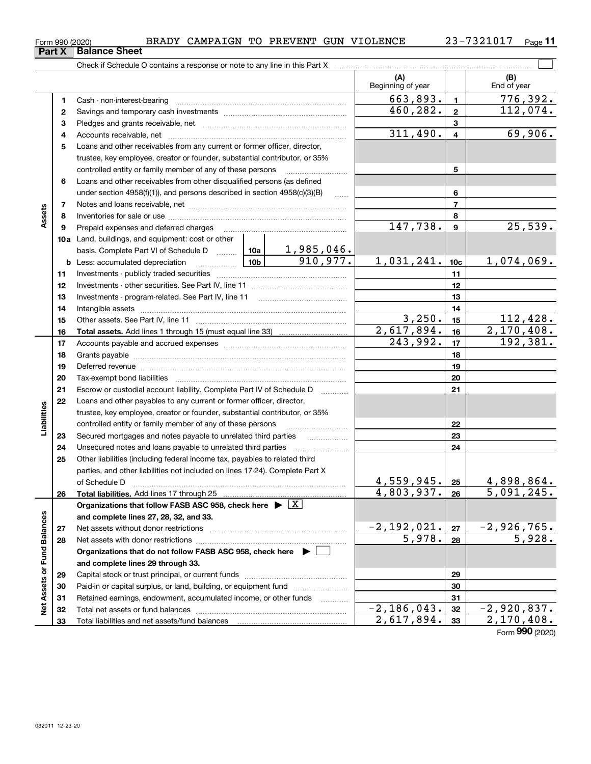| וט∠טאַ טפּט וווו | ⊥⊥∟⊥⊥⊥⊥⊥⊥                     |
|------------------|-------------------------------|
|                  | <b>Part X</b>   Balance Sheet |

23-7321017 Page 11

|                             |    |                                                                                                                                                                                                                                |                         |                          | (A)                          |                 | (B)                              |
|-----------------------------|----|--------------------------------------------------------------------------------------------------------------------------------------------------------------------------------------------------------------------------------|-------------------------|--------------------------|------------------------------|-----------------|----------------------------------|
|                             |    |                                                                                                                                                                                                                                |                         |                          | Beginning of year            |                 | End of year                      |
|                             | 1  | Cash - non-interest-bearing                                                                                                                                                                                                    |                         |                          | 663,893.                     | $\mathbf{1}$    | 776,392.                         |
|                             | 2  |                                                                                                                                                                                                                                | 460,282.                | $\mathbf{2}$             | 112,074.                     |                 |                                  |
|                             | з  |                                                                                                                                                                                                                                |                         |                          |                              | 3               |                                  |
|                             | 4  |                                                                                                                                                                                                                                | 311,490.                | $\overline{\mathbf{4}}$  | 69,906.                      |                 |                                  |
|                             | 5  | Loans and other receivables from any current or former officer, director,                                                                                                                                                      |                         |                          |                              |                 |                                  |
|                             |    | trustee, key employee, creator or founder, substantial contributor, or 35%                                                                                                                                                     |                         |                          |                              |                 |                                  |
|                             |    | controlled entity or family member of any of these persons                                                                                                                                                                     |                         | 5                        |                              |                 |                                  |
|                             | 6  | Loans and other receivables from other disqualified persons (as defined                                                                                                                                                        |                         |                          |                              |                 |                                  |
|                             |    | under section $4958(f)(1)$ , and persons described in section $4958(c)(3)(B)$                                                                                                                                                  |                         | 6                        |                              |                 |                                  |
|                             | 7  |                                                                                                                                                                                                                                |                         |                          |                              | $\overline{7}$  |                                  |
| Assets                      | 8  |                                                                                                                                                                                                                                |                         |                          |                              | 8               |                                  |
|                             | 9  | Prepaid expenses and deferred charges                                                                                                                                                                                          |                         |                          | 147,738.                     | $\mathbf{9}$    | 25,539.                          |
|                             |    | 10a Land, buildings, and equipment: cost or other                                                                                                                                                                              |                         |                          |                              |                 |                                  |
|                             |    |                                                                                                                                                                                                                                |                         |                          |                              |                 |                                  |
|                             |    |                                                                                                                                                                                                                                |                         |                          | 1,031,241.                   | 10 <sub>c</sub> | 1,074,069.                       |
|                             | 11 |                                                                                                                                                                                                                                |                         |                          | 11                           |                 |                                  |
|                             | 12 |                                                                                                                                                                                                                                |                         |                          | 12                           |                 |                                  |
|                             | 13 |                                                                                                                                                                                                                                |                         |                          | 13                           |                 |                                  |
|                             | 14 |                                                                                                                                                                                                                                |                         | 14                       |                              |                 |                                  |
|                             | 15 |                                                                                                                                                                                                                                |                         |                          | 3,250.                       | 15              | 112,428.                         |
|                             | 16 |                                                                                                                                                                                                                                |                         |                          | 2,617,894.                   | 16              | $\overline{2,170,408}$ .         |
|                             | 17 |                                                                                                                                                                                                                                | 243,992.                | 17                       | 192, 381.                    |                 |                                  |
|                             | 18 |                                                                                                                                                                                                                                |                         |                          | 18                           |                 |                                  |
|                             | 19 | Deferred revenue material contracts and a contract of the contract of the contract of the contract of the contract of the contract of the contract of the contract of the contract of the contract of the contract of the cont |                         |                          |                              | 19              |                                  |
|                             | 20 |                                                                                                                                                                                                                                |                         |                          |                              | 20              |                                  |
|                             | 21 | Escrow or custodial account liability. Complete Part IV of Schedule D                                                                                                                                                          |                         | $\overline{\phantom{a}}$ |                              | 21              |                                  |
|                             | 22 | Loans and other payables to any current or former officer, director,                                                                                                                                                           |                         |                          |                              |                 |                                  |
| Liabilities                 |    | trustee, key employee, creator or founder, substantial contributor, or 35%                                                                                                                                                     |                         |                          |                              |                 |                                  |
|                             |    | controlled entity or family member of any of these persons                                                                                                                                                                     |                         |                          | 22                           |                 |                                  |
|                             | 23 | Secured mortgages and notes payable to unrelated third parties                                                                                                                                                                 |                         |                          |                              | 23              |                                  |
|                             | 24 |                                                                                                                                                                                                                                |                         |                          |                              | 24              |                                  |
|                             | 25 | Other liabilities (including federal income tax, payables to related third                                                                                                                                                     |                         |                          |                              |                 |                                  |
|                             |    | parties, and other liabilities not included on lines 17-24). Complete Part X                                                                                                                                                   |                         |                          |                              |                 |                                  |
|                             |    | of Schedule D                                                                                                                                                                                                                  |                         |                          | 4,559,945.                   | 25              | 4,898,864.                       |
|                             | 26 | Total liabilities. Add lines 17 through 25                                                                                                                                                                                     |                         |                          | 4,803,937.                   | 26              | 5,091,245.                       |
|                             |    | Organizations that follow FASB ASC 958, check here $\blacktriangleright \boxed{X}$                                                                                                                                             |                         |                          |                              |                 |                                  |
|                             |    | and complete lines 27, 28, 32, and 33.                                                                                                                                                                                         |                         |                          |                              |                 |                                  |
|                             | 27 | Net assets without donor restrictions                                                                                                                                                                                          | $-2,192,021.$<br>5,978. | 27                       | $\frac{-2,926,765.}{5,928.}$ |                 |                                  |
|                             | 28 |                                                                                                                                                                                                                                |                         | 28                       |                              |                 |                                  |
|                             |    | Organizations that do not follow FASB ASC 958, check here $\blacktriangleright$                                                                                                                                                |                         |                          |                              |                 |                                  |
|                             |    | and complete lines 29 through 33.                                                                                                                                                                                              |                         |                          |                              |                 |                                  |
|                             | 29 |                                                                                                                                                                                                                                |                         |                          |                              | 29              |                                  |
| Net Assets or Fund Balances | 30 | Paid-in or capital surplus, or land, building, or equipment fund                                                                                                                                                               |                         |                          |                              | 30              |                                  |
|                             | 31 | Retained earnings, endowment, accumulated income, or other funds                                                                                                                                                               |                         |                          | $\overline{-2,186,043}$ .    | 31              |                                  |
|                             | 32 |                                                                                                                                                                                                                                |                         |                          | 2,617,894.                   | 32<br>33        | <u>-2,920,837.</u><br>2,170,408. |
|                             | 33 |                                                                                                                                                                                                                                |                         |                          |                              |                 |                                  |

Form (2020) **990**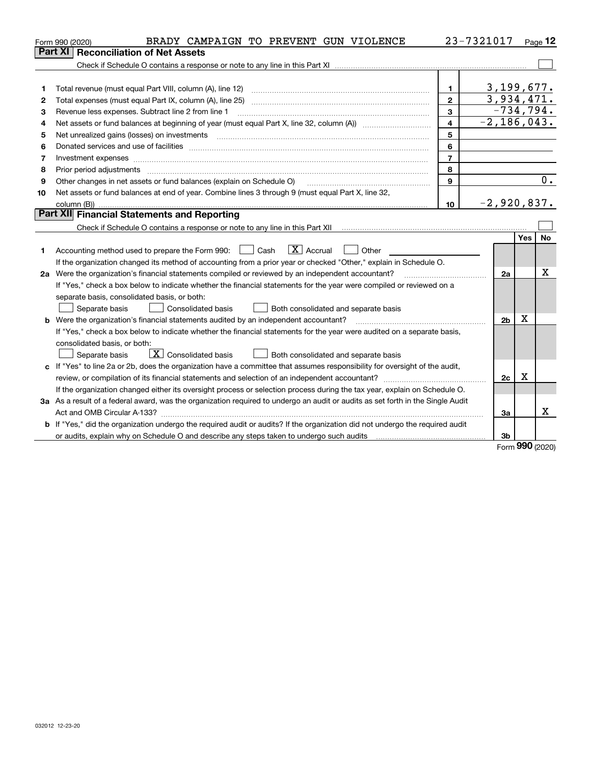|    | BRADY CAMPAIGN TO PREVENT GUN VIOLENCE<br>Form 990 (2020)                                                                                                                                                                      |                         | 23-7321017      |            | Page $12$ |
|----|--------------------------------------------------------------------------------------------------------------------------------------------------------------------------------------------------------------------------------|-------------------------|-----------------|------------|-----------|
|    | Part XI<br><b>Reconciliation of Net Assets</b>                                                                                                                                                                                 |                         |                 |            |           |
|    |                                                                                                                                                                                                                                |                         |                 |            |           |
|    |                                                                                                                                                                                                                                |                         |                 |            |           |
| 1  | Total revenue (must equal Part VIII, column (A), line 12)                                                                                                                                                                      | 1.                      | 3,199,677.      |            |           |
| 2  |                                                                                                                                                                                                                                | $\mathbf{2}$            | 3,934,471.      |            |           |
| 3  | Revenue less expenses. Subtract line 2 from line 1                                                                                                                                                                             | $\mathbf{3}$            | $-734,794.$     |            |           |
| 4  |                                                                                                                                                                                                                                | $\overline{\mathbf{4}}$ | $-2, 186, 043.$ |            |           |
| 5  | Net unrealized gains (losses) on investments [11] matter contracts and the state of the state of the state of the state of the state of the state of the state of the state of the state of the state of the state of the stat | 5                       |                 |            |           |
| 6  | Donated services and use of facilities [111] matter contracts and the service of facilities [11] matter contracts and use of facilities [11] matter contracts and the service of facilities [11] matter contracts and the serv | 6                       |                 |            |           |
| 7  | Investment expenses www.communication.com/www.communication.com/www.communication.com/www.com                                                                                                                                  | $\overline{7}$          |                 |            |           |
| 8  | Prior period adjustments                                                                                                                                                                                                       | 8                       |                 |            |           |
| 9  | Other changes in net assets or fund balances (explain on Schedule O)                                                                                                                                                           | 9                       |                 |            | 0.        |
| 10 | Net assets or fund balances at end of year. Combine lines 3 through 9 (must equal Part X, line 32,                                                                                                                             |                         |                 |            |           |
|    | column (B))                                                                                                                                                                                                                    | 10                      | $-2,920,837.$   |            |           |
|    | Part XII Financial Statements and Reporting                                                                                                                                                                                    |                         |                 |            |           |
|    |                                                                                                                                                                                                                                |                         |                 |            |           |
|    |                                                                                                                                                                                                                                |                         |                 | <b>Yes</b> | No        |
| 1  | $\boxed{\mathbf{X}}$ Accrual<br>Accounting method used to prepare the Form 990: <u>June</u> Cash<br>Other                                                                                                                      |                         |                 |            |           |
|    | If the organization changed its method of accounting from a prior year or checked "Other," explain in Schedule O.                                                                                                              |                         |                 |            |           |
|    | 2a Were the organization's financial statements compiled or reviewed by an independent accountant?                                                                                                                             |                         | 2a              |            | x         |
|    | If "Yes," check a box below to indicate whether the financial statements for the year were compiled or reviewed on a                                                                                                           |                         |                 |            |           |
|    | separate basis, consolidated basis, or both:                                                                                                                                                                                   |                         |                 |            |           |
|    | Separate basis<br><b>Consolidated basis</b><br>Both consolidated and separate basis                                                                                                                                            |                         |                 |            |           |
|    | <b>b</b> Were the organization's financial statements audited by an independent accountant?                                                                                                                                    |                         | 2 <sub>b</sub>  | X          |           |
|    | If "Yes," check a box below to indicate whether the financial statements for the year were audited on a separate basis,                                                                                                        |                         |                 |            |           |
|    | consolidated basis, or both:                                                                                                                                                                                                   |                         |                 |            |           |
|    | $\boxed{\mathbf{X}}$ Consolidated basis<br>Separate basis<br>Both consolidated and separate basis                                                                                                                              |                         |                 |            |           |
| c  | If "Yes" to line 2a or 2b, does the organization have a committee that assumes responsibility for oversight of the audit,                                                                                                      |                         |                 |            |           |
|    | review, or compilation of its financial statements and selection of an independent accountant?                                                                                                                                 |                         | 2c              | х          |           |
|    | If the organization changed either its oversight process or selection process during the tax year, explain on Schedule O.                                                                                                      |                         |                 |            |           |
|    | 3a As a result of a federal award, was the organization required to undergo an audit or audits as set forth in the Single Audit                                                                                                |                         |                 |            |           |
|    | Act and OMB Circular A-133?                                                                                                                                                                                                    |                         | 3a              |            | x         |
|    | b If "Yes," did the organization undergo the required audit or audits? If the organization did not undergo the required audit                                                                                                  |                         |                 |            |           |
|    |                                                                                                                                                                                                                                |                         | 3b              |            |           |

Form (2020) **990**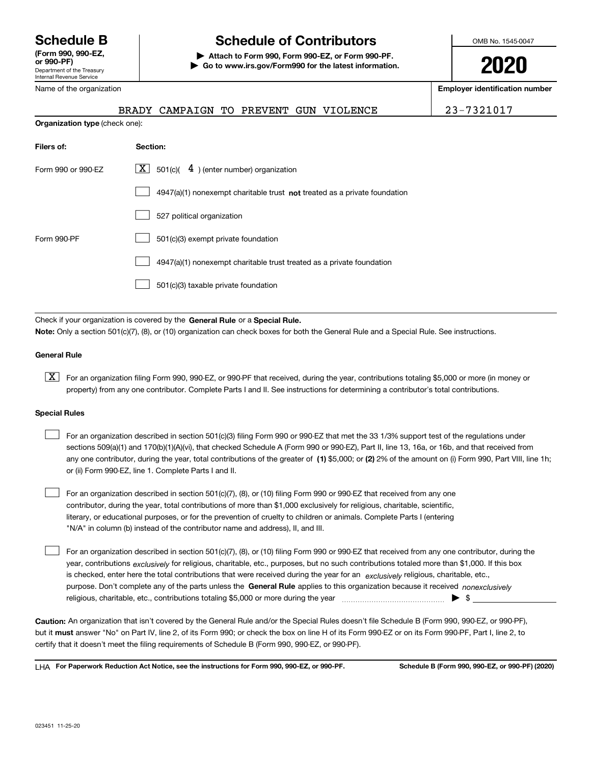Department of the Treasury Internal Revenue Service **(Form 990, 990-EZ,** Name of the organization

# **Schedule B Schedule of Contributors**

**or 990-PF) | Attach to Form 990, Form 990-EZ, or Form 990-PF. | Go to www.irs.gov/Form990 for the latest information.** OMB No. 1545-0047

**2020**

**Employer identification number**

BRADY CAMPAIGN TO PREVENT GUN VIOLENCE | 23-7321017

| <b>Organization type (check one):</b> |                                                                           |  |  |  |  |  |  |  |
|---------------------------------------|---------------------------------------------------------------------------|--|--|--|--|--|--|--|
| Filers of:                            | Section:                                                                  |  |  |  |  |  |  |  |
| Form 990 or 990-EZ                    | $\mathbf{X}$ 501(c)( 4) (enter number) organization                       |  |  |  |  |  |  |  |
|                                       | 4947(a)(1) nonexempt charitable trust not treated as a private foundation |  |  |  |  |  |  |  |
|                                       | 527 political organization                                                |  |  |  |  |  |  |  |
| Form 990-PF                           | 501(c)(3) exempt private foundation                                       |  |  |  |  |  |  |  |
|                                       | 4947(a)(1) nonexempt charitable trust treated as a private foundation     |  |  |  |  |  |  |  |
|                                       | 501(c)(3) taxable private foundation                                      |  |  |  |  |  |  |  |

Check if your organization is covered by the General Rule or a Special Rule. **Note:**  Only a section 501(c)(7), (8), or (10) organization can check boxes for both the General Rule and a Special Rule. See instructions.

## **General Rule**

**X** For an organization filing Form 990, 990-EZ, or 990-PF that received, during the year, contributions totaling \$5,000 or more (in money or property) from any one contributor. Complete Parts I and II. See instructions for determining a contributor's total contributions.

#### **Special Rules**

 $\begin{array}{c} \hline \end{array}$ 

| For an organization described in section 501(c)(3) filing Form 990 or 990-EZ that met the 33 1/3% support test of the regulations under               |
|-------------------------------------------------------------------------------------------------------------------------------------------------------|
| sections 509(a)(1) and 170(b)(1)(A)(vi), that checked Schedule A (Form 990 or 990-EZ), Part II, line 13, 16a, or 16b, and that received from          |
| any one contributor, during the year, total contributions of the greater of (1) \$5,000; or (2) 2% of the amount on (i) Form 990, Part VIII, line 1h; |
| or (ii) Form 990-EZ, line 1. Complete Parts I and II.                                                                                                 |

For an organization described in section 501(c)(7), (8), or (10) filing Form 990 or 990-EZ that received from any one contributor, during the year, total contributions of more than \$1,000 exclusively for religious, charitable, scientific, literary, or educational purposes, or for the prevention of cruelty to children or animals. Complete Parts I (entering "N/A" in column (b) instead of the contributor name and address), II, and III.  $\begin{array}{c} \hline \end{array}$ 

purpose. Don't complete any of the parts unless the General Rule applies to this organization because it received *nonexclusively* year, contributions <sub>exclusively</sub> for religious, charitable, etc., purposes, but no such contributions totaled more than \$1,000. If this box is checked, enter here the total contributions that were received during the year for an *exclusively* religious, charitable, etc., For an organization described in section 501(c)(7), (8), or (10) filing Form 990 or 990-EZ that received from any one contributor, during the religious, charitable, etc., contributions totaling \$5,000 or more during the year  $\Box$ — $\Box$   $\Box$ 

**Caution:**  An organization that isn't covered by the General Rule and/or the Special Rules doesn't file Schedule B (Form 990, 990-EZ, or 990-PF), but it **must** answer "No" on Part IV, line 2, of its Form 990; or check the box on line H of its Form 990-EZ or on its Form 990-PF, Part I, line 2, to certify that it doesn't meet the filing requirements of Schedule B (Form 990, 990-EZ, or 990-PF).

**For Paperwork Reduction Act Notice, see the instructions for Form 990, 990-EZ, or 990-PF. Schedule B (Form 990, 990-EZ, or 990-PF) (2020)** LHA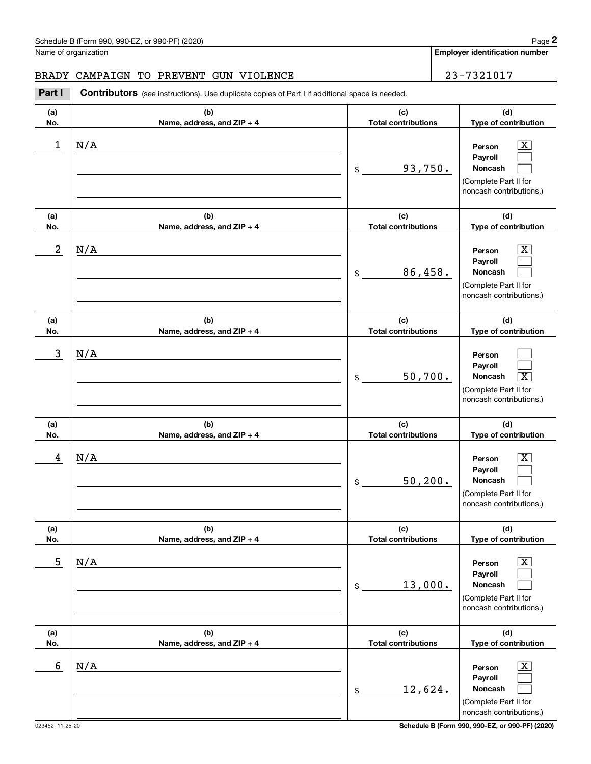| Part I     | Contributors (see instructions). Use duplicate copies of Part I if additional space is needed. |                                              |                                                                                                                                   |
|------------|------------------------------------------------------------------------------------------------|----------------------------------------------|-----------------------------------------------------------------------------------------------------------------------------------|
| (a)<br>No. | (b)<br>Name, address, and ZIP + 4                                                              | (c)<br><b>Total contributions</b>            | (d)<br>Type of contribution                                                                                                       |
| 1          | N/A                                                                                            | 93,750.<br>$\mathsf{\$}$                     | $\overline{\texttt{x}}$<br>Person<br>Payroll<br>Noncash<br>(Complete Part II for<br>noncash contributions.)                       |
| (a)<br>No. | (b)<br>Name, address, and ZIP + 4                                                              | (c)<br><b>Total contributions</b>            | (d)<br>Type of contribution                                                                                                       |
| 2          | N/A                                                                                            | 86,458.<br>\$                                | $\overline{\text{X}}$<br>Person<br>Payroll<br>Noncash<br>(Complete Part II for<br>noncash contributions.)                         |
| (a)<br>No. | (b)<br>Name, address, and ZIP + 4                                                              | (c)<br><b>Total contributions</b>            | (d)<br>Type of contribution                                                                                                       |
| 3          | N/A                                                                                            | 50,700.<br>$\mathfrak{S}$                    | Person<br>Payroll<br>$\overline{\texttt{X}}$<br>Noncash<br>(Complete Part II for<br>noncash contributions.)                       |
| (a)        | (b)                                                                                            | (c)                                          | (d)                                                                                                                               |
| No.<br>4   | Name, address, and ZIP + 4<br>N/A                                                              | <b>Total contributions</b><br>50, 200.<br>\$ | Type of contribution<br>$\overline{\text{X}}$<br>Person<br>Payroll<br>Noncash<br>(Complete Part II for<br>noncash contributions.) |
| (a)<br>No. | (b)<br>Name, address, and ZIP + 4                                                              | (c)<br><b>Total contributions</b>            | (d)<br>Type of contribution                                                                                                       |
| 5          | N/A                                                                                            | 13,000.<br>\$                                | $\overline{\textbf{x}}$<br>Person<br>Payroll<br>Noncash<br>(Complete Part II for<br>noncash contributions.)                       |
| (a)<br>No. | (b)<br>Name, address, and ZIP + 4                                                              | (c)<br><b>Total contributions</b>            | (d)<br>Type of contribution                                                                                                       |
| 6          | N/A                                                                                            | 12,624.<br>\$                                | $\overline{\text{X}}$<br>Person<br>Payroll<br>Noncash<br>(Complete Part II for<br>noncash contributions.)                         |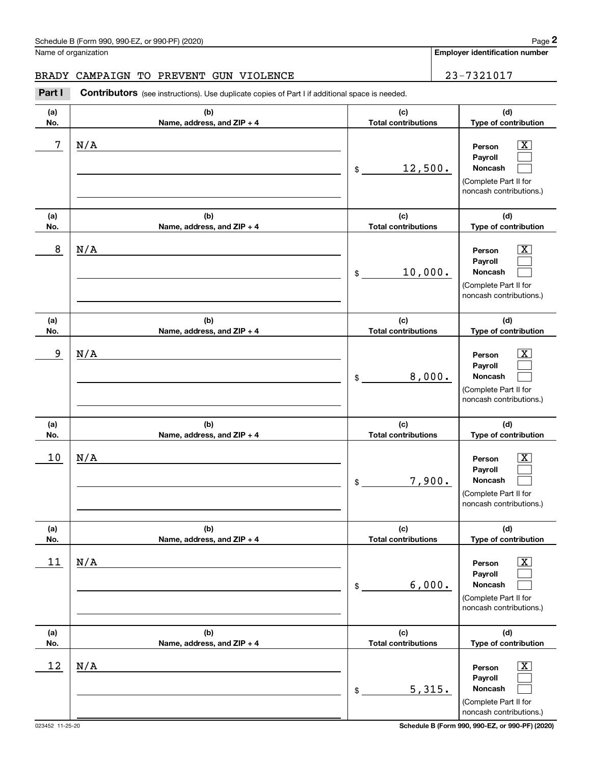| Part I     | Contributors (see instructions). Use duplicate copies of Part I if additional space is needed. |                                   |                                                                                                             |
|------------|------------------------------------------------------------------------------------------------|-----------------------------------|-------------------------------------------------------------------------------------------------------------|
| (a)<br>No. | (b)<br>Name, address, and ZIP + 4                                                              | (c)<br><b>Total contributions</b> | (d)<br>Type of contribution                                                                                 |
| 7          | N/A                                                                                            | 12,500.<br>$\mathsf{\$}$          | $\overline{\texttt{X}}$<br>Person<br>Payroll<br>Noncash<br>(Complete Part II for<br>noncash contributions.) |
| (a)<br>No. | (b)<br>Name, address, and ZIP + 4                                                              | (c)<br><b>Total contributions</b> | (d)<br>Type of contribution                                                                                 |
| 8          | N/A                                                                                            | 10,000.<br>\$                     | $\overline{\texttt{X}}$<br>Person<br>Payroll<br>Noncash<br>(Complete Part II for<br>noncash contributions.) |
| (a)<br>No. | (b)<br>Name, address, and ZIP + 4                                                              | (c)<br><b>Total contributions</b> | (d)<br>Type of contribution                                                                                 |
| 9          | N/A                                                                                            | 8,000.<br>$\mathsf{\$}$           | $\overline{\texttt{X}}$<br>Person<br>Payroll<br>Noncash<br>(Complete Part II for<br>noncash contributions.) |
| (a)<br>No. | (b)<br>Name, address, and ZIP + 4                                                              | (c)<br><b>Total contributions</b> | (d)<br>Type of contribution                                                                                 |
| 10         | N/A                                                                                            | 7,900.<br>\$                      | $\overline{\texttt{X}}$<br>Person<br>Payroll<br>Noncash<br>(Complete Part II for<br>noncash contributions.) |
| (a)<br>No. | (b)<br>Name, address, and ZIP + 4                                                              | (c)<br><b>Total contributions</b> | (d)<br>Type of contribution                                                                                 |
| 11         | N/A                                                                                            | 6,000.<br>\$                      | x<br>Person<br>Payroll<br>Noncash<br>(Complete Part II for<br>noncash contributions.)                       |
| (a)<br>No. | (b)<br>Name, address, and ZIP + 4                                                              | (c)<br><b>Total contributions</b> | (d)<br>Type of contribution                                                                                 |
| 12         | N/A                                                                                            | 5,315.<br>\$                      | $\overline{\text{X}}$<br>Person<br>Payroll<br>Noncash<br>(Complete Part II for<br>noncash contributions.)   |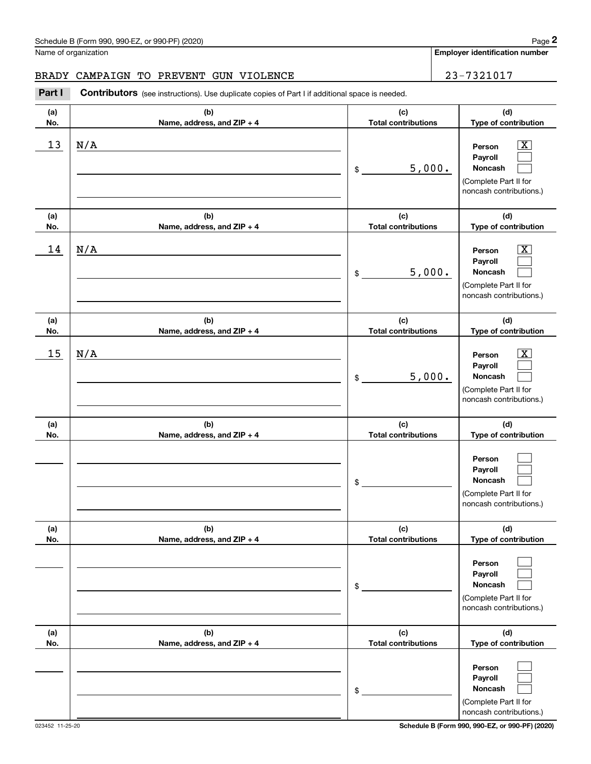| Part I     | <b>Contributors</b> (see instructions). Use duplicate copies of Part I if additional space is needed. |                                   |                                                                                                             |
|------------|-------------------------------------------------------------------------------------------------------|-----------------------------------|-------------------------------------------------------------------------------------------------------------|
| (a)<br>No. | (b)<br>Name, address, and ZIP + 4                                                                     | (c)<br><b>Total contributions</b> | (d)<br>Type of contribution                                                                                 |
| 13         | N/A                                                                                                   | 5,000.<br>\$                      | $\overline{\mathbf{x}}$<br>Person<br>Payroll<br>Noncash<br>(Complete Part II for<br>noncash contributions.) |
| (a)<br>No. | (b)<br>Name, address, and ZIP + 4                                                                     | (c)<br><b>Total contributions</b> | (d)<br>Type of contribution                                                                                 |
| 14         | N/A                                                                                                   | 5,000.<br>\$                      | $\boxed{\text{X}}$<br>Person<br>Payroll<br>Noncash<br>(Complete Part II for<br>noncash contributions.)      |
| (a)<br>No. | (b)<br>Name, address, and ZIP + 4                                                                     | (c)<br><b>Total contributions</b> | (d)<br>Type of contribution                                                                                 |
| 15         | N/A                                                                                                   | 5,000.<br>\$                      | $\boxed{\text{X}}$<br>Person<br>Payroll<br>Noncash<br>(Complete Part II for<br>noncash contributions.)      |
| (a)<br>No. | (b)<br>Name, address, and ZIP + 4                                                                     | (c)<br><b>Total contributions</b> | (d)<br>Type of contribution                                                                                 |
|            |                                                                                                       | \$                                | Person<br>Payroll<br>Noncash<br>(Complete Part II for<br>noncash contributions.)                            |
| (a)<br>No. | (b)<br>Name, address, and ZIP + 4                                                                     | (c)<br><b>Total contributions</b> | (d)<br>Type of contribution                                                                                 |
|            |                                                                                                       | \$                                | Person<br>Payroll<br>Noncash<br>(Complete Part II for<br>noncash contributions.)                            |
| (a)<br>No. | (b)<br>Name, address, and ZIP + 4                                                                     | (c)<br><b>Total contributions</b> | (d)<br>Type of contribution                                                                                 |
|            |                                                                                                       | \$                                | Person<br>Payroll<br>Noncash<br>(Complete Part II for<br>noncash contributions.)                            |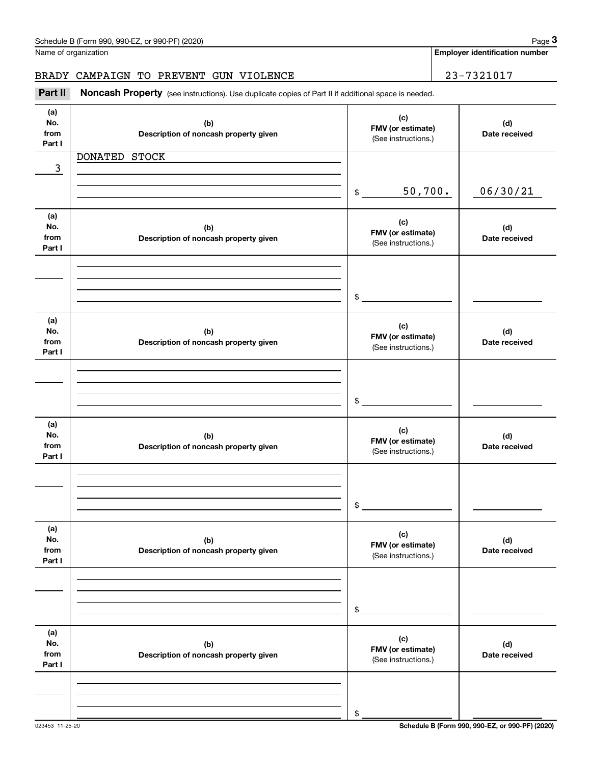| Part II                      | Noncash Property (see instructions). Use duplicate copies of Part II if additional space is needed. |                                                 |                      |
|------------------------------|-----------------------------------------------------------------------------------------------------|-------------------------------------------------|----------------------|
| (a)<br>No.<br>from<br>Part I | (b)<br>Description of noncash property given                                                        | (c)<br>FMV (or estimate)<br>(See instructions.) | (d)<br>Date received |
|                              | DONATED STOCK                                                                                       |                                                 |                      |
| 3                            |                                                                                                     |                                                 |                      |
|                              |                                                                                                     | 50,700.<br>\$                                   | 06/30/21             |
| (a)<br>No.<br>from<br>Part I | (b)<br>Description of noncash property given                                                        | (c)<br>FMV (or estimate)<br>(See instructions.) | (d)<br>Date received |
|                              |                                                                                                     |                                                 |                      |
|                              |                                                                                                     | $\mathsf{\$}$                                   |                      |
| (a)<br>No.<br>from<br>Part I | (b)<br>Description of noncash property given                                                        | (c)<br>FMV (or estimate)<br>(See instructions.) | (d)<br>Date received |
|                              |                                                                                                     |                                                 |                      |
|                              |                                                                                                     | $\frac{1}{2}$                                   |                      |
| (a)<br>No.<br>from<br>Part I | (b)<br>Description of noncash property given                                                        | (c)<br>FMV (or estimate)<br>(See instructions.) | (d)<br>Date received |
|                              |                                                                                                     |                                                 |                      |
|                              |                                                                                                     | \$                                              |                      |
| (a)<br>No.<br>from<br>Part I | (b)<br>Description of noncash property given                                                        | (c)<br>FMV (or estimate)<br>(See instructions.) | (d)<br>Date received |
|                              |                                                                                                     |                                                 |                      |
|                              |                                                                                                     | \$                                              |                      |
| (a)<br>No.<br>from<br>Part I | (b)<br>Description of noncash property given                                                        | (c)<br>FMV (or estimate)<br>(See instructions.) | (d)<br>Date received |
|                              |                                                                                                     |                                                 |                      |
|                              |                                                                                                     |                                                 |                      |
|                              |                                                                                                     | \$                                              |                      |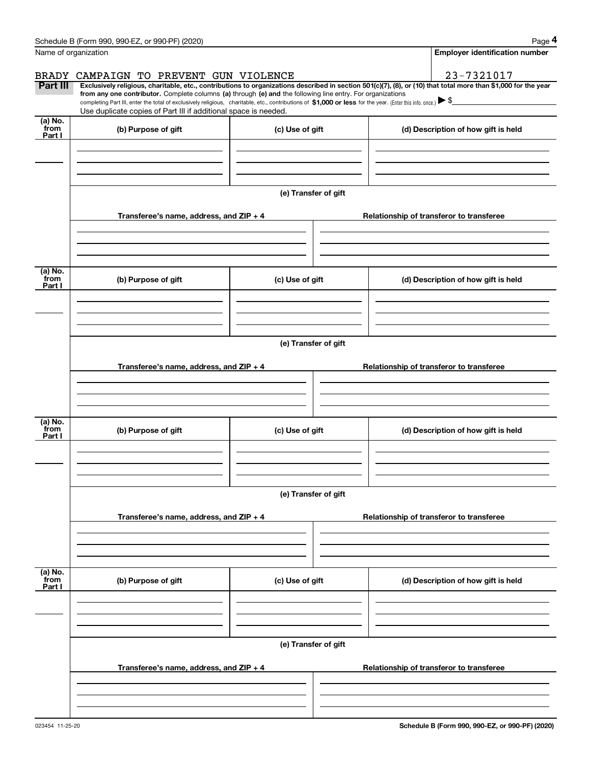| BRADY                     | CAMPAIGN TO PREVENT GUN VIOLENCE                                                                                                                                                                                                                                                                                                                                                                                                                                  |                      |  |  | 23-7321017                               |
|---------------------------|-------------------------------------------------------------------------------------------------------------------------------------------------------------------------------------------------------------------------------------------------------------------------------------------------------------------------------------------------------------------------------------------------------------------------------------------------------------------|----------------------|--|--|------------------------------------------|
| Part III                  | Exclusively religious, charitable, etc., contributions to organizations described in section 501(c)(7), (8), or (10) that total more than \$1,000 for the year<br>from any one contributor. Complete columns (a) through (e) and the following line entry. For organizations<br>completing Part III, enter the total of exclusively religious, charitable, etc., contributions of \$1,000 or less for the year. (Enter this info. once.) $\blacktriangleright$ \$ |                      |  |  |                                          |
| (a) No.                   | Use duplicate copies of Part III if additional space is needed.                                                                                                                                                                                                                                                                                                                                                                                                   |                      |  |  |                                          |
| from<br>Part I            | (b) Purpose of gift                                                                                                                                                                                                                                                                                                                                                                                                                                               | (c) Use of gift      |  |  | (d) Description of how gift is held      |
|                           |                                                                                                                                                                                                                                                                                                                                                                                                                                                                   |                      |  |  |                                          |
|                           |                                                                                                                                                                                                                                                                                                                                                                                                                                                                   |                      |  |  |                                          |
|                           |                                                                                                                                                                                                                                                                                                                                                                                                                                                                   |                      |  |  |                                          |
|                           |                                                                                                                                                                                                                                                                                                                                                                                                                                                                   | (e) Transfer of gift |  |  |                                          |
|                           |                                                                                                                                                                                                                                                                                                                                                                                                                                                                   |                      |  |  |                                          |
|                           | Transferee's name, address, and ZIP + 4                                                                                                                                                                                                                                                                                                                                                                                                                           |                      |  |  | Relationship of transferor to transferee |
|                           |                                                                                                                                                                                                                                                                                                                                                                                                                                                                   |                      |  |  |                                          |
|                           |                                                                                                                                                                                                                                                                                                                                                                                                                                                                   |                      |  |  |                                          |
|                           |                                                                                                                                                                                                                                                                                                                                                                                                                                                                   |                      |  |  |                                          |
| (a) No.<br>from           | (b) Purpose of gift                                                                                                                                                                                                                                                                                                                                                                                                                                               | (c) Use of gift      |  |  | (d) Description of how gift is held      |
| Part I                    |                                                                                                                                                                                                                                                                                                                                                                                                                                                                   |                      |  |  |                                          |
|                           |                                                                                                                                                                                                                                                                                                                                                                                                                                                                   |                      |  |  |                                          |
|                           |                                                                                                                                                                                                                                                                                                                                                                                                                                                                   |                      |  |  |                                          |
|                           |                                                                                                                                                                                                                                                                                                                                                                                                                                                                   |                      |  |  |                                          |
|                           |                                                                                                                                                                                                                                                                                                                                                                                                                                                                   | (e) Transfer of gift |  |  |                                          |
|                           | Transferee's name, address, and $ZIP + 4$                                                                                                                                                                                                                                                                                                                                                                                                                         |                      |  |  | Relationship of transferor to transferee |
|                           |                                                                                                                                                                                                                                                                                                                                                                                                                                                                   |                      |  |  |                                          |
|                           |                                                                                                                                                                                                                                                                                                                                                                                                                                                                   |                      |  |  |                                          |
|                           |                                                                                                                                                                                                                                                                                                                                                                                                                                                                   |                      |  |  |                                          |
| (a) No.<br>from           | (b) Purpose of gift                                                                                                                                                                                                                                                                                                                                                                                                                                               | (c) Use of gift      |  |  | (d) Description of how gift is held      |
| Part I                    |                                                                                                                                                                                                                                                                                                                                                                                                                                                                   |                      |  |  |                                          |
|                           |                                                                                                                                                                                                                                                                                                                                                                                                                                                                   |                      |  |  |                                          |
|                           |                                                                                                                                                                                                                                                                                                                                                                                                                                                                   |                      |  |  |                                          |
|                           |                                                                                                                                                                                                                                                                                                                                                                                                                                                                   |                      |  |  |                                          |
|                           |                                                                                                                                                                                                                                                                                                                                                                                                                                                                   | (e) Transfer of gift |  |  |                                          |
|                           | Transferee's name, address, and ZIP + 4                                                                                                                                                                                                                                                                                                                                                                                                                           |                      |  |  | Relationship of transferor to transferee |
|                           |                                                                                                                                                                                                                                                                                                                                                                                                                                                                   |                      |  |  |                                          |
|                           |                                                                                                                                                                                                                                                                                                                                                                                                                                                                   |                      |  |  |                                          |
|                           |                                                                                                                                                                                                                                                                                                                                                                                                                                                                   |                      |  |  |                                          |
|                           |                                                                                                                                                                                                                                                                                                                                                                                                                                                                   |                      |  |  |                                          |
| (a) No.<br>from<br>Part I | (b) Purpose of gift                                                                                                                                                                                                                                                                                                                                                                                                                                               | (c) Use of gift      |  |  | (d) Description of how gift is held      |
|                           |                                                                                                                                                                                                                                                                                                                                                                                                                                                                   |                      |  |  |                                          |
|                           |                                                                                                                                                                                                                                                                                                                                                                                                                                                                   |                      |  |  |                                          |
|                           |                                                                                                                                                                                                                                                                                                                                                                                                                                                                   |                      |  |  |                                          |
|                           |                                                                                                                                                                                                                                                                                                                                                                                                                                                                   | (e) Transfer of gift |  |  |                                          |
|                           |                                                                                                                                                                                                                                                                                                                                                                                                                                                                   |                      |  |  |                                          |
|                           | Transferee's name, address, and $ZIP + 4$                                                                                                                                                                                                                                                                                                                                                                                                                         |                      |  |  | Relationship of transferor to transferee |
|                           |                                                                                                                                                                                                                                                                                                                                                                                                                                                                   |                      |  |  |                                          |
|                           |                                                                                                                                                                                                                                                                                                                                                                                                                                                                   |                      |  |  |                                          |

j.

Schedule B (Form 990, 990-EZ, or 990-PF) (2020)

Name of organization

**Employer identification number**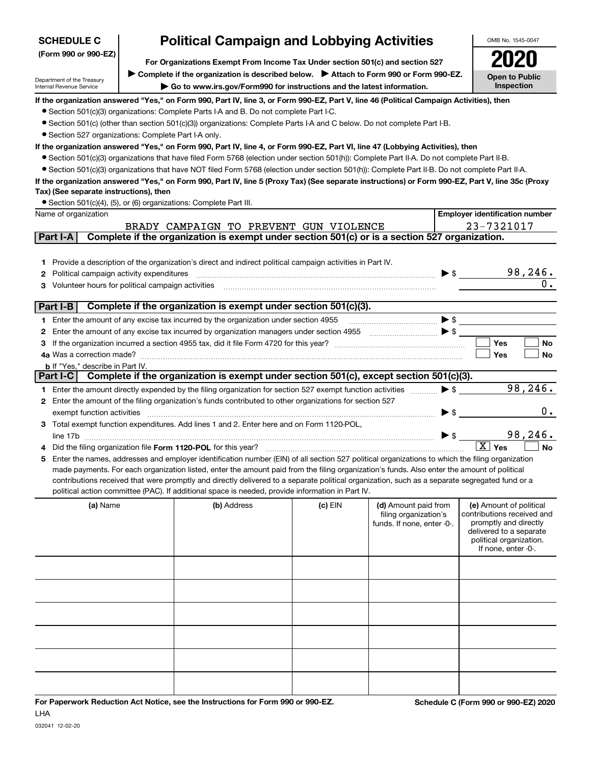| <b>SCHEDULE C</b>                                                                                                                                                                                                            |  | <b>Political Campaign and Lobbying Activities</b>                                                                                                                                                                                                  |         |                                                     |                          | OMB No. 1545-0047                                     |  |  |  |
|------------------------------------------------------------------------------------------------------------------------------------------------------------------------------------------------------------------------------|--|----------------------------------------------------------------------------------------------------------------------------------------------------------------------------------------------------------------------------------------------------|---------|-----------------------------------------------------|--------------------------|-------------------------------------------------------|--|--|--|
| (Form 990 or 990-EZ)                                                                                                                                                                                                         |  |                                                                                                                                                                                                                                                    |         |                                                     |                          |                                                       |  |  |  |
| For Organizations Exempt From Income Tax Under section 501(c) and section 527                                                                                                                                                |  |                                                                                                                                                                                                                                                    |         |                                                     |                          |                                                       |  |  |  |
| Complete if the organization is described below.<br>> Attach to Form 990 or Form 990-EZ.<br>Department of the Treasury<br>Go to www.irs.gov/Form990 for instructions and the latest information.<br>Internal Revenue Service |  |                                                                                                                                                                                                                                                    |         |                                                     |                          | <b>Open to Public</b><br>Inspection                   |  |  |  |
|                                                                                                                                                                                                                              |  |                                                                                                                                                                                                                                                    |         |                                                     |                          |                                                       |  |  |  |
|                                                                                                                                                                                                                              |  | If the organization answered "Yes," on Form 990, Part IV, line 3, or Form 990-EZ, Part V, line 46 (Political Campaign Activities), then<br>• Section 501(c)(3) organizations: Complete Parts I-A and B. Do not complete Part I-C.                  |         |                                                     |                          |                                                       |  |  |  |
|                                                                                                                                                                                                                              |  |                                                                                                                                                                                                                                                    |         |                                                     |                          |                                                       |  |  |  |
| • Section 501(c) (other than section 501(c)(3)) organizations: Complete Parts I-A and C below. Do not complete Part I-B.                                                                                                     |  |                                                                                                                                                                                                                                                    |         |                                                     |                          |                                                       |  |  |  |
| • Section 527 organizations: Complete Part I-A only.<br>If the organization answered "Yes," on Form 990, Part IV, line 4, or Form 990-EZ, Part VI, line 47 (Lobbying Activities), then                                       |  |                                                                                                                                                                                                                                                    |         |                                                     |                          |                                                       |  |  |  |
|                                                                                                                                                                                                                              |  |                                                                                                                                                                                                                                                    |         |                                                     |                          |                                                       |  |  |  |
|                                                                                                                                                                                                                              |  | • Section 501(c)(3) organizations that have filed Form 5768 (election under section 501(h)): Complete Part II-A. Do not complete Part II-B.                                                                                                        |         |                                                     |                          |                                                       |  |  |  |
|                                                                                                                                                                                                                              |  | • Section 501(c)(3) organizations that have NOT filed Form 5768 (election under section 501(h)): Complete Part II-B. Do not complete Part II-A.                                                                                                    |         |                                                     |                          |                                                       |  |  |  |
| Tax) (See separate instructions), then                                                                                                                                                                                       |  | If the organization answered "Yes," on Form 990, Part IV, line 5 (Proxy Tax) (See separate instructions) or Form 990-EZ, Part V, line 35c (Proxy                                                                                                   |         |                                                     |                          |                                                       |  |  |  |
|                                                                                                                                                                                                                              |  |                                                                                                                                                                                                                                                    |         |                                                     |                          |                                                       |  |  |  |
| Name of organization                                                                                                                                                                                                         |  | • Section 501(c)(4), (5), or (6) organizations: Complete Part III.                                                                                                                                                                                 |         |                                                     |                          | <b>Employer identification number</b>                 |  |  |  |
|                                                                                                                                                                                                                              |  |                                                                                                                                                                                                                                                    |         |                                                     |                          | 23-7321017                                            |  |  |  |
| Part I-A                                                                                                                                                                                                                     |  | BRADY CAMPAIGN TO PREVENT GUN VIOLENCE<br>Complete if the organization is exempt under section 501(c) or is a section 527 organization.                                                                                                            |         |                                                     |                          |                                                       |  |  |  |
|                                                                                                                                                                                                                              |  |                                                                                                                                                                                                                                                    |         |                                                     |                          |                                                       |  |  |  |
|                                                                                                                                                                                                                              |  |                                                                                                                                                                                                                                                    |         |                                                     |                          |                                                       |  |  |  |
| 1.                                                                                                                                                                                                                           |  | Provide a description of the organization's direct and indirect political campaign activities in Part IV.                                                                                                                                          |         |                                                     |                          |                                                       |  |  |  |
| Political campaign activity expenditures<br>2                                                                                                                                                                                |  |                                                                                                                                                                                                                                                    |         |                                                     |                          | 98,246.<br>$\blacktriangleright$ \$                   |  |  |  |
| Volunteer hours for political campaign activities<br>3                                                                                                                                                                       |  |                                                                                                                                                                                                                                                    |         |                                                     |                          | 0.                                                    |  |  |  |
| Part I-B                                                                                                                                                                                                                     |  | Complete if the organization is exempt under section 501(c)(3).                                                                                                                                                                                    |         |                                                     |                          |                                                       |  |  |  |
|                                                                                                                                                                                                                              |  |                                                                                                                                                                                                                                                    |         |                                                     |                          |                                                       |  |  |  |
|                                                                                                                                                                                                                              |  | 1 Enter the amount of any excise tax incurred by the organization under section 4955                                                                                                                                                               |         |                                                     |                          | $\blacktriangleright$ \$                              |  |  |  |
| 2                                                                                                                                                                                                                            |  | Enter the amount of any excise tax incurred by organization managers under section 4955 $\ldots$ $\bullet$ $\bullet$ $\blacksquare$                                                                                                                |         |                                                     |                          |                                                       |  |  |  |
|                                                                                                                                                                                                                              |  |                                                                                                                                                                                                                                                    |         |                                                     |                          | <b>Yes</b><br>No                                      |  |  |  |
|                                                                                                                                                                                                                              |  |                                                                                                                                                                                                                                                    |         |                                                     |                          | Yes<br>No                                             |  |  |  |
| <b>b</b> If "Yes," describe in Part IV.<br>$Part I-C$                                                                                                                                                                        |  | Complete if the organization is exempt under section 501(c), except section 501(c)(3).                                                                                                                                                             |         |                                                     |                          |                                                       |  |  |  |
|                                                                                                                                                                                                                              |  |                                                                                                                                                                                                                                                    |         |                                                     | $\triangleright$ \$      | 98,246.                                               |  |  |  |
|                                                                                                                                                                                                                              |  | 1 Enter the amount directly expended by the filing organization for section 527 exempt function activities                                                                                                                                         |         |                                                     |                          |                                                       |  |  |  |
|                                                                                                                                                                                                                              |  | 2 Enter the amount of the filing organization's funds contributed to other organizations for section 527                                                                                                                                           |         |                                                     |                          | $0$ .                                                 |  |  |  |
| exempt function activities                                                                                                                                                                                                   |  |                                                                                                                                                                                                                                                    |         |                                                     | $\blacktriangleright$ \$ |                                                       |  |  |  |
|                                                                                                                                                                                                                              |  | 3 Total exempt function expenditures. Add lines 1 and 2. Enter here and on Form 1120-POL,                                                                                                                                                          |         |                                                     |                          | 98,246.                                               |  |  |  |
| line 17b                                                                                                                                                                                                                     |  |                                                                                                                                                                                                                                                    |         |                                                     |                          | $\overline{X}$ Yes                                    |  |  |  |
|                                                                                                                                                                                                                              |  | Did the filing organization file Form 1120-POL for this year?                                                                                                                                                                                      |         |                                                     |                          | <b>No</b>                                             |  |  |  |
| 5                                                                                                                                                                                                                            |  | Enter the names, addresses and employer identification number (EIN) of all section 527 political organizations to which the filing organization                                                                                                    |         |                                                     |                          |                                                       |  |  |  |
|                                                                                                                                                                                                                              |  | made payments. For each organization listed, enter the amount paid from the filing organization's funds. Also enter the amount of political                                                                                                        |         |                                                     |                          |                                                       |  |  |  |
|                                                                                                                                                                                                                              |  | contributions received that were promptly and directly delivered to a separate political organization, such as a separate segregated fund or a<br>political action committee (PAC). If additional space is needed, provide information in Part IV. |         |                                                     |                          |                                                       |  |  |  |
|                                                                                                                                                                                                                              |  |                                                                                                                                                                                                                                                    |         |                                                     |                          |                                                       |  |  |  |
| (a) Name                                                                                                                                                                                                                     |  | (b) Address                                                                                                                                                                                                                                        | (c) EIN | (d) Amount paid from                                |                          | (e) Amount of political<br>contributions received and |  |  |  |
|                                                                                                                                                                                                                              |  |                                                                                                                                                                                                                                                    |         | filing organization's<br>funds. If none, enter -0-. |                          | promptly and directly                                 |  |  |  |
|                                                                                                                                                                                                                              |  |                                                                                                                                                                                                                                                    |         |                                                     |                          | delivered to a separate                               |  |  |  |
|                                                                                                                                                                                                                              |  |                                                                                                                                                                                                                                                    |         |                                                     |                          | political organization.                               |  |  |  |
|                                                                                                                                                                                                                              |  |                                                                                                                                                                                                                                                    |         |                                                     |                          | If none, enter -0-.                                   |  |  |  |
|                                                                                                                                                                                                                              |  |                                                                                                                                                                                                                                                    |         |                                                     |                          |                                                       |  |  |  |
|                                                                                                                                                                                                                              |  |                                                                                                                                                                                                                                                    |         |                                                     |                          |                                                       |  |  |  |
|                                                                                                                                                                                                                              |  |                                                                                                                                                                                                                                                    |         |                                                     |                          |                                                       |  |  |  |
|                                                                                                                                                                                                                              |  |                                                                                                                                                                                                                                                    |         |                                                     |                          |                                                       |  |  |  |
|                                                                                                                                                                                                                              |  |                                                                                                                                                                                                                                                    |         |                                                     |                          |                                                       |  |  |  |
|                                                                                                                                                                                                                              |  |                                                                                                                                                                                                                                                    |         |                                                     |                          |                                                       |  |  |  |
|                                                                                                                                                                                                                              |  |                                                                                                                                                                                                                                                    |         |                                                     |                          |                                                       |  |  |  |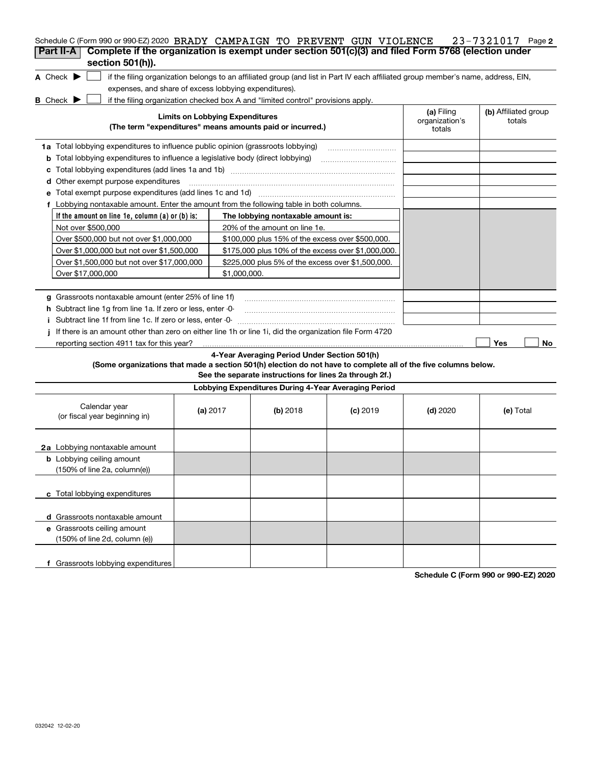| Schedule C (Form 990 or 990-EZ) 2020 BRADY CAMPAIGN TO PREVENT GUN VIOLENCE                                                                                        |                                        |                                                         |            |                                        | 23-7321017 Page 2              |
|--------------------------------------------------------------------------------------------------------------------------------------------------------------------|----------------------------------------|---------------------------------------------------------|------------|----------------------------------------|--------------------------------|
| Complete if the organization is exempt under section 501(c)(3) and filed Form 5768 (election under<br>Part II-A<br>section 501(h)).                                |                                        |                                                         |            |                                        |                                |
| A Check $\blacktriangleright$<br>if the filing organization belongs to an affiliated group (and list in Part IV each affiliated group member's name, address, EIN, |                                        |                                                         |            |                                        |                                |
| expenses, and share of excess lobbying expenditures).                                                                                                              |                                        |                                                         |            |                                        |                                |
| if the filing organization checked box A and "limited control" provisions apply.<br><b>B</b> Check $\blacktriangleright$                                           |                                        |                                                         |            |                                        |                                |
| (The term "expenditures" means amounts paid or incurred.)                                                                                                          | <b>Limits on Lobbying Expenditures</b> |                                                         |            | (a) Filing<br>organization's<br>totals | (b) Affiliated group<br>totals |
| 1a Total lobbying expenditures to influence public opinion (grassroots lobbying)                                                                                   |                                        |                                                         |            |                                        |                                |
| <b>b</b> Total lobbying expenditures to influence a legislative body (direct lobbying)                                                                             |                                        |                                                         |            |                                        |                                |
|                                                                                                                                                                    |                                        |                                                         |            |                                        |                                |
| d Other exempt purpose expenditures                                                                                                                                |                                        |                                                         |            |                                        |                                |
| e Total exempt purpose expenditures (add lines 1c and 1d) [11] [12] manuscription contracts are responsed to T                                                     |                                        |                                                         |            |                                        |                                |
| f Lobbying nontaxable amount. Enter the amount from the following table in both columns.                                                                           |                                        |                                                         |            |                                        |                                |
| If the amount on line 1e, column $(a)$ or $(b)$ is:                                                                                                                |                                        | The lobbying nontaxable amount is:                      |            |                                        |                                |
| Not over \$500,000                                                                                                                                                 |                                        | 20% of the amount on line 1e.                           |            |                                        |                                |
| Over \$500,000 but not over \$1,000,000                                                                                                                            |                                        | \$100,000 plus 15% of the excess over \$500,000.        |            |                                        |                                |
| Over \$1,000,000 but not over \$1,500,000                                                                                                                          |                                        | \$175,000 plus 10% of the excess over \$1,000,000.      |            |                                        |                                |
| Over \$1,500,000 but not over \$17,000,000                                                                                                                         |                                        | \$225,000 plus 5% of the excess over \$1,500,000.       |            |                                        |                                |
| Over \$17,000,000                                                                                                                                                  | \$1,000,000.                           |                                                         |            |                                        |                                |
|                                                                                                                                                                    |                                        |                                                         |            |                                        |                                |
| g Grassroots nontaxable amount (enter 25% of line 1f)                                                                                                              |                                        |                                                         |            |                                        |                                |
| <b>h</b> Subtract line 1g from line 1a. If zero or less, enter -0-                                                                                                 |                                        |                                                         |            |                                        |                                |
| i Subtract line 1f from line 1c. If zero or less, enter 0                                                                                                          |                                        |                                                         |            |                                        |                                |
| If there is an amount other than zero on either line 1h or line 1i, did the organization file Form 4720                                                            |                                        |                                                         |            |                                        |                                |
| reporting section 4911 tax for this year?                                                                                                                          |                                        |                                                         |            |                                        | Yes<br>No                      |
|                                                                                                                                                                    |                                        | 4-Year Averaging Period Under Section 501(h)            |            |                                        |                                |
| (Some organizations that made a section 501(h) election do not have to complete all of the five columns below.                                                     |                                        | See the separate instructions for lines 2a through 2f.) |            |                                        |                                |
|                                                                                                                                                                    |                                        | Lobbying Expenditures During 4-Year Averaging Period    |            |                                        |                                |
| Calendar year<br>(or fiscal year beginning in)                                                                                                                     | (a) 2017                               | $(b)$ 2018                                              | $(c)$ 2019 | $(d)$ 2020                             | (e) Total                      |
| 2a Lobbying nontaxable amount                                                                                                                                      |                                        |                                                         |            |                                        |                                |
| <b>b</b> Lobbying ceiling amount<br>(150% of line 2a, column(e))                                                                                                   |                                        |                                                         |            |                                        |                                |
| c Total lobbying expenditures                                                                                                                                      |                                        |                                                         |            |                                        |                                |
| d Grassroots nontaxable amount                                                                                                                                     |                                        |                                                         |            |                                        |                                |
| e Grassroots ceiling amount                                                                                                                                        |                                        |                                                         |            |                                        |                                |
| (150% of line 2d, column (e))                                                                                                                                      |                                        |                                                         |            |                                        |                                |
| f Grassroots lobbying expenditures                                                                                                                                 |                                        |                                                         |            |                                        |                                |
|                                                                                                                                                                    |                                        |                                                         |            |                                        |                                |

**Schedule C (Form 990 or 990-EZ) 2020**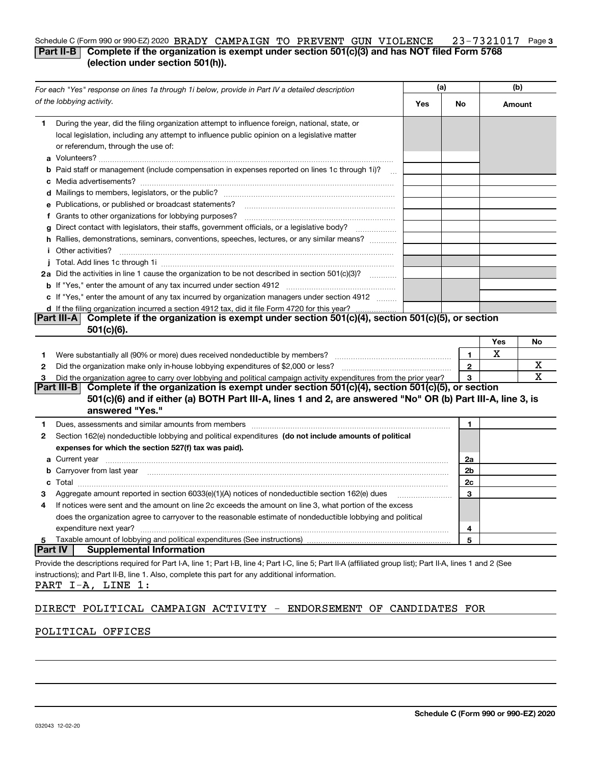#### 23-7321017 Page 3 Schedule C (Form 990 or 990-EZ) 2020  $\overline{BRADY}$   $\overline{CAMPAIGN}$   $\overline{TO}$   $\overline{PREVENT}$   $\overline{GUN}$   $\overline{VIOLENCE}$   $\overline{C}$   $\overline{2}$   $3-7321017$   $\overline{P}$  age **Part II-B** Complete if the organization is exempt under section 501(c)(3) and has NOT filed Form 5768 **(election under section 501(h)).**

| For each "Yes" response on lines 1a through 1i below, provide in Part IV a detailed description |                                                                                                                                                                                                                                                                                                                                               | (a) |                   | (b)    |    |
|-------------------------------------------------------------------------------------------------|-----------------------------------------------------------------------------------------------------------------------------------------------------------------------------------------------------------------------------------------------------------------------------------------------------------------------------------------------|-----|-------------------|--------|----|
|                                                                                                 | of the lobbying activity.                                                                                                                                                                                                                                                                                                                     | Yes | No                | Amount |    |
| 1.                                                                                              | During the year, did the filing organization attempt to influence foreign, national, state, or<br>local legislation, including any attempt to influence public opinion on a legislative matter<br>or referendum, through the use of:<br><b>b</b> Paid staff or management (include compensation in expenses reported on lines 1c through 1i)? |     |                   |        |    |
|                                                                                                 |                                                                                                                                                                                                                                                                                                                                               |     |                   |        |    |
|                                                                                                 | e Publications, or published or broadcast statements?                                                                                                                                                                                                                                                                                         |     |                   |        |    |
|                                                                                                 | f Grants to other organizations for lobbying purposes?<br>g Direct contact with legislators, their staffs, government officials, or a legislative body?<br>h Rallies, demonstrations, seminars, conventions, speeches, lectures, or any similar means?                                                                                        |     |                   |        |    |
|                                                                                                 | <b>i</b> Other activities?                                                                                                                                                                                                                                                                                                                    |     |                   |        |    |
|                                                                                                 |                                                                                                                                                                                                                                                                                                                                               |     |                   |        |    |
|                                                                                                 | 2a Did the activities in line 1 cause the organization to be not described in section 501(c)(3)?                                                                                                                                                                                                                                              |     |                   |        |    |
|                                                                                                 | <b>b</b> If "Yes," enter the amount of any tax incurred under section 4912<br>c If "Yes," enter the amount of any tax incurred by organization managers under section 4912                                                                                                                                                                    |     |                   |        |    |
|                                                                                                 | d If the filing organization incurred a section 4912 tax, did it file Form 4720 for this year?                                                                                                                                                                                                                                                |     |                   |        |    |
|                                                                                                 | Part III-A Complete if the organization is exempt under section 501(c)(4), section 501(c)(5), or section                                                                                                                                                                                                                                      |     |                   |        |    |
|                                                                                                 | $501(c)(6)$ .                                                                                                                                                                                                                                                                                                                                 |     |                   | Yes    | No |
|                                                                                                 |                                                                                                                                                                                                                                                                                                                                               |     |                   | х      |    |
| 1.                                                                                              | Were substantially all (90% or more) dues received nondeductible by members?                                                                                                                                                                                                                                                                  |     | 1.                |        | х  |
| 2                                                                                               |                                                                                                                                                                                                                                                                                                                                               |     | $\mathbf{2}$<br>3 |        | x  |
| 3                                                                                               | Did the organization agree to carry over lobbying and political campaign activity expenditures from the prior year?<br>Part III-B Complete if the organization is exempt under section 501(c)(4), section 501(c)(5), or section                                                                                                               |     |                   |        |    |
|                                                                                                 | 501(c)(6) and if either (a) BOTH Part III-A, lines 1 and 2, are answered "No" OR (b) Part III-A, line 3, is<br>answered "Yes."                                                                                                                                                                                                                |     |                   |        |    |
| 1                                                                                               | Dues, assessments and similar amounts from members [11] matter contracts and similar amounts from members [11] matter contracts and similar amounts from members [11] matter contracts and similar amounts from members [11] m                                                                                                                |     | 1                 |        |    |
| 2                                                                                               | Section 162(e) nondeductible lobbying and political expenditures (do not include amounts of political<br>expenses for which the section 527(f) tax was paid).                                                                                                                                                                                 |     |                   |        |    |
|                                                                                                 |                                                                                                                                                                                                                                                                                                                                               |     |                   |        |    |
|                                                                                                 | <b>b</b> Carryover from last year <i>maching and a content of the content of the content of the content of the content of the content of the content of the content of the content of the content of the content of the content of th</i>                                                                                                     |     | 2b                |        |    |
|                                                                                                 |                                                                                                                                                                                                                                                                                                                                               |     | 2c                |        |    |
|                                                                                                 |                                                                                                                                                                                                                                                                                                                                               |     | 3                 |        |    |
| 4                                                                                               | If notices were sent and the amount on line 2c exceeds the amount on line 3, what portion of the excess                                                                                                                                                                                                                                       |     |                   |        |    |
|                                                                                                 | does the organization agree to carryover to the reasonable estimate of nondeductible lobbying and political<br>expenditure next year?                                                                                                                                                                                                         |     | 4                 |        |    |
| 5                                                                                               | Taxable amount of lobbying and political expenditures (See instructions)                                                                                                                                                                                                                                                                      |     | 5                 |        |    |
|                                                                                                 | <b>Part IV</b><br><b>Supplemental Information</b>                                                                                                                                                                                                                                                                                             |     |                   |        |    |
|                                                                                                 | Provide the descriptions required for Part I-A, line 1; Part I-B, line 4; Part I-C, line 5; Part II-A (affiliated group list); Part II-A, lines 1 and 2 (See                                                                                                                                                                                  |     |                   |        |    |
|                                                                                                 | instructions); and Part II-B, line 1. Also, complete this part for any additional information.<br>PART I-A, LINE 1:                                                                                                                                                                                                                           |     |                   |        |    |

## DIRECT POLITICAL CAMPAIGN ACTIVITY - ENDORSEMENT OF CANDIDATES FOR

## POLITICAL OFFICES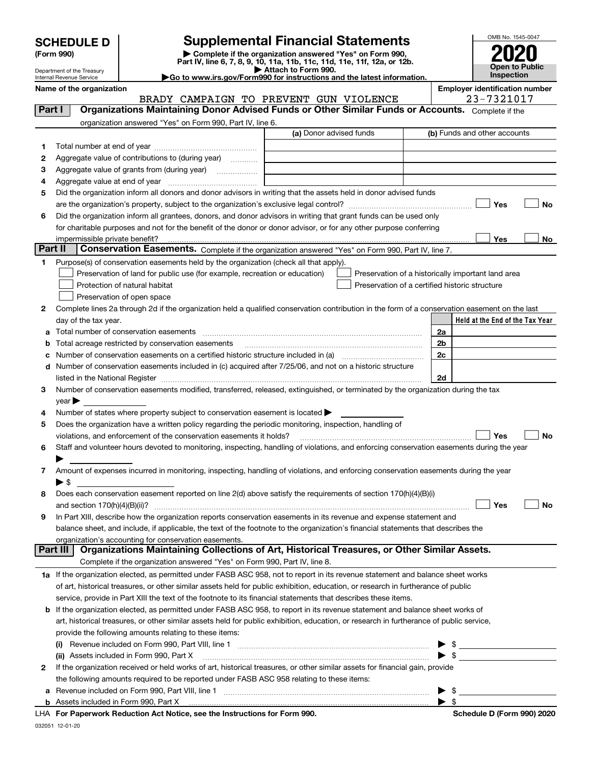|  | <b>SCHEDULE D</b> |  |  |  |
|--|-------------------|--|--|--|
|--|-------------------|--|--|--|

| (Form 990) |  |
|------------|--|
|------------|--|

**(Form 990) | Complete if the organization answered "Yes" on Form 990, Part IV, line 6, 7, 8, 9, 10, 11a, 11b, 11c, 11d, 11e, 11f, 12a, or 12b. SCHEDULE D Supplemental Financial Statements**<br> **Form 990**<br>
Part IV, line 6, 7, 8, 9, 10, 11a, 11b, 11c, 11d, 11e, 11f, 12a, or 12b.



OMB No. 1545-0047

Department of the Treasury Internal Revenue Service

**| Attach to Form 990. |Go to www.irs.gov/Form990 for instructions and the latest information.**

|         | Name of the organization                                                                                                                                          | BRADY CAMPAIGN TO PREVENT GUN VIOLENCE | <b>Employer identification number</b><br>23-7321017 |
|---------|-------------------------------------------------------------------------------------------------------------------------------------------------------------------|----------------------------------------|-----------------------------------------------------|
| Part I  | Organizations Maintaining Donor Advised Funds or Other Similar Funds or Accounts. Complete if the                                                                 |                                        |                                                     |
|         | organization answered "Yes" on Form 990, Part IV, line 6.                                                                                                         |                                        |                                                     |
|         |                                                                                                                                                                   | (a) Donor advised funds                | (b) Funds and other accounts                        |
| 1       |                                                                                                                                                                   |                                        |                                                     |
| 2       | Aggregate value of contributions to (during year)                                                                                                                 |                                        |                                                     |
| з       | Aggregate value of grants from (during year)                                                                                                                      |                                        |                                                     |
| 4       |                                                                                                                                                                   |                                        |                                                     |
| 5       | Did the organization inform all donors and donor advisors in writing that the assets held in donor advised funds                                                  |                                        |                                                     |
|         |                                                                                                                                                                   |                                        | Yes<br>No                                           |
| 6       | Did the organization inform all grantees, donors, and donor advisors in writing that grant funds can be used only                                                 |                                        |                                                     |
|         | for charitable purposes and not for the benefit of the donor or donor advisor, or for any other purpose conferring                                                |                                        |                                                     |
|         | impermissible private benefit?                                                                                                                                    |                                        | Yes<br>No                                           |
| Part II | <b>Conservation Easements.</b> Complete if the organization answered "Yes" on Form 990, Part IV, line 7.                                                          |                                        |                                                     |
| 1.      | Purpose(s) of conservation easements held by the organization (check all that apply).                                                                             |                                        |                                                     |
|         | Preservation of land for public use (for example, recreation or education)                                                                                        |                                        | Preservation of a historically important land area  |
|         | Protection of natural habitat                                                                                                                                     |                                        | Preservation of a certified historic structure      |
|         | Preservation of open space                                                                                                                                        |                                        |                                                     |
| 2       | Complete lines 2a through 2d if the organization held a qualified conservation contribution in the form of a conservation easement on the last                    |                                        |                                                     |
|         | day of the tax year.                                                                                                                                              |                                        | Held at the End of the Tax Year                     |
| a       |                                                                                                                                                                   |                                        | 2a                                                  |
| b       | Total acreage restricted by conservation easements                                                                                                                |                                        | 2b                                                  |
| с       |                                                                                                                                                                   |                                        | 2c                                                  |
|         | d Number of conservation easements included in (c) acquired after 7/25/06, and not on a historic structure                                                        |                                        |                                                     |
|         |                                                                                                                                                                   |                                        | 2d                                                  |
| 3       | Number of conservation easements modified, transferred, released, extinguished, or terminated by the organization during the tax                                  |                                        |                                                     |
|         | $year \blacktriangleright$                                                                                                                                        |                                        |                                                     |
| 4       | Number of states where property subject to conservation easement is located >                                                                                     |                                        |                                                     |
| 5       | Does the organization have a written policy regarding the periodic monitoring, inspection, handling of                                                            |                                        |                                                     |
|         | violations, and enforcement of the conservation easements it holds?                                                                                               |                                        | Yes<br><b>No</b>                                    |
| 6       | Staff and volunteer hours devoted to monitoring, inspecting, handling of violations, and enforcing conservation easements during the year                         |                                        |                                                     |
|         |                                                                                                                                                                   |                                        |                                                     |
| 7       | Amount of expenses incurred in monitoring, inspecting, handling of violations, and enforcing conservation easements during the year                               |                                        |                                                     |
|         | $\blacktriangleright$ \$                                                                                                                                          |                                        |                                                     |
| 8       | Does each conservation easement reported on line 2(d) above satisfy the requirements of section 170(h)(4)(B)(i)                                                   |                                        |                                                     |
|         |                                                                                                                                                                   |                                        | Yes<br>No                                           |
|         | In Part XIII, describe how the organization reports conservation easements in its revenue and expense statement and                                               |                                        |                                                     |
|         | balance sheet, and include, if applicable, the text of the footnote to the organization's financial statements that describes the                                 |                                        |                                                     |
|         | organization's accounting for conservation easements.<br>Organizations Maintaining Collections of Art, Historical Treasures, or Other Similar Assets.<br>Part III |                                        |                                                     |
|         | Complete if the organization answered "Yes" on Form 990, Part IV, line 8.                                                                                         |                                        |                                                     |
|         | 1a If the organization elected, as permitted under FASB ASC 958, not to report in its revenue statement and balance sheet works                                   |                                        |                                                     |
|         | of art, historical treasures, or other similar assets held for public exhibition, education, or research in furtherance of public                                 |                                        |                                                     |
|         | service, provide in Part XIII the text of the footnote to its financial statements that describes these items.                                                    |                                        |                                                     |
|         | <b>b</b> If the organization elected, as permitted under FASB ASC 958, to report in its revenue statement and balance sheet works of                              |                                        |                                                     |
|         | art, historical treasures, or other similar assets held for public exhibition, education, or research in furtherance of public service,                           |                                        |                                                     |
|         | provide the following amounts relating to these items:                                                                                                            |                                        |                                                     |
|         | $\left( 1\right)$                                                                                                                                                 |                                        | $\frac{1}{2}$                                       |
|         | (ii) Assets included in Form 990, Part X                                                                                                                          |                                        | $\blacktriangleright$ \$                            |
| 2       | If the organization received or held works of art, historical treasures, or other similar assets for financial gain, provide                                      |                                        |                                                     |
|         | the following amounts required to be reported under FASB ASC 958 relating to these items:                                                                         |                                        |                                                     |
| а       |                                                                                                                                                                   |                                        | -\$                                                 |
|         |                                                                                                                                                                   |                                        | - \$                                                |

| <b>b</b> Assets included in Form 990, Part X |  |  |
|----------------------------------------------|--|--|

|  |  | LHA For Paperwork Reduction Act Notice, see the Instructions for Form 990. |
|--|--|----------------------------------------------------------------------------|
|--|--|----------------------------------------------------------------------------|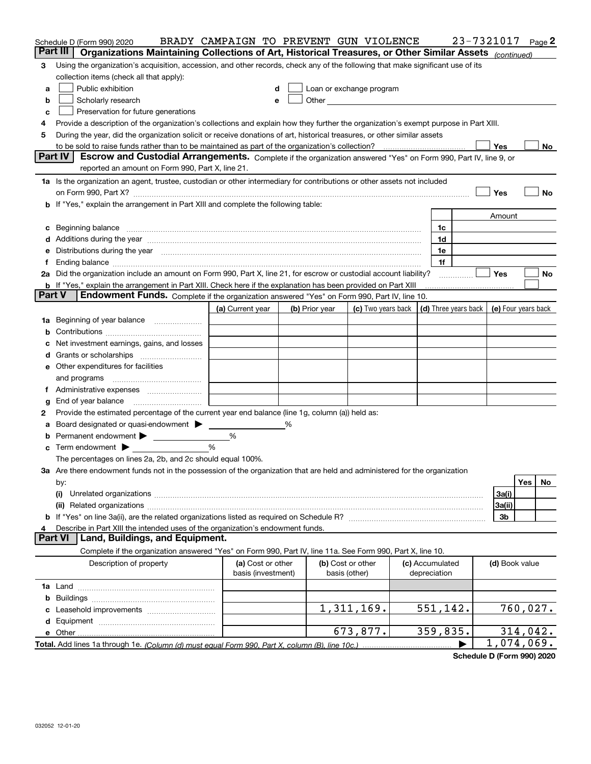|               | Schedule D (Form 990) 2020                                                                                                                                                                                                     | BRADY CAMPAIGN TO PREVENT GUN VIOLENCE |                |                                                      |                      | 23-7321017          | Page 2    |    |
|---------------|--------------------------------------------------------------------------------------------------------------------------------------------------------------------------------------------------------------------------------|----------------------------------------|----------------|------------------------------------------------------|----------------------|---------------------|-----------|----|
| Part III      | Organizations Maintaining Collections of Art, Historical Treasures, or Other Similar Assets (continued)                                                                                                                        |                                        |                |                                                      |                      |                     |           |    |
| З             | Using the organization's acquisition, accession, and other records, check any of the following that make significant use of its                                                                                                |                                        |                |                                                      |                      |                     |           |    |
|               | collection items (check all that apply):                                                                                                                                                                                       |                                        |                |                                                      |                      |                     |           |    |
| a             | Public exhibition                                                                                                                                                                                                              | d                                      |                | Loan or exchange program                             |                      |                     |           |    |
| b             | Scholarly research                                                                                                                                                                                                             | е                                      |                | Other <b>Committee Committee Committee Committee</b> |                      |                     |           |    |
| c             | Preservation for future generations                                                                                                                                                                                            |                                        |                |                                                      |                      |                     |           |    |
| 4             | Provide a description of the organization's collections and explain how they further the organization's exempt purpose in Part XIII.                                                                                           |                                        |                |                                                      |                      |                     |           |    |
| 5             | During the year, did the organization solicit or receive donations of art, historical treasures, or other similar assets                                                                                                       |                                        |                |                                                      |                      |                     |           |    |
|               | to be sold to raise funds rather than to be maintained as part of the organization's collection?                                                                                                                               |                                        |                |                                                      |                      | Yes                 |           | No |
|               | Part IV<br>Escrow and Custodial Arrangements. Complete if the organization answered "Yes" on Form 990, Part IV, line 9, or                                                                                                     |                                        |                |                                                      |                      |                     |           |    |
|               | reported an amount on Form 990, Part X, line 21.                                                                                                                                                                               |                                        |                |                                                      |                      |                     |           |    |
|               | 1a Is the organization an agent, trustee, custodian or other intermediary for contributions or other assets not included                                                                                                       |                                        |                |                                                      |                      |                     |           |    |
|               | on Form 990, Part X? [11] matter and the contract of the contract of the contract of the contract of the contract of the contract of the contract of the contract of the contract of the contract of the contract of the contr |                                        |                |                                                      |                      | Yes                 |           | No |
|               | b If "Yes," explain the arrangement in Part XIII and complete the following table:                                                                                                                                             |                                        |                |                                                      |                      |                     |           |    |
|               |                                                                                                                                                                                                                                |                                        |                |                                                      |                      | Amount              |           |    |
|               | c Beginning balance measurements and the contract of the contract of the contract of the contract of the contract of the contract of the contract of the contract of the contract of the contract of the contract of the contr |                                        |                |                                                      | 1c                   |                     |           |    |
|               |                                                                                                                                                                                                                                |                                        |                |                                                      | 1d                   |                     |           |    |
|               | Distributions during the year manufactured and continuum and contract the year manufactured and the year manufactured and the year manufactured and the year manufactured and the year manufactured and the year manufactured  |                                        |                |                                                      | 1e                   |                     |           |    |
|               |                                                                                                                                                                                                                                |                                        |                |                                                      | 1f                   |                     |           |    |
|               | 2a Did the organization include an amount on Form 990, Part X, line 21, for escrow or custodial account liability?                                                                                                             |                                        |                |                                                      |                      | Yes                 |           | No |
| <b>Part V</b> | <b>b</b> If "Yes," explain the arrangement in Part XIII. Check here if the explanation has been provided on Part XIII<br>Endowment Funds. Complete if the organization answered "Yes" on Form 990, Part IV, line 10.           |                                        |                |                                                      |                      |                     |           |    |
|               |                                                                                                                                                                                                                                | (a) Current year                       |                | (c) Two years back                                   | (d) Three years back | (e) Four years back |           |    |
|               | Beginning of year balance                                                                                                                                                                                                      |                                        | (b) Prior year |                                                      |                      |                     |           |    |
| 1a<br>b       |                                                                                                                                                                                                                                |                                        |                |                                                      |                      |                     |           |    |
|               | Net investment earnings, gains, and losses                                                                                                                                                                                     |                                        |                |                                                      |                      |                     |           |    |
|               |                                                                                                                                                                                                                                |                                        |                |                                                      |                      |                     |           |    |
|               | e Other expenditures for facilities                                                                                                                                                                                            |                                        |                |                                                      |                      |                     |           |    |
|               | and programs                                                                                                                                                                                                                   |                                        |                |                                                      |                      |                     |           |    |
|               |                                                                                                                                                                                                                                |                                        |                |                                                      |                      |                     |           |    |
| g             | End of year balance                                                                                                                                                                                                            |                                        |                |                                                      |                      |                     |           |    |
| 2             | Provide the estimated percentage of the current year end balance (line 1g, column (a)) held as:                                                                                                                                |                                        |                |                                                      |                      |                     |           |    |
| а             | Board designated or quasi-endowment >                                                                                                                                                                                          |                                        |                |                                                      |                      |                     |           |    |
| b             |                                                                                                                                                                                                                                | %                                      |                |                                                      |                      |                     |           |    |
|               | <b>c</b> Term endowment $\blacktriangleright$                                                                                                                                                                                  | $\%$                                   |                |                                                      |                      |                     |           |    |
|               | The percentages on lines 2a, 2b, and 2c should equal 100%.                                                                                                                                                                     |                                        |                |                                                      |                      |                     |           |    |
|               | 3a Are there endowment funds not in the possession of the organization that are held and administered for the organization                                                                                                     |                                        |                |                                                      |                      |                     |           |    |
|               | by:                                                                                                                                                                                                                            |                                        |                |                                                      |                      |                     | Yes       | No |
|               | (i)                                                                                                                                                                                                                            |                                        |                |                                                      |                      | 3a(i)               |           |    |
|               |                                                                                                                                                                                                                                |                                        |                |                                                      |                      | 3a(ii)              |           |    |
|               |                                                                                                                                                                                                                                |                                        |                |                                                      |                      | 3b                  |           |    |
| 4             | Describe in Part XIII the intended uses of the organization's endowment funds.                                                                                                                                                 |                                        |                |                                                      |                      |                     |           |    |
|               | Land, Buildings, and Equipment.<br><b>Part VI</b>                                                                                                                                                                              |                                        |                |                                                      |                      |                     |           |    |
|               | Complete if the organization answered "Yes" on Form 990, Part IV, line 11a. See Form 990, Part X, line 10.                                                                                                                     |                                        |                |                                                      |                      |                     |           |    |
|               | Description of property                                                                                                                                                                                                        | (a) Cost or other                      |                | (b) Cost or other                                    | (c) Accumulated      | (d) Book value      |           |    |
|               |                                                                                                                                                                                                                                | basis (investment)                     |                | basis (other)                                        | depreciation         |                     |           |    |
|               |                                                                                                                                                                                                                                |                                        |                |                                                      |                      |                     |           |    |
|               |                                                                                                                                                                                                                                |                                        |                |                                                      |                      |                     |           |    |
|               |                                                                                                                                                                                                                                |                                        |                | 1,311,169.                                           | 551,142.             |                     | 760,027.  |    |
|               |                                                                                                                                                                                                                                |                                        |                |                                                      |                      |                     |           |    |
|               | e Other                                                                                                                                                                                                                        |                                        |                | 673,877.                                             | 359,835.             |                     | 314, 042. |    |
|               |                                                                                                                                                                                                                                |                                        |                |                                                      |                      | 1,074,069.          |           |    |

**Schedule D (Form 990) 2020**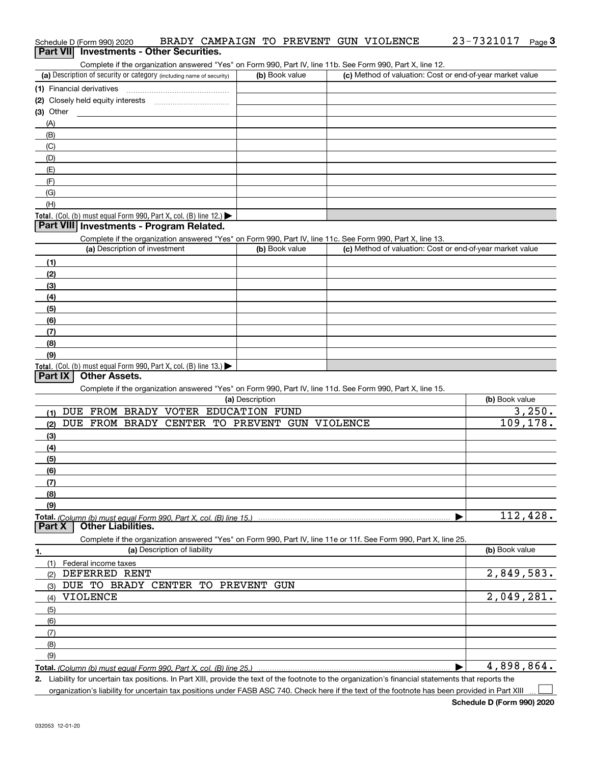| Complete if the organization answered "Yes" on Form 990, Part IV, line 11b. See Form 990, Part X, line 12.        |                 |                                                           |                |
|-------------------------------------------------------------------------------------------------------------------|-----------------|-----------------------------------------------------------|----------------|
| (a) Description of security or category (including name of security)                                              | (b) Book value  | (c) Method of valuation: Cost or end-of-year market value |                |
| (1) Financial derivatives                                                                                         |                 |                                                           |                |
| (2) Closely held equity interests                                                                                 |                 |                                                           |                |
| (3) Other                                                                                                         |                 |                                                           |                |
| (A)                                                                                                               |                 |                                                           |                |
| (B)                                                                                                               |                 |                                                           |                |
| (C)                                                                                                               |                 |                                                           |                |
|                                                                                                                   |                 |                                                           |                |
| (D)                                                                                                               |                 |                                                           |                |
| (E)                                                                                                               |                 |                                                           |                |
| (F)                                                                                                               |                 |                                                           |                |
| (G)                                                                                                               |                 |                                                           |                |
| (H)                                                                                                               |                 |                                                           |                |
| Total. (Col. (b) must equal Form 990, Part X, col. (B) line 12.)                                                  |                 |                                                           |                |
| Part VIII Investments - Program Related.                                                                          |                 |                                                           |                |
| Complete if the organization answered "Yes" on Form 990, Part IV, line 11c. See Form 990, Part X, line 13.        |                 |                                                           |                |
| (a) Description of investment                                                                                     | (b) Book value  | (c) Method of valuation: Cost or end-of-year market value |                |
| (1)                                                                                                               |                 |                                                           |                |
| (2)                                                                                                               |                 |                                                           |                |
| (3)                                                                                                               |                 |                                                           |                |
| (4)                                                                                                               |                 |                                                           |                |
| (5)                                                                                                               |                 |                                                           |                |
| (6)                                                                                                               |                 |                                                           |                |
| (7)                                                                                                               |                 |                                                           |                |
| (8)                                                                                                               |                 |                                                           |                |
|                                                                                                                   |                 |                                                           |                |
| (9)                                                                                                               |                 |                                                           |                |
| Total. (Col. (b) must equal Form 990, Part X, col. (B) line 13.)<br><b>Other Assets.</b><br>Part IX               |                 |                                                           |                |
|                                                                                                                   |                 |                                                           |                |
| Complete if the organization answered "Yes" on Form 990, Part IV, line 11d. See Form 990, Part X, line 15.        |                 |                                                           |                |
|                                                                                                                   | (a) Description |                                                           | (b) Book value |
| DUE FROM BRADY VOTER EDUCATION FUND<br>(1)                                                                        |                 |                                                           | 3,250.         |
| DUE FROM BRADY CENTER TO PREVENT GUN VIOLENCE<br>(2)                                                              |                 |                                                           | 109,178.       |
| (3)                                                                                                               |                 |                                                           |                |
| (4)                                                                                                               |                 |                                                           |                |
| (5)                                                                                                               |                 |                                                           |                |
| (6)                                                                                                               |                 |                                                           |                |
| (7)                                                                                                               |                 |                                                           |                |
| (8)                                                                                                               |                 |                                                           |                |
| (9)                                                                                                               |                 |                                                           |                |
|                                                                                                                   |                 |                                                           | 112,428.       |
| <b>Other Liabilities.</b><br>Part X                                                                               |                 |                                                           |                |
| Complete if the organization answered "Yes" on Form 990, Part IV, line 11e or 11f. See Form 990, Part X, line 25. |                 |                                                           |                |
| (a) Description of liability<br>1.                                                                                |                 |                                                           | (b) Book value |
| (1)<br>Federal income taxes                                                                                       |                 |                                                           |                |
| DEFERRED RENT<br>(2)                                                                                              |                 |                                                           | 2,849,583.     |
| DUE TO BRADY CENTER TO                                                                                            | PREVENT GUN     |                                                           |                |
| (3)<br><b>VIOLENCE</b>                                                                                            |                 |                                                           | 2,049,281.     |
| (4)                                                                                                               |                 |                                                           |                |
| (5)                                                                                                               |                 |                                                           |                |
| (6)                                                                                                               |                 |                                                           |                |
| (7)                                                                                                               |                 |                                                           |                |

Schedule D (Form 990) 2020 BRADY CAMPAIGN TO PREVENT GUN VIOLENCE 23-7321017 page

**Total.**  *(Column (b) must equal Form 990, Part X, col. (B) line 25.)* |

**Part VII** Investments - Other Securities.

**2.** Liability for uncertain tax positions. In Part XIII, provide the text of the footnote to the organization's financial statements that reports the

organization's liability for uncertain tax positions under FASB ASC 740. Check here if the text of the footnote has been provided in Part XIII

4,898,864.

 $\Box$ 

**3** 23-7321017

(8) (9)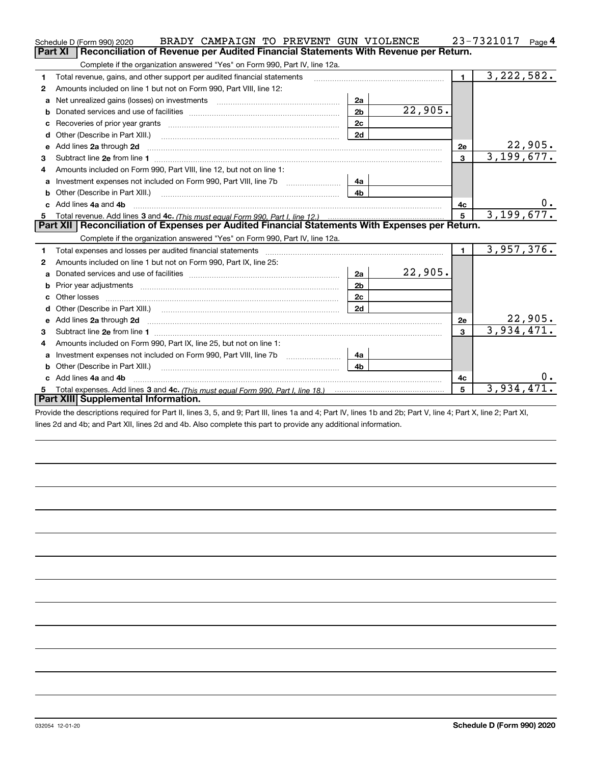|    | BRADY CAMPAIGN TO PREVENT GUN VIOLENCE<br>Schedule D (Form 990) 2020                                                     |                |         |                | 23-7321017<br>Page 4       |
|----|--------------------------------------------------------------------------------------------------------------------------|----------------|---------|----------------|----------------------------|
|    | Part XI<br>Reconciliation of Revenue per Audited Financial Statements With Revenue per Return.                           |                |         |                |                            |
|    | Complete if the organization answered "Yes" on Form 990, Part IV, line 12a.                                              |                |         |                |                            |
| 1  | Total revenue, gains, and other support per audited financial statements                                                 |                |         | $\blacksquare$ | $\overline{3,222,582.}$    |
| 2  | Amounts included on line 1 but not on Form 990, Part VIII, line 12:                                                      |                |         |                |                            |
| a  | Net unrealized gains (losses) on investments [11] matter contracts and the unrealized gains (losses) on investments      | 2a             |         |                |                            |
|    |                                                                                                                          | 2 <sub>b</sub> | 22,905. |                |                            |
| с  |                                                                                                                          | 2c             |         |                |                            |
| d  |                                                                                                                          | 2d             |         |                |                            |
| е  | Add lines 2a through 2d                                                                                                  |                |         | 2e             | $\frac{22,905}{3,199,677}$ |
| 3  |                                                                                                                          |                |         | 3              |                            |
| 4  | Amounts included on Form 990, Part VIII, line 12, but not on line 1:                                                     |                |         |                |                            |
|    |                                                                                                                          | 4a             |         |                |                            |
|    |                                                                                                                          | 4 <sub>b</sub> |         |                |                            |
| c. | Add lines 4a and 4b                                                                                                      |                |         | 4с             |                            |
|    |                                                                                                                          |                |         | 5              | 3,199,677.                 |
|    |                                                                                                                          |                |         |                |                            |
|    | Part XII   Reconciliation of Expenses per Audited Financial Statements With Expenses per Return.                         |                |         |                |                            |
|    | Complete if the organization answered "Yes" on Form 990, Part IV, line 12a.                                              |                |         |                |                            |
| 1  |                                                                                                                          |                |         | $\blacksquare$ | 3,957,376.                 |
| 2  | Amounts included on line 1 but not on Form 990, Part IX, line 25:                                                        |                |         |                |                            |
| a  |                                                                                                                          | 2a             | 22,905. |                |                            |
| b  |                                                                                                                          | 2 <sub>b</sub> |         |                |                            |
| с  | Other losses                                                                                                             | 2 <sub>c</sub> |         |                |                            |
| d  |                                                                                                                          | 2d             |         |                |                            |
|    | Add lines 2a through 2d <b>must be a constructed as the constant of the constant of the constant of the construction</b> |                |         | <b>2e</b>      | <u>22,905.</u>             |
| з  |                                                                                                                          |                |         | $\mathbf{3}$   | 3,934,471.                 |
| 4  | Amounts included on Form 990, Part IX, line 25, but not on line 1:                                                       |                |         |                |                            |
| a  |                                                                                                                          | 4a             |         |                |                            |
| b  | Other (Describe in Part XIII.)                                                                                           | 4 <sub>b</sub> |         |                |                            |
| c. | Add lines 4a and 4b                                                                                                      |                |         | 4с             |                            |
|    | Part XIII Supplemental Information.                                                                                      |                |         | 5              | 3,934,471                  |

Provide the descriptions required for Part II, lines 3, 5, and 9; Part III, lines 1a and 4; Part IV, lines 1b and 2b; Part V, line 4; Part X, line 2; Part XI, lines 2d and 4b; and Part XII, lines 2d and 4b. Also complete this part to provide any additional information.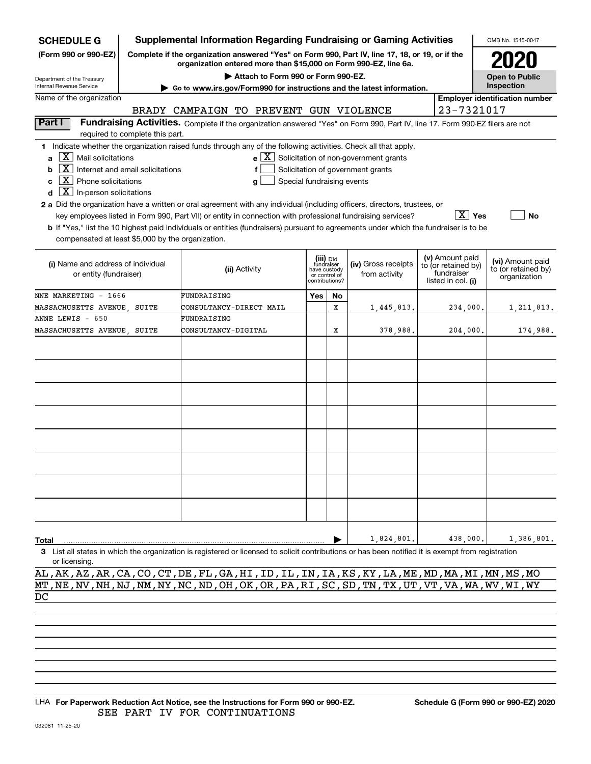| <b>SCHEDULE G</b>                                                                                                                                                                                                          |                                                                                                                                                                                                                   | <b>Supplemental Information Regarding Fundraising or Gaming Activities</b>                                                                                                                                                                                                                                                                                                                           |     |           |                                                                                                              |                                                         | OMB No. 1545-0047                     |
|----------------------------------------------------------------------------------------------------------------------------------------------------------------------------------------------------------------------------|-------------------------------------------------------------------------------------------------------------------------------------------------------------------------------------------------------------------|------------------------------------------------------------------------------------------------------------------------------------------------------------------------------------------------------------------------------------------------------------------------------------------------------------------------------------------------------------------------------------------------------|-----|-----------|--------------------------------------------------------------------------------------------------------------|---------------------------------------------------------|---------------------------------------|
| (Form 990 or 990-EZ)                                                                                                                                                                                                       |                                                                                                                                                                                                                   | Complete if the organization answered "Yes" on Form 990, Part IV, line 17, 18, or 19, or if the<br>organization entered more than \$15,000 on Form 990-EZ, line 6a.                                                                                                                                                                                                                                  |     |           |                                                                                                              |                                                         |                                       |
| Department of the Treasury                                                                                                                                                                                                 |                                                                                                                                                                                                                   | Attach to Form 990 or Form 990-EZ.                                                                                                                                                                                                                                                                                                                                                                   |     |           |                                                                                                              |                                                         | <b>Open to Public</b>                 |
| Internal Revenue Service                                                                                                                                                                                                   |                                                                                                                                                                                                                   | Go to www.irs.gov/Form990 for instructions and the latest information.                                                                                                                                                                                                                                                                                                                               |     |           |                                                                                                              |                                                         | Inspection                            |
| Name of the organization                                                                                                                                                                                                   |                                                                                                                                                                                                                   |                                                                                                                                                                                                                                                                                                                                                                                                      |     |           |                                                                                                              |                                                         | <b>Employer identification number</b> |
|                                                                                                                                                                                                                            |                                                                                                                                                                                                                   | BRADY CAMPAIGN TO PREVENT GUN VIOLENCE                                                                                                                                                                                                                                                                                                                                                               |     |           |                                                                                                              | 23-7321017                                              |                                       |
| Part I                                                                                                                                                                                                                     | required to complete this part.                                                                                                                                                                                   | Fundraising Activities. Complete if the organization answered "Yes" on Form 990, Part IV, line 17. Form 990-EZ filers are not                                                                                                                                                                                                                                                                        |     |           |                                                                                                              |                                                         |                                       |
| $\lfloor X \rfloor$ Mail solicitations<br>$\mathbf{a}$<br>$\boxed{\textbf{X}}$ Internet and email solicitations<br>b<br>$\boxed{\textbf{X}}$ Phone solicitations<br>C<br>$\boxed{\textbf{X}}$ In-person solicitations<br>d |                                                                                                                                                                                                                   | 1 Indicate whether the organization raised funds through any of the following activities. Check all that apply.<br>f<br>Special fundraising events<br>g<br>2 a Did the organization have a written or oral agreement with any individual (including officers, directors, trustees, or<br>key employees listed in Form 990, Part VII) or entity in connection with professional fundraising services? |     |           | $\mathbf{e}$ $\boxed{\mathbf{X}}$ Solicitation of non-government grants<br>Solicitation of government grants | $\boxed{\text{X}}$ Yes                                  | No                                    |
| compensated at least \$5,000 by the organization.                                                                                                                                                                          |                                                                                                                                                                                                                   | <b>b</b> If "Yes," list the 10 highest paid individuals or entities (fundraisers) pursuant to agreements under which the fundraiser is to be                                                                                                                                                                                                                                                         |     |           |                                                                                                              |                                                         |                                       |
| (i) Name and address of individual<br>or entity (fundraiser)                                                                                                                                                               | (v) Amount paid<br>(iii) Did<br>fundraiser<br>(iv) Gross receipts<br>to (or retained by)<br>(ii) Activity<br>have custody<br>fundraiser<br>from activity<br>or control of<br>listed in col. (i)<br>contributions? |                                                                                                                                                                                                                                                                                                                                                                                                      |     |           |                                                                                                              | (vi) Amount paid<br>to (or retained by)<br>organization |                                       |
| NNE MARKETING - 1666                                                                                                                                                                                                       |                                                                                                                                                                                                                   | FUNDRAISING                                                                                                                                                                                                                                                                                                                                                                                          | Yes | <b>No</b> |                                                                                                              |                                                         |                                       |
| MASSACHUSETTS AVENUE, SUITE                                                                                                                                                                                                |                                                                                                                                                                                                                   | CONSULTANCY-DIRECT MAIL                                                                                                                                                                                                                                                                                                                                                                              |     | x         | 1,445,813.                                                                                                   | 234,000.                                                | 1,211,813.                            |
| ANNE LEWIS - 650                                                                                                                                                                                                           |                                                                                                                                                                                                                   | FUNDRAISING                                                                                                                                                                                                                                                                                                                                                                                          |     |           |                                                                                                              |                                                         |                                       |
| MASSACHUSETTS AVENUE, SUITE                                                                                                                                                                                                |                                                                                                                                                                                                                   | <b>CONSULTANCY-DIGITAL</b>                                                                                                                                                                                                                                                                                                                                                                           |     | х         | 378,988.                                                                                                     | 204,000.                                                | 174,988.                              |
|                                                                                                                                                                                                                            |                                                                                                                                                                                                                   |                                                                                                                                                                                                                                                                                                                                                                                                      |     |           |                                                                                                              |                                                         |                                       |
|                                                                                                                                                                                                                            |                                                                                                                                                                                                                   |                                                                                                                                                                                                                                                                                                                                                                                                      |     |           |                                                                                                              |                                                         |                                       |
|                                                                                                                                                                                                                            |                                                                                                                                                                                                                   |                                                                                                                                                                                                                                                                                                                                                                                                      |     |           |                                                                                                              |                                                         |                                       |
|                                                                                                                                                                                                                            |                                                                                                                                                                                                                   |                                                                                                                                                                                                                                                                                                                                                                                                      |     |           |                                                                                                              |                                                         |                                       |
|                                                                                                                                                                                                                            |                                                                                                                                                                                                                   |                                                                                                                                                                                                                                                                                                                                                                                                      |     |           |                                                                                                              |                                                         |                                       |
|                                                                                                                                                                                                                            |                                                                                                                                                                                                                   |                                                                                                                                                                                                                                                                                                                                                                                                      |     |           |                                                                                                              |                                                         |                                       |
|                                                                                                                                                                                                                            |                                                                                                                                                                                                                   |                                                                                                                                                                                                                                                                                                                                                                                                      |     |           |                                                                                                              |                                                         |                                       |
|                                                                                                                                                                                                                            |                                                                                                                                                                                                                   |                                                                                                                                                                                                                                                                                                                                                                                                      |     |           |                                                                                                              |                                                         |                                       |
| Total                                                                                                                                                                                                                      |                                                                                                                                                                                                                   |                                                                                                                                                                                                                                                                                                                                                                                                      |     |           | 1,824,801.                                                                                                   | 438,000.                                                | 1,386,801.                            |
|                                                                                                                                                                                                                            |                                                                                                                                                                                                                   | 3 List all states in which the organization is registered or licensed to solicit contributions or has been notified it is exempt from registration                                                                                                                                                                                                                                                   |     |           |                                                                                                              |                                                         |                                       |
| or licensing.                                                                                                                                                                                                              |                                                                                                                                                                                                                   |                                                                                                                                                                                                                                                                                                                                                                                                      |     |           |                                                                                                              |                                                         |                                       |

AL,AK,AZ,AR,CA,CO,CT,DE,FL,GA,HI,ID,IL,IN,IA,KS,KY,LA,ME,MD,MA,MI,MN,MS,MO MT,NE,NV,NH,NJ,NM,NY,NC,ND,OH,OK,OR,PA,RI,SC,SD,TN,TX,UT,VT,VA,WA,WV,WI,WY DC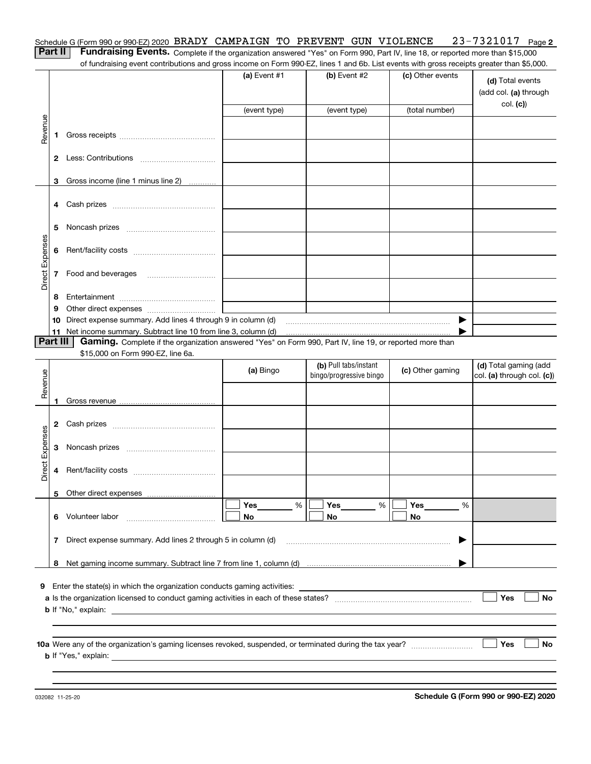| Schedule G (Form 990 or 990-EZ) 2020 BRADY CAMPAIGN TO PREVENT GUN VIOLENCE 23-7321017 Page 2 |  |  |  |
|-----------------------------------------------------------------------------------------------|--|--|--|
|                                                                                               |  |  |  |

Part II | Fundraising Events. Complete if the organization answered "Yes" on Form 990, Part IV, line 18, or reported more than \$15,000 of fundraising event contributions and gross income on Form 990-EZ, lines 1 and 6b. List events with gross receipts greater than \$5,000.

|                 |    |                                                                                                               | (a) Event $#1$                                 | $(b)$ Event #2                                   | (c) Other events | (d) Total events<br>(add col. (a) through<br>col. (c) |
|-----------------|----|---------------------------------------------------------------------------------------------------------------|------------------------------------------------|--------------------------------------------------|------------------|-------------------------------------------------------|
|                 |    |                                                                                                               | (event type)                                   | (event type)                                     | (total number)   |                                                       |
| Revenue         | 1. |                                                                                                               |                                                |                                                  |                  |                                                       |
|                 |    |                                                                                                               |                                                |                                                  |                  |                                                       |
|                 |    | 3 Gross income (line 1 minus line 2)<br>.                                                                     |                                                |                                                  |                  |                                                       |
|                 |    |                                                                                                               |                                                |                                                  |                  |                                                       |
|                 | 5. |                                                                                                               |                                                |                                                  |                  |                                                       |
|                 | 6  |                                                                                                               |                                                |                                                  |                  |                                                       |
| Direct Expenses | 7  | Food and beverages                                                                                            |                                                |                                                  |                  |                                                       |
|                 | 8  |                                                                                                               |                                                |                                                  |                  |                                                       |
|                 | 9  |                                                                                                               | <u> 1989 - John Stein, mars and de Branden</u> |                                                  |                  |                                                       |
|                 |    | 10 Direct expense summary. Add lines 4 through 9 in column (d)                                                |                                                |                                                  | ▶                |                                                       |
|                 |    | 11 Net income summary. Subtract line 10 from line 3, column (d)                                               |                                                |                                                  |                  |                                                       |
| <b>Part III</b> |    | Gaming. Complete if the organization answered "Yes" on Form 990, Part IV, line 19, or reported more than      |                                                |                                                  |                  |                                                       |
|                 |    | \$15,000 on Form 990-EZ, line 6a.                                                                             |                                                |                                                  |                  |                                                       |
|                 |    |                                                                                                               | (a) Bingo                                      | (b) Pull tabs/instant<br>bingo/progressive bingo | (c) Other gaming | (d) Total gaming (add<br>col. (a) through col. (c))   |
| Revenue         |    |                                                                                                               |                                                |                                                  |                  |                                                       |
|                 |    |                                                                                                               |                                                |                                                  |                  |                                                       |
|                 |    |                                                                                                               |                                                |                                                  |                  |                                                       |
|                 | 2  |                                                                                                               |                                                |                                                  |                  |                                                       |
| Direct Expenses | 3  |                                                                                                               |                                                |                                                  |                  |                                                       |
|                 | 4  |                                                                                                               |                                                |                                                  |                  |                                                       |
|                 |    |                                                                                                               |                                                |                                                  |                  |                                                       |
|                 |    |                                                                                                               | Yes<br>%                                       | Yes<br>%                                         | Yes<br>%         |                                                       |
|                 | 6  | Volunteer labor                                                                                               | No                                             | No                                               | No               |                                                       |
|                 | 7  | Direct expense summary. Add lines 2 through 5 in column (d)                                                   |                                                |                                                  |                  |                                                       |
|                 | 8  |                                                                                                               |                                                |                                                  |                  |                                                       |
|                 |    | 9 Enter the state(s) in which the organization conducts gaming activities:                                    |                                                |                                                  |                  |                                                       |
|                 |    |                                                                                                               |                                                |                                                  |                  | Yes<br>No                                             |
|                 |    | <b>b</b> If "No," explain:<br>the contract of the contract of the contract of the contract of the contract of |                                                |                                                  |                  |                                                       |
|                 |    |                                                                                                               |                                                |                                                  |                  |                                                       |
|                 |    |                                                                                                               |                                                |                                                  |                  |                                                       |
|                 |    |                                                                                                               |                                                |                                                  |                  | Yes<br>No                                             |
|                 |    |                                                                                                               |                                                |                                                  |                  |                                                       |
|                 |    |                                                                                                               |                                                |                                                  |                  |                                                       |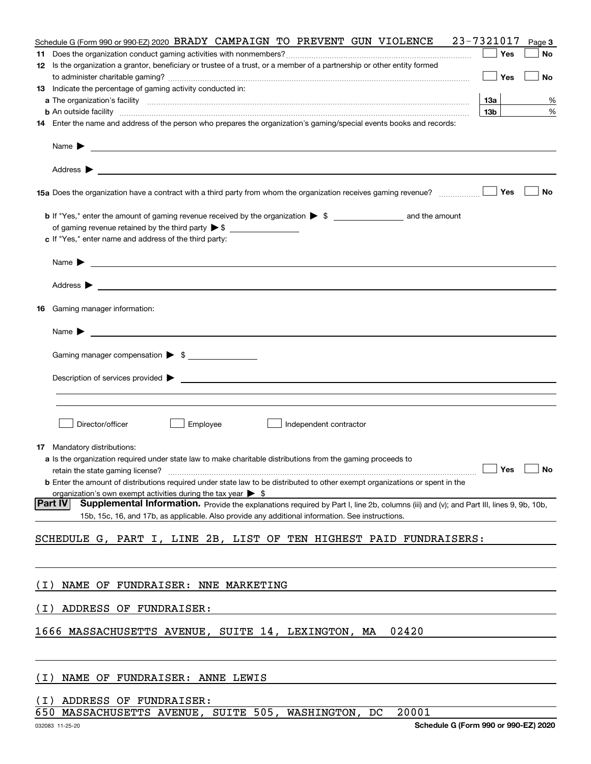| 23-7321017<br>Schedule G (Form 990 or 990-EZ) 2020 BRADY CAMPAIGN TO PREVENT GUN VIOLENCE                                                                                                                                                | Page 3 |
|------------------------------------------------------------------------------------------------------------------------------------------------------------------------------------------------------------------------------------------|--------|
| Yes                                                                                                                                                                                                                                      | No     |
| 12 Is the organization a grantor, beneficiary or trustee of a trust, or a member of a partnership or other entity formed<br>Yes                                                                                                          | No     |
| 13 Indicate the percentage of gaming activity conducted in:                                                                                                                                                                              |        |
| 13a                                                                                                                                                                                                                                      | %      |
| 13 <sub>b</sub><br><b>b</b> An outside facility <i>www.communicality www.communicality.communicality www.communicality www.communicality.com</i>                                                                                         | %      |
| 14 Enter the name and address of the person who prepares the organization's gaming/special events books and records:                                                                                                                     |        |
| Name $\blacktriangleright$ $\blacksquare$                                                                                                                                                                                                |        |
|                                                                                                                                                                                                                                          |        |
| Yes<br>15a Does the organization have a contract with a third party from whom the organization receives gaming revenue?                                                                                                                  | No     |
|                                                                                                                                                                                                                                          |        |
|                                                                                                                                                                                                                                          |        |
| c If "Yes," enter name and address of the third party:                                                                                                                                                                                   |        |
|                                                                                                                                                                                                                                          |        |
|                                                                                                                                                                                                                                          |        |
| <b>16</b> Gaming manager information:                                                                                                                                                                                                    |        |
|                                                                                                                                                                                                                                          |        |
| Gaming manager compensation > \$                                                                                                                                                                                                         |        |
|                                                                                                                                                                                                                                          |        |
|                                                                                                                                                                                                                                          |        |
|                                                                                                                                                                                                                                          |        |
|                                                                                                                                                                                                                                          |        |
| Director/officer<br>Employee<br>Independent contractor                                                                                                                                                                                   |        |
| <b>17</b> Mandatory distributions:                                                                                                                                                                                                       |        |
| a Is the organization required under state law to make charitable distributions from the gaming proceeds to                                                                                                                              |        |
| retain the state gaming license? <b>Construction and the state gaming license</b> ? No                                                                                                                                                   |        |
| <b>b</b> Enter the amount of distributions required under state law to be distributed to other exempt organizations or spent in the                                                                                                      |        |
| organization's own exempt activities during the tax year $\triangleright$ \$<br><b>Part IV</b><br>Supplemental Information. Provide the explanations required by Part I, line 2b, columns (iii) and (v); and Part III, lines 9, 9b, 10b, |        |
| 15b, 15c, 16, and 17b, as applicable. Also provide any additional information. See instructions.                                                                                                                                         |        |
| SCHEDULE G, PART I, LINE 2B, LIST OF TEN HIGHEST PAID FUNDRAISERS:                                                                                                                                                                       |        |
|                                                                                                                                                                                                                                          |        |
| NAME OF FUNDRAISER: NNE MARKETING<br>( I )                                                                                                                                                                                               |        |
| ADDRESS OF FUNDRAISER:<br>( I )                                                                                                                                                                                                          |        |
| 1666 MASSACHUSETTS AVENUE, SUITE 14, LEXINGTON, MA<br>02420                                                                                                                                                                              |        |
|                                                                                                                                                                                                                                          |        |
| NAME OF FUNDRAISER: ANNE LEWIS<br>( I )                                                                                                                                                                                                  |        |
| ADDRESS OF FUNDRAISER:<br>$\perp$                                                                                                                                                                                                        |        |
| MASSACHUSETTS AVENUE, SUITE 505, WASHINGTON,<br>20001<br>650<br>DC                                                                                                                                                                       |        |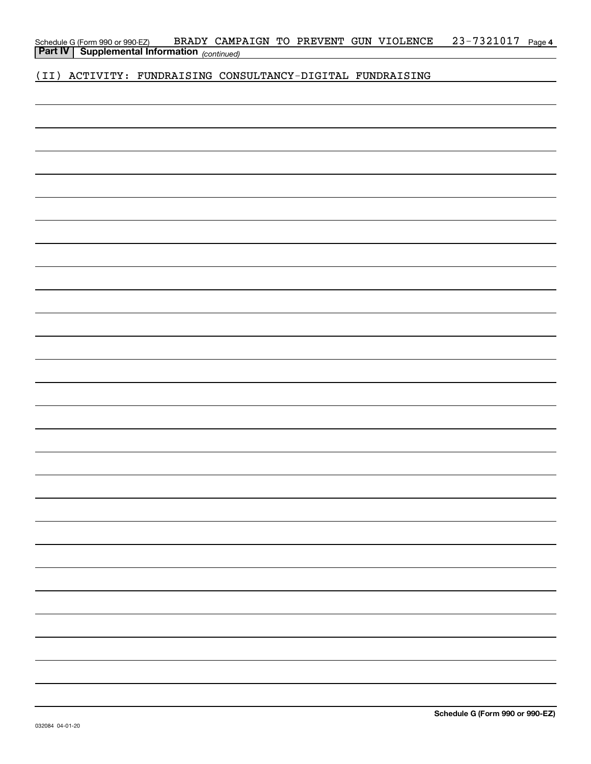| Schedule G (Form 990 or 990-EZ)                       |  |  | BRADY CAMPAIGN TO PREVENT GUN VIOLENCE | 23-7321017 Page 4 |  |
|-------------------------------------------------------|--|--|----------------------------------------|-------------------|--|
| <b>Part IV   Supplemental Information</b> (continued) |  |  |                                        |                   |  |

(II) ACTIVITY: FUNDRAISING CONSULTANCY-DIGITAL FUNDRAISING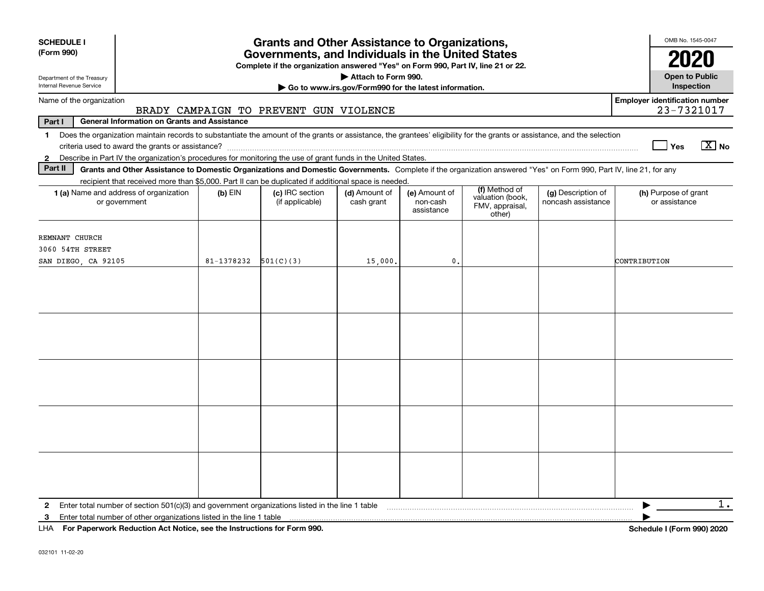| <b>SCHEDULE I</b>                                                                                                                                                                                                                                                         |            | <b>Grants and Other Assistance to Organizations,</b>                                                                                  |                                                                              |                                         |                                                                |                                          | OMB No. 1545-0047                                                                                                                                                                                                                                                                                                                           |
|---------------------------------------------------------------------------------------------------------------------------------------------------------------------------------------------------------------------------------------------------------------------------|------------|---------------------------------------------------------------------------------------------------------------------------------------|------------------------------------------------------------------------------|-----------------------------------------|----------------------------------------------------------------|------------------------------------------|---------------------------------------------------------------------------------------------------------------------------------------------------------------------------------------------------------------------------------------------------------------------------------------------------------------------------------------------|
| (Form 990)                                                                                                                                                                                                                                                                |            | Governments, and Individuals in the United States<br>Complete if the organization answered "Yes" on Form 990, Part IV, line 21 or 22. |                                                                              |                                         |                                                                |                                          | 2020                                                                                                                                                                                                                                                                                                                                        |
| Department of the Treasury<br>Internal Revenue Service                                                                                                                                                                                                                    |            |                                                                                                                                       | Attach to Form 990.<br>Go to www.irs.gov/Form990 for the latest information. |                                         |                                                                |                                          | <b>Open to Public</b><br>Inspection                                                                                                                                                                                                                                                                                                         |
| Name of the organization                                                                                                                                                                                                                                                  |            | BRADY CAMPAIGN TO PREVENT GUN VIOLENCE                                                                                                |                                                                              |                                         |                                                                |                                          | <b>Employer identification number</b><br>23-7321017                                                                                                                                                                                                                                                                                         |
| Part I<br><b>General Information on Grants and Assistance</b>                                                                                                                                                                                                             |            |                                                                                                                                       |                                                                              |                                         |                                                                |                                          |                                                                                                                                                                                                                                                                                                                                             |
| 1 Does the organization maintain records to substantiate the amount of the grants or assistance, the grantees' eligibility for the grants or assistance, and the selection                                                                                                |            |                                                                                                                                       |                                                                              |                                         |                                                                |                                          | $\boxed{\text{X}}$ No<br>Yes                                                                                                                                                                                                                                                                                                                |
| Describe in Part IV the organization's procedures for monitoring the use of grant funds in the United States.<br>$\mathbf{2}$<br>Part II                                                                                                                                  |            |                                                                                                                                       |                                                                              |                                         |                                                                |                                          |                                                                                                                                                                                                                                                                                                                                             |
| Grants and Other Assistance to Domestic Organizations and Domestic Governments. Complete if the organization answered "Yes" on Form 990, Part IV, line 21, for any<br>recipient that received more than \$5,000. Part II can be duplicated if additional space is needed. |            |                                                                                                                                       |                                                                              |                                         |                                                                |                                          |                                                                                                                                                                                                                                                                                                                                             |
| 1 (a) Name and address of organization<br>or government                                                                                                                                                                                                                   | $(b)$ EIN  | (c) IRC section<br>(if applicable)                                                                                                    | (d) Amount of<br>cash grant                                                  | (e) Amount of<br>non-cash<br>assistance | (f) Method of<br>valuation (book,<br>FMV, appraisal,<br>other) | (g) Description of<br>noncash assistance | (h) Purpose of grant<br>or assistance                                                                                                                                                                                                                                                                                                       |
| REMNANT CHURCH<br>3060 54TH STREET                                                                                                                                                                                                                                        |            |                                                                                                                                       |                                                                              |                                         |                                                                |                                          |                                                                                                                                                                                                                                                                                                                                             |
| SAN DIEGO, CA 92105                                                                                                                                                                                                                                                       | 81-1378232 | 501(C)(3)                                                                                                                             | 15,000.                                                                      | 0.                                      |                                                                |                                          | CONTRIBUTION                                                                                                                                                                                                                                                                                                                                |
|                                                                                                                                                                                                                                                                           |            |                                                                                                                                       |                                                                              |                                         |                                                                |                                          |                                                                                                                                                                                                                                                                                                                                             |
|                                                                                                                                                                                                                                                                           |            |                                                                                                                                       |                                                                              |                                         |                                                                |                                          |                                                                                                                                                                                                                                                                                                                                             |
|                                                                                                                                                                                                                                                                           |            |                                                                                                                                       |                                                                              |                                         |                                                                |                                          |                                                                                                                                                                                                                                                                                                                                             |
| 3                                                                                                                                                                                                                                                                         |            | $\sim$                                                                                                                                |                                                                              |                                         |                                                                |                                          | $1$ .<br>$\mathbf{r}$ $\mathbf{r}$ $\mathbf{r}$ $\mathbf{r}$ $\mathbf{r}$ $\mathbf{r}$ $\mathbf{r}$ $\mathbf{r}$ $\mathbf{r}$ $\mathbf{r}$ $\mathbf{r}$ $\mathbf{r}$ $\mathbf{r}$ $\mathbf{r}$ $\mathbf{r}$ $\mathbf{r}$ $\mathbf{r}$ $\mathbf{r}$ $\mathbf{r}$ $\mathbf{r}$ $\mathbf{r}$ $\mathbf{r}$ $\mathbf{r}$ $\mathbf{r}$ $\mathbf{$ |

**For Paperwork Reduction Act Notice, see the Instructions for Form 990. Schedule I (Form 990) 2020** LHA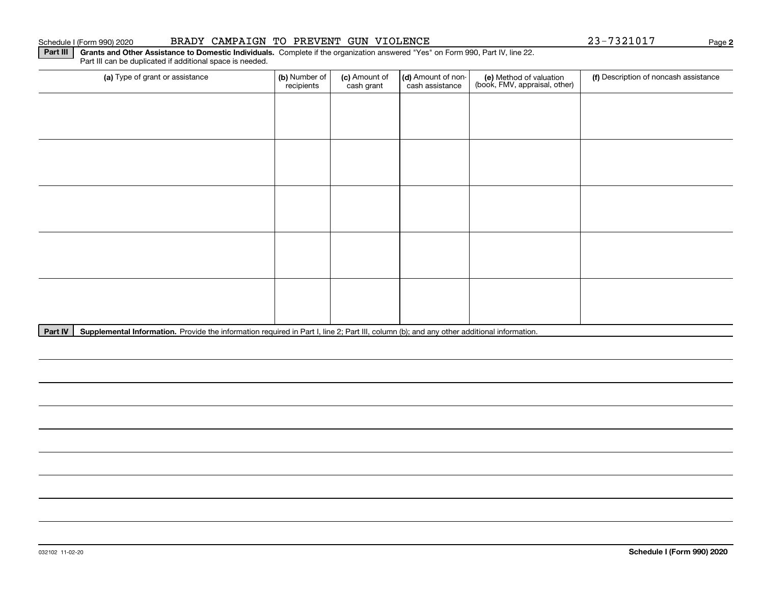#### Schedule I (Form 990) 2020 BRADY CAMPAIGN TO PREVENT GUN VIOLENCE 23-7321017 Page

**2**

Part III | Grants and Other Assistance to Domestic Individuals. Complete if the organization answered "Yes" on Form 990, Part IV, line 22. Part III can be duplicated if additional space is needed.

| (a) Type of grant or assistance | (b) Number of<br>recipients | (c) Amount of<br>cash grant | (d) Amount of non-<br>cash assistance | (e) Method of valuation<br>(book, FMV, appraisal, other) | (f) Description of noncash assistance |
|---------------------------------|-----------------------------|-----------------------------|---------------------------------------|----------------------------------------------------------|---------------------------------------|
|                                 |                             |                             |                                       |                                                          |                                       |
|                                 |                             |                             |                                       |                                                          |                                       |
|                                 |                             |                             |                                       |                                                          |                                       |
|                                 |                             |                             |                                       |                                                          |                                       |
|                                 |                             |                             |                                       |                                                          |                                       |
|                                 |                             |                             |                                       |                                                          |                                       |
|                                 |                             |                             |                                       |                                                          |                                       |
|                                 |                             |                             |                                       |                                                          |                                       |
|                                 |                             |                             |                                       |                                                          |                                       |
|                                 |                             |                             |                                       |                                                          |                                       |

Part IV | Supplemental Information. Provide the information required in Part I, line 2; Part III, column (b); and any other additional information.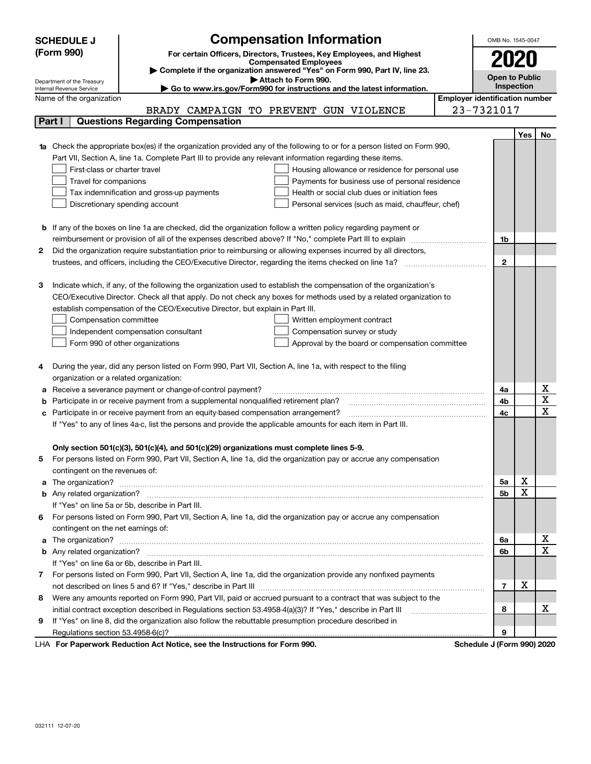|   | <b>SCHEDULE J</b>                                                                                                                                                             | <b>Compensation Information</b>                                                                                        |                                       | OMB No. 1545-0047                                                                         |             |             |  |  |
|---|-------------------------------------------------------------------------------------------------------------------------------------------------------------------------------|------------------------------------------------------------------------------------------------------------------------|---------------------------------------|-------------------------------------------------------------------------------------------|-------------|-------------|--|--|
|   | (Form 990)                                                                                                                                                                    | For certain Officers, Directors, Trustees, Key Employees, and Highest                                                  |                                       |                                                                                           |             |             |  |  |
|   |                                                                                                                                                                               | <b>Compensated Employees</b>                                                                                           |                                       |                                                                                           | 2020        |             |  |  |
|   | > Complete if the organization answered "Yes" on Form 990, Part IV, line 23.<br><b>Open to Public</b>                                                                         |                                                                                                                        |                                       |                                                                                           |             |             |  |  |
|   | Attach to Form 990.<br>Department of the Treasury<br>Internal Revenue Service<br>$\blacktriangleright$ Go to www.irs.gov/Form990 for instructions and the latest information. |                                                                                                                        |                                       |                                                                                           |             |             |  |  |
|   | Name of the organization                                                                                                                                                      |                                                                                                                        | <b>Employer identification number</b> |                                                                                           |             |             |  |  |
|   |                                                                                                                                                                               | BRADY CAMPAIGN TO PREVENT GUN VIOLENCE                                                                                 |                                       | 23-7321017                                                                                |             |             |  |  |
|   | Part I                                                                                                                                                                        | <b>Questions Regarding Compensation</b>                                                                                |                                       |                                                                                           |             |             |  |  |
|   |                                                                                                                                                                               |                                                                                                                        |                                       |                                                                                           | Yes         | No          |  |  |
|   |                                                                                                                                                                               | Check the appropriate box(es) if the organization provided any of the following to or for a person listed on Form 990, |                                       |                                                                                           |             |             |  |  |
|   |                                                                                                                                                                               | Part VII, Section A, line 1a. Complete Part III to provide any relevant information regarding these items.             |                                       |                                                                                           |             |             |  |  |
|   | First-class or charter travel                                                                                                                                                 | Housing allowance or residence for personal use                                                                        |                                       |                                                                                           |             |             |  |  |
|   | Travel for companions                                                                                                                                                         | Payments for business use of personal residence                                                                        |                                       |                                                                                           |             |             |  |  |
|   |                                                                                                                                                                               | Health or social club dues or initiation fees<br>Tax indemnification and gross-up payments                             |                                       |                                                                                           |             |             |  |  |
|   |                                                                                                                                                                               | Discretionary spending account<br>Personal services (such as maid, chauffeur, chef)                                    |                                       |                                                                                           |             |             |  |  |
|   |                                                                                                                                                                               |                                                                                                                        |                                       |                                                                                           |             |             |  |  |
|   |                                                                                                                                                                               | <b>b</b> If any of the boxes on line 1a are checked, did the organization follow a written policy regarding payment or |                                       |                                                                                           |             |             |  |  |
|   |                                                                                                                                                                               | reimbursement or provision of all of the expenses described above? If "No," complete Part III to explain               |                                       | 1b                                                                                        |             |             |  |  |
| 2 |                                                                                                                                                                               | Did the organization require substantiation prior to reimbursing or allowing expenses incurred by all directors,       |                                       |                                                                                           |             |             |  |  |
|   |                                                                                                                                                                               |                                                                                                                        |                                       | $\mathbf{2}$                                                                              |             |             |  |  |
|   |                                                                                                                                                                               |                                                                                                                        |                                       |                                                                                           |             |             |  |  |
| з |                                                                                                                                                                               | Indicate which, if any, of the following the organization used to establish the compensation of the organization's     |                                       |                                                                                           |             |             |  |  |
|   |                                                                                                                                                                               | CEO/Executive Director. Check all that apply. Do not check any boxes for methods used by a related organization to     |                                       |                                                                                           |             |             |  |  |
|   |                                                                                                                                                                               | establish compensation of the CEO/Executive Director, but explain in Part III.                                         |                                       |                                                                                           |             |             |  |  |
|   | Compensation committee                                                                                                                                                        | Written employment contract                                                                                            |                                       |                                                                                           |             |             |  |  |
|   |                                                                                                                                                                               | Compensation survey or study<br>Independent compensation consultant                                                    |                                       |                                                                                           |             |             |  |  |
|   |                                                                                                                                                                               | Form 990 of other organizations<br>Approval by the board or compensation committee                                     |                                       |                                                                                           |             |             |  |  |
|   |                                                                                                                                                                               |                                                                                                                        |                                       |                                                                                           |             |             |  |  |
| 4 |                                                                                                                                                                               | During the year, did any person listed on Form 990, Part VII, Section A, line 1a, with respect to the filing           |                                       |                                                                                           |             |             |  |  |
|   | organization or a related organization:                                                                                                                                       |                                                                                                                        |                                       |                                                                                           |             |             |  |  |
| а |                                                                                                                                                                               | Receive a severance payment or change-of-control payment?                                                              |                                       | 4a                                                                                        |             | х           |  |  |
| b |                                                                                                                                                                               | Participate in or receive payment from a supplemental nonqualified retirement plan?                                    |                                       | 4b                                                                                        |             | X           |  |  |
|   |                                                                                                                                                                               | Participate in or receive payment from an equity-based compensation arrangement?                                       |                                       | 4c                                                                                        |             | $\mathbf x$ |  |  |
|   |                                                                                                                                                                               | If "Yes" to any of lines 4a-c, list the persons and provide the applicable amounts for each item in Part III.          |                                       |                                                                                           |             |             |  |  |
|   |                                                                                                                                                                               |                                                                                                                        |                                       |                                                                                           |             |             |  |  |
|   |                                                                                                                                                                               | Only section 501(c)(3), 501(c)(4), and 501(c)(29) organizations must complete lines 5-9.                               |                                       |                                                                                           |             |             |  |  |
| 5 |                                                                                                                                                                               | For persons listed on Form 990, Part VII, Section A, line 1a, did the organization pay or accrue any compensation      |                                       |                                                                                           |             |             |  |  |
|   | contingent on the revenues of:                                                                                                                                                |                                                                                                                        |                                       |                                                                                           |             |             |  |  |
| a |                                                                                                                                                                               |                                                                                                                        |                                       | 5a                                                                                        | х           |             |  |  |
|   |                                                                                                                                                                               |                                                                                                                        |                                       | 5b                                                                                        | $\mathbf X$ |             |  |  |
|   |                                                                                                                                                                               | If "Yes" on line 5a or 5b, describe in Part III.                                                                       |                                       |                                                                                           |             |             |  |  |
| 6 |                                                                                                                                                                               | For persons listed on Form 990, Part VII, Section A, line 1a, did the organization pay or accrue any compensation      |                                       |                                                                                           |             |             |  |  |
|   | contingent on the net earnings of:                                                                                                                                            |                                                                                                                        |                                       |                                                                                           |             |             |  |  |
| a |                                                                                                                                                                               |                                                                                                                        |                                       | 6a                                                                                        |             | х           |  |  |
|   |                                                                                                                                                                               |                                                                                                                        |                                       | 6b                                                                                        |             | $\mathbf x$ |  |  |
|   |                                                                                                                                                                               | If "Yes" on line 6a or 6b, describe in Part III.                                                                       |                                       |                                                                                           |             |             |  |  |
| 7 |                                                                                                                                                                               | For persons listed on Form 990, Part VII, Section A, line 1a, did the organization provide any nonfixed payments       |                                       |                                                                                           |             |             |  |  |
|   |                                                                                                                                                                               |                                                                                                                        |                                       | $\overline{7}$                                                                            | х           |             |  |  |
| 8 |                                                                                                                                                                               | Were any amounts reported on Form 990, Part VII, paid or accrued pursuant to a contract that was subject to the        |                                       |                                                                                           |             |             |  |  |
|   |                                                                                                                                                                               | initial contract exception described in Regulations section 53.4958-4(a)(3)? If "Yes," describe in Part III            |                                       | 8                                                                                         |             | х           |  |  |
| 9 |                                                                                                                                                                               | If "Yes" on line 8, did the organization also follow the rebuttable presumption procedure described in                 |                                       |                                                                                           |             |             |  |  |
|   |                                                                                                                                                                               |                                                                                                                        |                                       | 9                                                                                         |             |             |  |  |
|   |                                                                                                                                                                               | Ast Matter, and the Instrumetions for Form 000.                                                                        |                                       | $\overline{1}$ $\overline{1}$ $\overline{1}$ $\overline{1}$ $\overline{2}$ $\overline{3}$ |             | 0.001000    |  |  |

LHA For Paperwork Reduction Act Notice, see the Instructions for Form 990. Schedule J (Form 990) 2020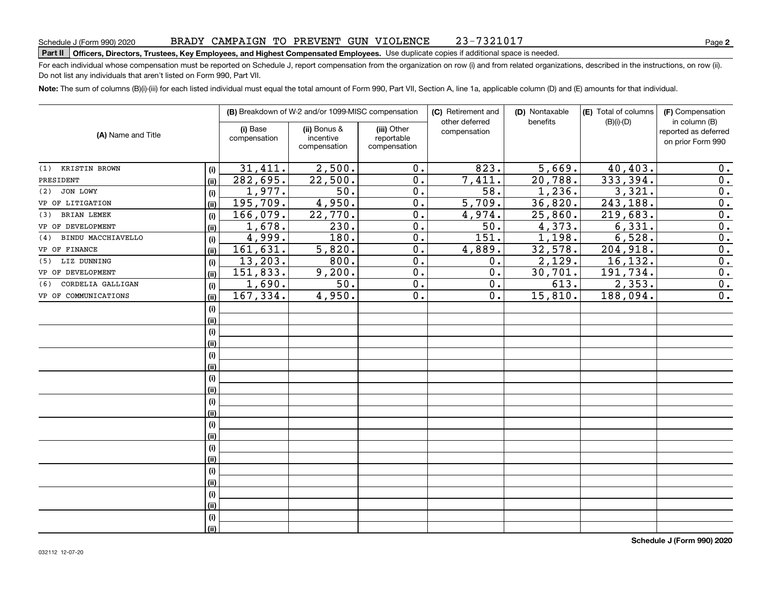#### Part II | Officers, Directors, Trustees, Key Employees, and Highest Compensated Employees. Use duplicate copies if additional space is needed.

For each individual whose compensation must be reported on Schedule J, report compensation from the organization on row (i) and from related organizations, described in the instructions, on row (ii). Do not list any individuals that aren't listed on Form 990, Part VII.

Note: The sum of columns (B)(i)-(iii) for each listed individual must equal the total amount of Form 990, Part VII, Section A, line 1a, applicable column (D) and (E) amounts for that individual.

|                           |      |                          | (B) Breakdown of W-2 and/or 1099-MISC compensation | (C) Retirement and                        |                                | (D) Nontaxable     | (E) Total of columns<br>benefits |                                                            |
|---------------------------|------|--------------------------|----------------------------------------------------|-------------------------------------------|--------------------------------|--------------------|----------------------------------|------------------------------------------------------------|
| (A) Name and Title        |      | (i) Base<br>compensation | (ii) Bonus &<br>incentive<br>compensation          | (iii) Other<br>reportable<br>compensation | other deferred<br>compensation |                    | $(B)(i)-(D)$                     | in column (B)<br>reported as deferred<br>on prior Form 990 |
| (1) KRISTIN BROWN         | (i)  | 31,411.                  | 2,500.                                             | $0$ .                                     | 823.                           | 5,669.             | 40,403.                          | 0.                                                         |
| PRESIDENT                 | (ii) | 282,695.                 | 22,500.                                            | 0.                                        | 7,411.                         | 20,788.            | 333,394.                         | 0.                                                         |
| $(2)$ JON LOWY            | (i)  | 1,977.                   | 50.                                                | 0.                                        | $\overline{58}$ .              | 1,236.             | 3,321.                           | 0.                                                         |
| VP OF LITIGATION          | (ii) | 195,709.                 | 4,950.                                             | 0.                                        | 5,709.                         | 36,820.            | 243,188.                         | 0.                                                         |
| <b>BRIAN LEMEK</b><br>(3) | (i)  | 166,079.                 | 22,770.                                            | 0.                                        | 4,974.                         | 25,860.            | 219,683.                         | 0.                                                         |
| VP OF DEVELOPMENT         | (ii) | 1,678.                   | 230.                                               | 0.                                        | 50.                            | 4,373.             | 6,331.                           | 0.                                                         |
| BINDU MACCHIAVELLO<br>(4) | (i)  | 4,999.                   | 180.                                               | 0.                                        | 151.                           | 1,198.             | 6,528.                           | 0.                                                         |
| VP OF FINANCE             | (ii) | 161,631.                 | 5,820.                                             | 0.                                        | 4,889.                         | 32,578.            | 204,918.                         | 0.                                                         |
| (5) LIZ DUNNING           | (i)  | 13,203.                  | 800.                                               | $\overline{0}$ .                          | 0.                             | 2,129.             | 16, 132.                         | $\overline{0}$ .                                           |
| VP OF DEVELOPMENT         | (ii) | 151,833.                 | 9,200.                                             | $\overline{0}$ .                          | $\overline{0}$ .               | 30,701.            | 191,734.                         | 0.                                                         |
| (6) CORDELIA GALLIGAN     | (i)  | 1,690.                   | $\overline{50}$ .                                  | 0.                                        | 0.                             | $\overline{613}$ . | 2,353.                           | 0.                                                         |
| VP OF COMMUNICATIONS      | (ii) | 167, 334.                | 4,950.                                             | 0.                                        | 0.                             | 15,810.            | 188,094.                         | 0.                                                         |
|                           | (i)  |                          |                                                    |                                           |                                |                    |                                  |                                                            |
|                           | (ii) |                          |                                                    |                                           |                                |                    |                                  |                                                            |
|                           | (i)  |                          |                                                    |                                           |                                |                    |                                  |                                                            |
|                           | (ii) |                          |                                                    |                                           |                                |                    |                                  |                                                            |
|                           | (i)  |                          |                                                    |                                           |                                |                    |                                  |                                                            |
|                           | (ii) |                          |                                                    |                                           |                                |                    |                                  |                                                            |
|                           | (i)  |                          |                                                    |                                           |                                |                    |                                  |                                                            |
|                           | (ii) |                          |                                                    |                                           |                                |                    |                                  |                                                            |
|                           | (i)  |                          |                                                    |                                           |                                |                    |                                  |                                                            |
|                           | (ii) |                          |                                                    |                                           |                                |                    |                                  |                                                            |
|                           | (i)  |                          |                                                    |                                           |                                |                    |                                  |                                                            |
|                           | (ii) |                          |                                                    |                                           |                                |                    |                                  |                                                            |
|                           | (i)  |                          |                                                    |                                           |                                |                    |                                  |                                                            |
|                           | (ii) |                          |                                                    |                                           |                                |                    |                                  |                                                            |
|                           | (i)  |                          |                                                    |                                           |                                |                    |                                  |                                                            |
|                           | (ii) |                          |                                                    |                                           |                                |                    |                                  |                                                            |
|                           | (i)  |                          |                                                    |                                           |                                |                    |                                  |                                                            |
|                           | (ii) |                          |                                                    |                                           |                                |                    |                                  |                                                            |
|                           | (i)  |                          |                                                    |                                           |                                |                    |                                  |                                                            |
|                           | (ii) |                          |                                                    |                                           |                                |                    |                                  |                                                            |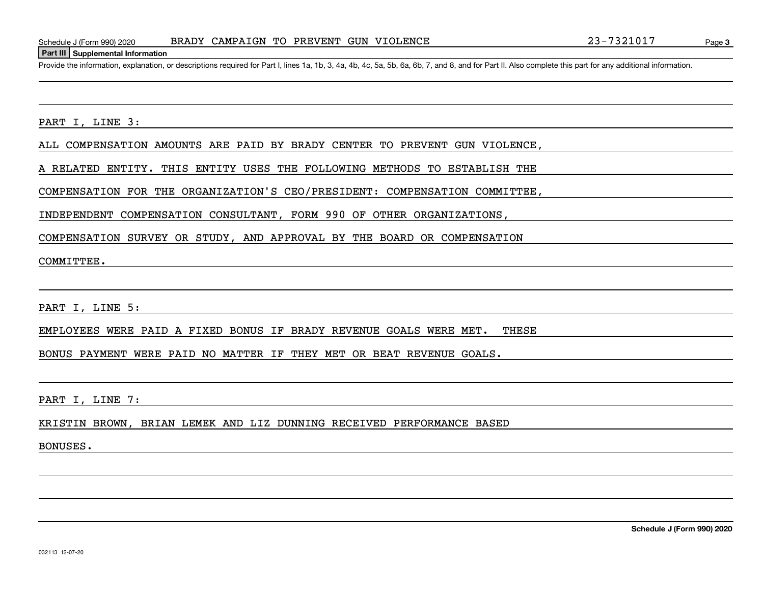Provide the information, explanation, or descriptions required for Part I, lines 1a, 1b, 3, 4a, 4b, 4c, 5a, 5b, 6a, 6b, 7, and 8, and for Part II. Also complete this part for any additional information.

PART I, LINE 3:

ALL COMPENSATION AMOUNTS ARE PAID BY BRADY CENTER TO PREVENT GUN VIOLENCE,

A RELATED ENTITY. THIS ENTITY USES THE FOLLOWING METHODS TO ESTABLISH THE

COMPENSATION FOR THE ORGANIZATION'S CEO/PRESIDENT: COMPENSATION COMMITTEE,

INDEPENDENT COMPENSATION CONSULTANT, FORM 990 OF OTHER ORGANIZATIONS,

COMPENSATION SURVEY OR STUDY, AND APPROVAL BY THE BOARD OR COMPENSATION

COMMITTEE.

PART I, LINE 5:

EMPLOYEES WERE PAID A FIXED BONUS IF BRADY REVENUE GOALS WERE MET. THESE

BONUS PAYMENT WERE PAID NO MATTER IF THEY MET OR BEAT REVENUE GOALS.

PART I, LINE 7:

KRISTIN BROWN, BRIAN LEMEK AND LIZ DUNNING RECEIVED PERFORMANCE BASED

BONUSES.

Page 3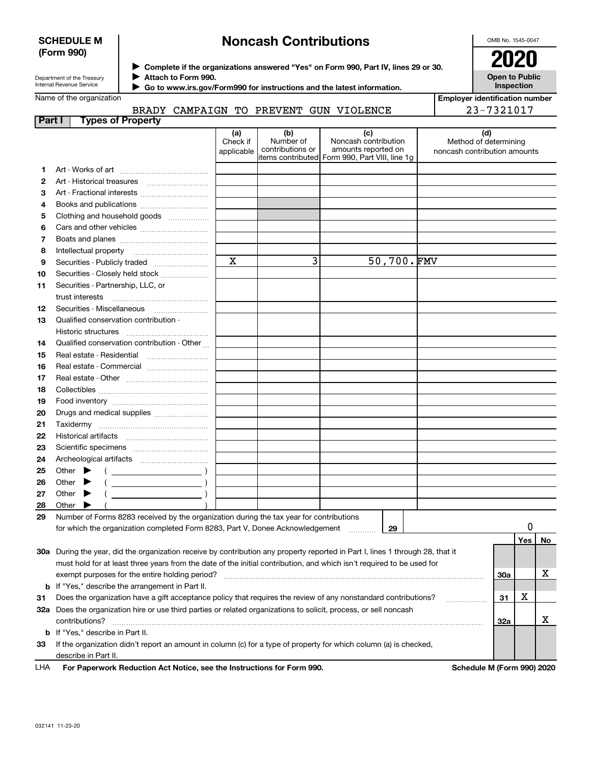## **SCHEDULE M (Form 990)**

# **Noncash Contributions**

OMB No. 1545-0047

| Department of the Treasury |
|----------------------------|
| Internal Revenue Service   |

**Complete if the organizations answered "Yes" on Form 990, Part IV, lines 29 or 30.** <sup>J</sup>**2020 Attach to Form 990.** J

**Open to Public Inspection**

**Employer identification number**

23-7321017

| Name of the organization |
|--------------------------|
|                          |

 **Go to www.irs.gov/Form990 for instructions and the latest information.** J

| Part I | <b>Types of Property</b>                                                                                                       |                               |                                      |                                                                                                      |            |                                                              |            |     |    |
|--------|--------------------------------------------------------------------------------------------------------------------------------|-------------------------------|--------------------------------------|------------------------------------------------------------------------------------------------------|------------|--------------------------------------------------------------|------------|-----|----|
|        |                                                                                                                                | (a)<br>Check if<br>applicable | (b)<br>Number of<br>contributions or | (c)<br>Noncash contribution<br>amounts reported on<br>items contributed Form 990, Part VIII, line 1g |            | (d)<br>Method of determining<br>noncash contribution amounts |            |     |    |
| 1.     |                                                                                                                                |                               |                                      |                                                                                                      |            |                                                              |            |     |    |
| 2      |                                                                                                                                |                               |                                      |                                                                                                      |            |                                                              |            |     |    |
| 3      |                                                                                                                                |                               |                                      |                                                                                                      |            |                                                              |            |     |    |
| 4      |                                                                                                                                |                               |                                      |                                                                                                      |            |                                                              |            |     |    |
| 5      | Clothing and household goods                                                                                                   |                               |                                      |                                                                                                      |            |                                                              |            |     |    |
| 6      |                                                                                                                                |                               |                                      |                                                                                                      |            |                                                              |            |     |    |
| 7      |                                                                                                                                |                               |                                      |                                                                                                      |            |                                                              |            |     |    |
| 8      |                                                                                                                                |                               |                                      |                                                                                                      |            |                                                              |            |     |    |
| 9      | Securities - Publicly traded                                                                                                   | X                             | 3                                    |                                                                                                      | 50,700.FMV |                                                              |            |     |    |
| 10     | Securities - Closely held stock                                                                                                |                               |                                      |                                                                                                      |            |                                                              |            |     |    |
| 11     | Securities - Partnership, LLC, or                                                                                              |                               |                                      |                                                                                                      |            |                                                              |            |     |    |
|        | trust interests                                                                                                                |                               |                                      |                                                                                                      |            |                                                              |            |     |    |
| 12     | Securities - Miscellaneous                                                                                                     |                               |                                      |                                                                                                      |            |                                                              |            |     |    |
| 13     | Qualified conservation contribution -                                                                                          |                               |                                      |                                                                                                      |            |                                                              |            |     |    |
|        | Historic structures                                                                                                            |                               |                                      |                                                                                                      |            |                                                              |            |     |    |
| 14     | Qualified conservation contribution - Other                                                                                    |                               |                                      |                                                                                                      |            |                                                              |            |     |    |
| 15     |                                                                                                                                |                               |                                      |                                                                                                      |            |                                                              |            |     |    |
| 16     | Real estate - Commercial                                                                                                       |                               |                                      |                                                                                                      |            |                                                              |            |     |    |
| 17     |                                                                                                                                |                               |                                      |                                                                                                      |            |                                                              |            |     |    |
| 18     |                                                                                                                                |                               |                                      |                                                                                                      |            |                                                              |            |     |    |
| 19     |                                                                                                                                |                               |                                      |                                                                                                      |            |                                                              |            |     |    |
| 20     |                                                                                                                                |                               |                                      |                                                                                                      |            |                                                              |            |     |    |
| 21     | Taxidermy                                                                                                                      |                               |                                      |                                                                                                      |            |                                                              |            |     |    |
| 22     |                                                                                                                                |                               |                                      |                                                                                                      |            |                                                              |            |     |    |
| 23     |                                                                                                                                |                               |                                      |                                                                                                      |            |                                                              |            |     |    |
| 24     |                                                                                                                                |                               |                                      |                                                                                                      |            |                                                              |            |     |    |
| 25     | Other                                                                                                                          |                               |                                      |                                                                                                      |            |                                                              |            |     |    |
| 26     | $\overline{\phantom{a}}$ )<br>Other                                                                                            |                               |                                      |                                                                                                      |            |                                                              |            |     |    |
| 27     | Other<br>▸                                                                                                                     |                               |                                      |                                                                                                      |            |                                                              |            |     |    |
| 28     | Other                                                                                                                          |                               |                                      |                                                                                                      |            |                                                              |            |     |    |
| 29     | Number of Forms 8283 received by the organization during the tax year for contributions                                        |                               |                                      |                                                                                                      |            |                                                              |            |     |    |
|        | for which the organization completed Form 8283, Part V, Donee Acknowledgement                                                  |                               |                                      |                                                                                                      | 29         |                                                              |            | 0   |    |
|        |                                                                                                                                |                               |                                      |                                                                                                      |            |                                                              |            | Yes | No |
|        | 30a During the year, did the organization receive by contribution any property reported in Part I, lines 1 through 28, that it |                               |                                      |                                                                                                      |            |                                                              |            |     |    |
|        | must hold for at least three years from the date of the initial contribution, and which isn't required to be used for          |                               |                                      |                                                                                                      |            |                                                              |            |     |    |
|        | exempt purposes for the entire holding period?                                                                                 |                               |                                      |                                                                                                      |            |                                                              | <b>30a</b> |     | х  |
|        | <b>b</b> If "Yes," describe the arrangement in Part II.                                                                        |                               |                                      |                                                                                                      |            |                                                              |            |     |    |
| 31     | Does the organization have a gift acceptance policy that requires the review of any nonstandard contributions?                 |                               |                                      |                                                                                                      |            |                                                              |            |     |    |
|        | .<br>32a Does the organization hire or use third parties or related organizations to solicit, process, or sell noncash         |                               |                                      |                                                                                                      |            |                                                              |            |     |    |
|        | contributions?                                                                                                                 |                               |                                      |                                                                                                      |            |                                                              | <b>32a</b> |     | X. |
|        | <b>b</b> If "Yes," describe in Part II.                                                                                        |                               |                                      |                                                                                                      |            |                                                              |            |     |    |
| 33     | If the organization didn't report an amount in column (c) for a type of property for which column (a) is checked,              |                               |                                      |                                                                                                      |            |                                                              |            |     |    |
|        | describe in Part II.                                                                                                           |                               |                                      |                                                                                                      |            |                                                              |            |     |    |
| LHA    | For Paperwork Reduction Act Notice, see the Instructions for Form 990.                                                         |                               |                                      |                                                                                                      |            | Schedule M (Form 990) 2020                                   |            |     |    |
|        |                                                                                                                                |                               |                                      |                                                                                                      |            |                                                              |            |     |    |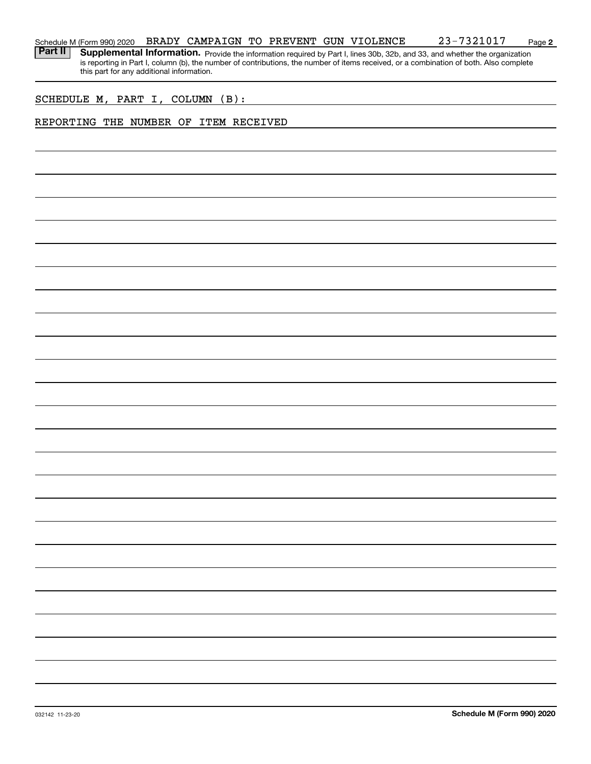#### **2** Schedule M (Form 990) 2020  $\,$  BRADY CAMPAIGN TO PREVENT GUN VIOLENCE  $\,$   $\,$  23-7321017  $\,$   $\,$  Page

Part II | Supplemental Information. Provide the information required by Part I, lines 30b, 32b, and 33, and whether the organization is reporting in Part I, column (b), the number of contributions, the number of items received, or a combination of both. Also complete this part for any additional information.

### SCHEDULE M, PART I, COLUMN (B):

## REPORTING THE NUMBER OF ITEM RECEIVED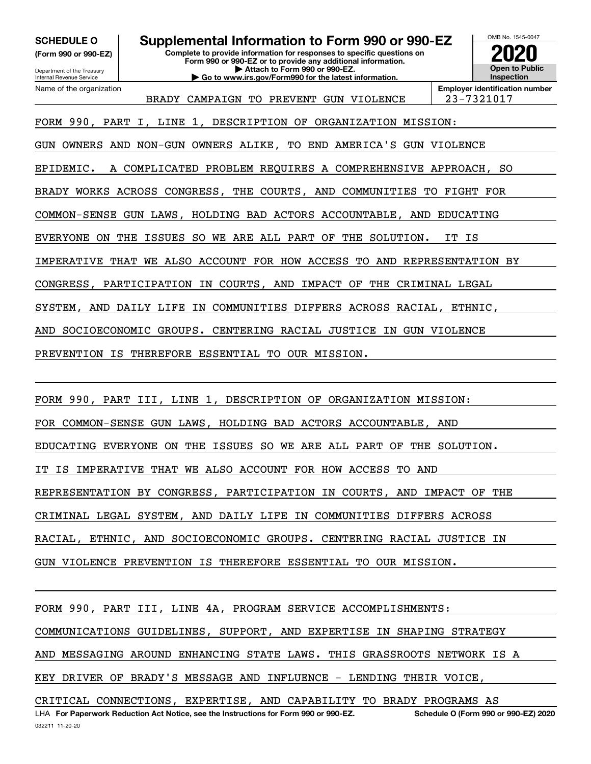Department of the Treasury **(Form 990 or 990-EZ)**

Internal Revenue Service

**Complete to provide information for responses to specific questions on SCHEDULE O Supplemental Information to Form 990 or 990-EZ 2020**

**Form 990 or 990-EZ or to provide any additional information. | Attach to Form 990 or 990-EZ. | Go to www.irs.gov/Form990 for the latest information.**



Name of the organization

BRADY CAMPAIGN TO PREVENT GUN VIOLENCE | 23-7321017

**Employer identification number**

FORM 990, PART I, LINE 1, DESCRIPTION OF ORGANIZATION MISSION:

GUN OWNERS AND NON-GUN OWNERS ALIKE, TO END AMERICA'S GUN VIOLENCE

EPIDEMIC. A COMPLICATED PROBLEM REQUIRES A COMPREHENSIVE APPROACH, SO

BRADY WORKS ACROSS CONGRESS, THE COURTS, AND COMMUNITIES TO FIGHT FOR

COMMON-SENSE GUN LAWS, HOLDING BAD ACTORS ACCOUNTABLE, AND EDUCATING

EVERYONE ON THE ISSUES SO WE ARE ALL PART OF THE SOLUTION. IT IS

IMPERATIVE THAT WE ALSO ACCOUNT FOR HOW ACCESS TO AND REPRESENTATION BY

CONGRESS, PARTICIPATION IN COURTS, AND IMPACT OF THE CRIMINAL LEGAL

SYSTEM, AND DAILY LIFE IN COMMUNITIES DIFFERS ACROSS RACIAL, ETHNIC,

AND SOCIOECONOMIC GROUPS. CENTERING RACIAL JUSTICE IN GUN VIOLENCE

PREVENTION IS THEREFORE ESSENTIAL TO OUR MISSION.

FORM 990, PART III, LINE 1, DESCRIPTION OF ORGANIZATION MISSION:

FOR COMMON-SENSE GUN LAWS, HOLDING BAD ACTORS ACCOUNTABLE, AND

EDUCATING EVERYONE ON THE ISSUES SO WE ARE ALL PART OF THE SOLUTION.

IT IS IMPERATIVE THAT WE ALSO ACCOUNT FOR HOW ACCESS TO AND

REPRESENTATION BY CONGRESS, PARTICIPATION IN COURTS, AND IMPACT OF THE

CRIMINAL LEGAL SYSTEM, AND DAILY LIFE IN COMMUNITIES DIFFERS ACROSS

RACIAL, ETHNIC, AND SOCIOECONOMIC GROUPS. CENTERING RACIAL JUSTICE IN

GUN VIOLENCE PREVENTION IS THEREFORE ESSENTIAL TO OUR MISSION.

FORM 990, PART III, LINE 4A, PROGRAM SERVICE ACCOMPLISHMENTS:

COMMUNICATIONS GUIDELINES, SUPPORT, AND EXPERTISE IN SHAPING STRATEGY

AND MESSAGING AROUND ENHANCING STATE LAWS. THIS GRASSROOTS NETWORK IS A

KEY DRIVER OF BRADY'S MESSAGE AND INFLUENCE - LENDING THEIR VOICE,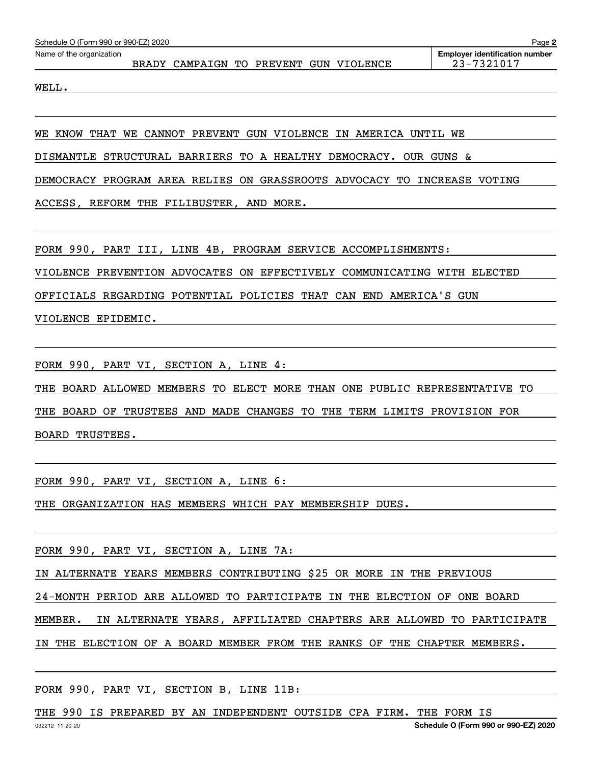| Schedule O (Form 990 or 990-EZ) 2020<br>Page 2 |  |                                        |  |  |  |  |  |                                                     |  |  |  |  |
|------------------------------------------------|--|----------------------------------------|--|--|--|--|--|-----------------------------------------------------|--|--|--|--|
| Name of the organization                       |  | BRADY CAMPAIGN TO PREVENT GUN VIOLENCE |  |  |  |  |  | <b>Employer identification number</b><br>23-7321017 |  |  |  |  |
| WELL.                                          |  |                                        |  |  |  |  |  |                                                     |  |  |  |  |

WE KNOW THAT WE CANNOT PREVENT GUN VIOLENCE IN AMERICA UNTIL WE

DISMANTLE STRUCTURAL BARRIERS TO A HEALTHY DEMOCRACY. OUR GUNS &

DEMOCRACY PROGRAM AREA RELIES ON GRASSROOTS ADVOCACY TO INCREASE VOTING

ACCESS, REFORM THE FILIBUSTER, AND MORE.

FORM 990, PART III, LINE 4B, PROGRAM SERVICE ACCOMPLISHMENTS:

VIOLENCE PREVENTION ADVOCATES ON EFFECTIVELY COMMUNICATING WITH ELECTED

OFFICIALS REGARDING POTENTIAL POLICIES THAT CAN END AMERICA'S GUN

VIOLENCE EPIDEMIC.

FORM 990, PART VI, SECTION A, LINE 4:

THE BOARD ALLOWED MEMBERS TO ELECT MORE THAN ONE PUBLIC REPRESENTATIVE TO

THE BOARD OF TRUSTEES AND MADE CHANGES TO THE TERM LIMITS PROVISION FOR

BOARD TRUSTEES.

FORM 990, PART VI, SECTION A, LINE 6:

THE ORGANIZATION HAS MEMBERS WHICH PAY MEMBERSHIP DUES.

FORM 990, PART VI, SECTION A, LINE 7A:

IN ALTERNATE YEARS MEMBERS CONTRIBUTING \$25 OR MORE IN THE PREVIOUS

24-MONTH PERIOD ARE ALLOWED TO PARTICIPATE IN THE ELECTION OF ONE BOARD

MEMBER. IN ALTERNATE YEARS, AFFILIATED CHAPTERS ARE ALLOWED TO PARTICIPATE

IN THE ELECTION OF A BOARD MEMBER FROM THE RANKS OF THE CHAPTER MEMBERS.

FORM 990, PART VI, SECTION B, LINE 11B:

THE 990 IS PREPARED BY AN INDEPENDENT OUTSIDE CPA FIRM. THE FORM IS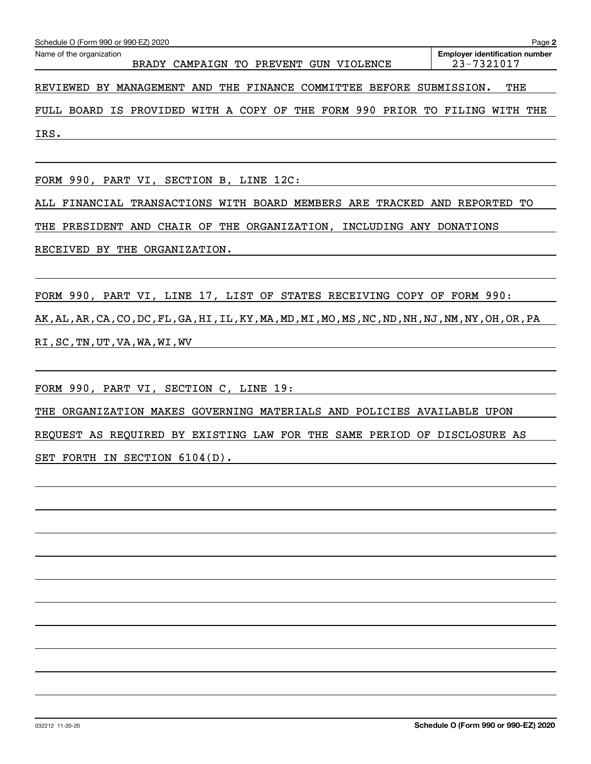| Schedule O (Form 990 or 990-EZ) 2020<br>Page 2                                                                            |     |  |  |  |  |  |  |  |  |  |
|---------------------------------------------------------------------------------------------------------------------------|-----|--|--|--|--|--|--|--|--|--|
| Name of the organization<br><b>Employer identification number</b><br>23-7321017<br>BRADY CAMPAIGN TO PREVENT GUN VIOLENCE |     |  |  |  |  |  |  |  |  |  |
| REVIEWED BY MANAGEMENT AND THE FINANCE COMMITTEE BEFORE SUBMISSION.                                                       | THE |  |  |  |  |  |  |  |  |  |
| --- -----                                                                                                                 |     |  |  |  |  |  |  |  |  |  |

FULL BOARD IS PROVIDED WITH A COPY OF THE FORM 990 PRIOR TO FILING WITH THE IRS.

FORM 990, PART VI, SECTION B, LINE 12C:

ALL FINANCIAL TRANSACTIONS WITH BOARD MEMBERS ARE TRACKED AND REPORTED TO

THE PRESIDENT AND CHAIR OF THE ORGANIZATION, INCLUDING ANY DONATIONS

RECEIVED BY THE ORGANIZATION.

FORM 990, PART VI, LINE 17, LIST OF STATES RECEIVING COPY OF FORM 990: AK,AL,AR,CA,CO,DC,FL,GA,HI,IL,KY,MA,MD,MI,MO,MS,NC,ND,NH,NJ,NM,NY,OH,OR,PA

RI,SC,TN,UT,VA,WA,WI,WV

FORM 990, PART VI, SECTION C, LINE 19:

THE ORGANIZATION MAKES GOVERNING MATERIALS AND POLICIES AVAILABLE UPON

REQUEST AS REQUIRED BY EXISTING LAW FOR THE SAME PERIOD OF DISCLOSURE AS

SET FORTH IN SECTION 6104(D).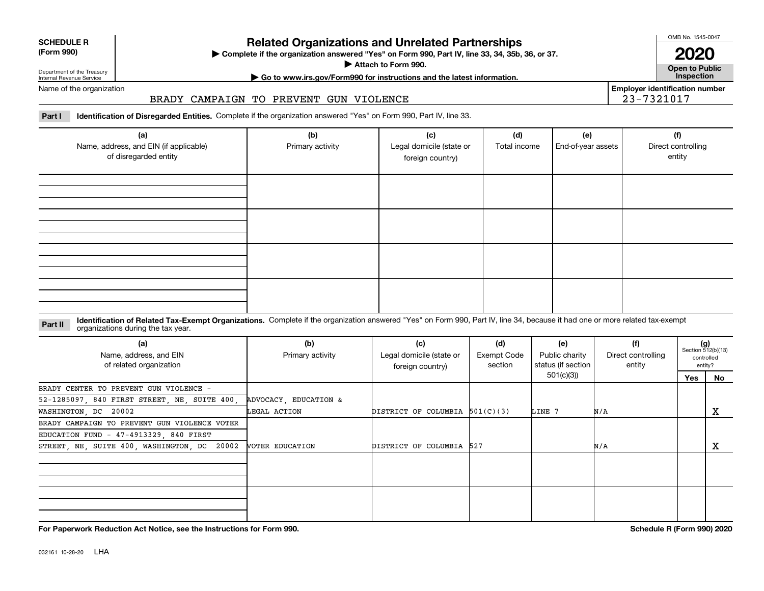| <b>SCHEDULE R</b> |
|-------------------|
| ----              |

# **Related Organizations and Unrelated Partnerships**

**(Form 990) Complete if the organization answered "Yes" on Form 990, Part IV, line 33, 34, 35b, 36, or 37.** |

**Attach to Form 990. Consumer to Public Service Service Service Service Service Service Service Service Service Service Service Service Service Service Service Service Service Service Service Service Service Service Serv** 

OMB No. 1545-0047

**2020**

**Employer identification number**

23-7321017

Department of the Treasury Internal Revenue Service Name of the organization

# **| Go to www.irs.gov/Form990 for instructions and the latest information. Inspection**

## BRADY CAMPAIGN TO PREVENT GUN VIOLENCE

Part I ldentification of Disregarded Entities. Complete if the organization answered "Yes" on Form 990, Part IV, line 33.

| (a)<br>Name, address, and EIN (if applicable)<br>of disregarded entity | (b)<br>Primary activity | (c)<br>Legal domicile (state or<br>foreign country) | (d)<br>Total income | (e)<br>End-of-year assets | (f)<br>Direct controlling<br>entity |
|------------------------------------------------------------------------|-------------------------|-----------------------------------------------------|---------------------|---------------------------|-------------------------------------|
|                                                                        |                         |                                                     |                     |                           |                                     |
|                                                                        |                         |                                                     |                     |                           |                                     |
|                                                                        |                         |                                                     |                     |                           |                                     |
|                                                                        |                         |                                                     |                     |                           |                                     |

#### **Part II Identification of Related Tax-Exempt Organizations.** Complete if the organization answered "Yes" on Form 990, Part IV, line 34, because it had one or more related tax-exempt<br> **Part II** Organizations during the tax organizations during the tax year.

| (a)<br>Name, address, and EIN<br>of related organization | (b)<br>Primary activity | (c)<br>Legal domicile (state or<br>foreign country) | (d)<br>Exempt Code<br>section                              | (e)<br>Public charity | (f)<br>Direct controlling<br>entity | $(g)$<br>Section 512(b)(13) | controlled<br>entity? |
|----------------------------------------------------------|-------------------------|-----------------------------------------------------|------------------------------------------------------------|-----------------------|-------------------------------------|-----------------------------|-----------------------|
|                                                          |                         |                                                     | status (if section  <br>501(c)(3))<br>LINE 7<br>N/A<br>N/A |                       | Yes                                 | No                          |                       |
| BRADY CENTER TO PREVENT GUN VIOLENCE -                   |                         |                                                     |                                                            |                       |                                     |                             |                       |
| 52-1285097, 840 FIRST STREET, NE, SUITE 400,             | ADVOCACY, EDUCATION &   |                                                     |                                                            |                       |                                     |                             |                       |
| WASHINGTON, DC 20002                                     | LEGAL ACTION            | DISTRICT OF COLUMBIA $501(C)(3)$                    |                                                            |                       |                                     |                             | х                     |
| BRADY CAMPAIGN TO PREVENT GUN VIOLENCE VOTER             |                         |                                                     |                                                            |                       |                                     |                             |                       |
| EDUCATION FUND - 47-4913329, 840 FIRST                   |                         |                                                     |                                                            |                       |                                     |                             |                       |
| STREET, NE, SUITE 400, WASHINGTON, DC 20002              | VOTER EDUCATION         | DISTRICT OF COLUMBIA 527                            |                                                            |                       |                                     |                             | х                     |
|                                                          |                         |                                                     |                                                            |                       |                                     |                             |                       |
|                                                          |                         |                                                     |                                                            |                       |                                     |                             |                       |
|                                                          |                         |                                                     |                                                            |                       |                                     |                             |                       |
|                                                          |                         |                                                     |                                                            |                       |                                     |                             |                       |
|                                                          |                         |                                                     |                                                            |                       |                                     |                             |                       |

**For Paperwork Reduction Act Notice, see the Instructions for Form 990. Schedule R (Form 990) 2020**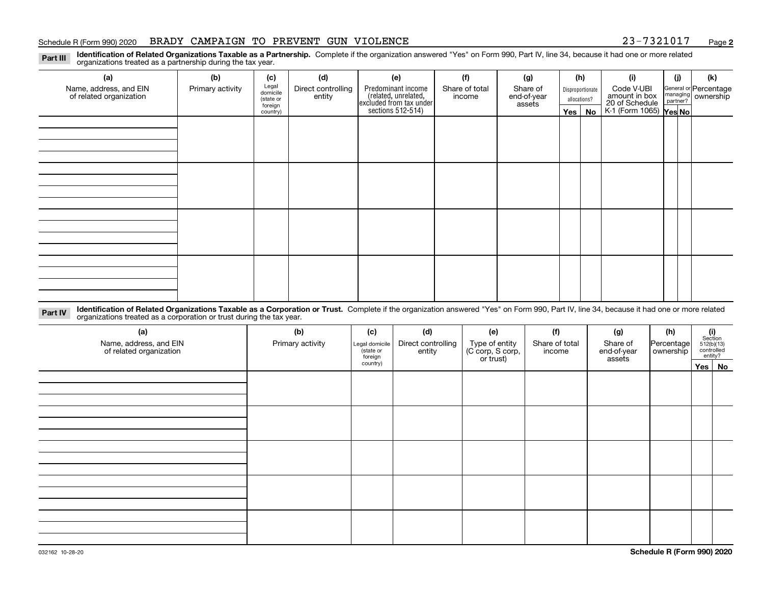#### Schedule R (Form 990) 2020 BRADY CAMPAIGN TO PREVENT GUN VIOLENCE 23-7321017 <sub>Page</sub>

**2**

Part III Identification of Related Organizations Taxable as a Partnership. Complete if the organization answered "Yes" on Form 990, Part IV, line 34, because it had one or more related<br>examples the organizations tracted as organizations treated as a partnership during the tax year.

| (a)                                               | (b)              | (c)                  | (d)                                                                  | (e)                                                                 | (f)    | (g)                     |              | (h)              | (i)                                                              | (j) | (k)                                         |
|---------------------------------------------------|------------------|----------------------|----------------------------------------------------------------------|---------------------------------------------------------------------|--------|-------------------------|--------------|------------------|------------------------------------------------------------------|-----|---------------------------------------------|
| Name, address, and EIN<br>of related organization | Primary activity | Legal<br>domicile    | Predominant income<br>Direct controlling<br>Share of total<br>entity |                                                                     | income | Share of<br>end-of-year |              | Disproportionate | Code V-UBI                                                       |     | General or Percentage<br>managing ownership |
|                                                   |                  | (state or<br>foreign |                                                                      |                                                                     |        | assets                  | allocations? |                  |                                                                  |     |                                             |
|                                                   |                  | country)             |                                                                      | related, unrelated,<br>excluded from tax under<br>sections 512-514) |        |                         |              | Yes   No         | amount in box<br>20 of Schedule<br>K-1 (Form 1065) <b>Yes No</b> |     |                                             |
|                                                   |                  |                      |                                                                      |                                                                     |        |                         |              |                  |                                                                  |     |                                             |
|                                                   |                  |                      |                                                                      |                                                                     |        |                         |              |                  |                                                                  |     |                                             |
|                                                   |                  |                      |                                                                      |                                                                     |        |                         |              |                  |                                                                  |     |                                             |
|                                                   |                  |                      |                                                                      |                                                                     |        |                         |              |                  |                                                                  |     |                                             |
|                                                   |                  |                      |                                                                      |                                                                     |        |                         |              |                  |                                                                  |     |                                             |
|                                                   |                  |                      |                                                                      |                                                                     |        |                         |              |                  |                                                                  |     |                                             |
|                                                   |                  |                      |                                                                      |                                                                     |        |                         |              |                  |                                                                  |     |                                             |
|                                                   |                  |                      |                                                                      |                                                                     |        |                         |              |                  |                                                                  |     |                                             |
|                                                   |                  |                      |                                                                      |                                                                     |        |                         |              |                  |                                                                  |     |                                             |
|                                                   |                  |                      |                                                                      |                                                                     |        |                         |              |                  |                                                                  |     |                                             |
|                                                   |                  |                      |                                                                      |                                                                     |        |                         |              |                  |                                                                  |     |                                             |
|                                                   |                  |                      |                                                                      |                                                                     |        |                         |              |                  |                                                                  |     |                                             |
|                                                   |                  |                      |                                                                      |                                                                     |        |                         |              |                  |                                                                  |     |                                             |
|                                                   |                  |                      |                                                                      |                                                                     |        |                         |              |                  |                                                                  |     |                                             |
|                                                   |                  |                      |                                                                      |                                                                     |        |                         |              |                  |                                                                  |     |                                             |
|                                                   |                  |                      |                                                                      |                                                                     |        |                         |              |                  |                                                                  |     |                                             |
|                                                   |                  |                      |                                                                      |                                                                     |        |                         |              |                  |                                                                  |     |                                             |

Part IV Identification of Related Organizations Taxable as a Corporation or Trust. Complete if the organization answered "Yes" on Form 990, Part IV, line 34, because it had one or more related<br>Computations tracted as a cor organizations treated as a corporation or trust during the tax year.

| (a)<br>Name, address, and EIN<br>of related organization | (b)<br>Primary activity | (c)<br>Legal domicile<br>(state or<br>foreign | (d)<br>Direct controlling<br>entity | (e)<br>Type of entity<br>(C corp, S corp,<br>or trust) | (f)<br>Share of total<br>income | (g)<br>Share of<br>end-of-year<br>assets | (h)<br> Percentage <br>ownership | $\begin{array}{c} \textbf{(i)}\\ \text{Section}\\ 512 \text{(b)} \text{(13)}\\ \text{controlled}\\ \text{entity?} \end{array}$ |
|----------------------------------------------------------|-------------------------|-----------------------------------------------|-------------------------------------|--------------------------------------------------------|---------------------------------|------------------------------------------|----------------------------------|--------------------------------------------------------------------------------------------------------------------------------|
|                                                          |                         | country)                                      |                                     |                                                        |                                 |                                          |                                  | Yes No                                                                                                                         |
|                                                          |                         |                                               |                                     |                                                        |                                 |                                          |                                  |                                                                                                                                |
|                                                          |                         |                                               |                                     |                                                        |                                 |                                          |                                  |                                                                                                                                |
|                                                          |                         |                                               |                                     |                                                        |                                 |                                          |                                  |                                                                                                                                |
|                                                          |                         |                                               |                                     |                                                        |                                 |                                          |                                  |                                                                                                                                |
|                                                          |                         |                                               |                                     |                                                        |                                 |                                          |                                  |                                                                                                                                |
|                                                          |                         |                                               |                                     |                                                        |                                 |                                          |                                  |                                                                                                                                |
|                                                          |                         |                                               |                                     |                                                        |                                 |                                          |                                  |                                                                                                                                |
|                                                          |                         |                                               |                                     |                                                        |                                 |                                          |                                  |                                                                                                                                |
|                                                          |                         |                                               |                                     |                                                        |                                 |                                          |                                  |                                                                                                                                |
|                                                          |                         |                                               |                                     |                                                        |                                 |                                          |                                  |                                                                                                                                |
|                                                          |                         |                                               |                                     |                                                        |                                 |                                          |                                  |                                                                                                                                |
|                                                          |                         |                                               |                                     |                                                        |                                 |                                          |                                  |                                                                                                                                |
|                                                          |                         |                                               |                                     |                                                        |                                 |                                          |                                  |                                                                                                                                |
|                                                          |                         |                                               |                                     |                                                        |                                 |                                          |                                  |                                                                                                                                |
|                                                          |                         |                                               |                                     |                                                        |                                 |                                          |                                  |                                                                                                                                |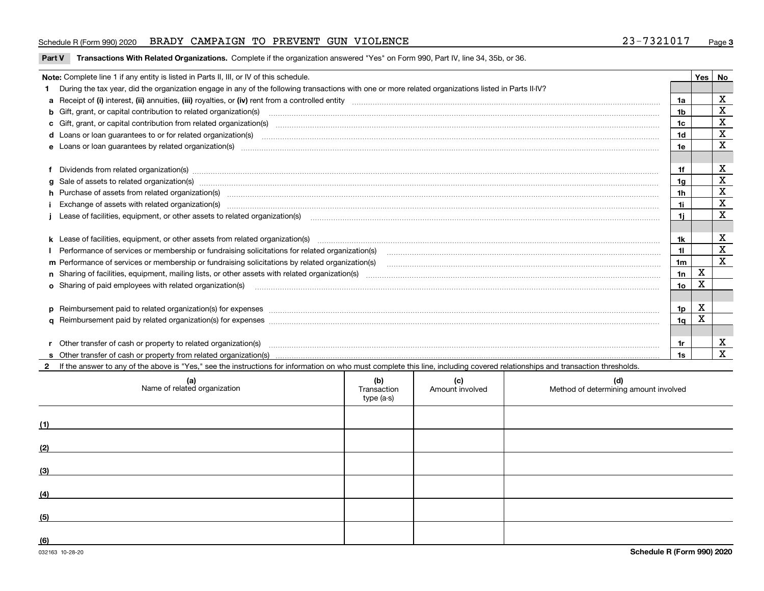#### Schedule R (Form 990) 2020 BRADY CAMPAIGN TO PREVENT GUN VIOLENCE 23-7321017 <sub>Page</sub>

Part V Transactions With Related Organizations. Complete if the organization answered "Yes" on Form 990, Part IV, line 34, 35b, or 36.

| Note: Complete line 1 if any entity is listed in Parts II, III, or IV of this schedule.                                                                                                                                        |     | Yes | No          |
|--------------------------------------------------------------------------------------------------------------------------------------------------------------------------------------------------------------------------------|-----|-----|-------------|
| During the tax year, did the organization engage in any of the following transactions with one or more related organizations listed in Parts II-IV?                                                                            |     |     |             |
|                                                                                                                                                                                                                                | 1a  |     | х           |
| <b>b</b> Gift, grant, or capital contribution to related organization(s)                                                                                                                                                       | 1b  |     | х           |
| c Gift, grant, or capital contribution from related organization(s) manufaction(s) and contain an experimental contribution from related organization(s) manufaction contains and contribution from related organization(s) ma | 1c  |     | X           |
| <b>d</b> Loans or loan quarantees to or for related organization(s)                                                                                                                                                            | 1d  |     | X           |
| e Loans or loan guarantees by related organization(s) encontraction contains and contains and contains and contains and contains and contains and contains and contains and contains and contains and contains and contains an | 1e  |     | $\mathbf x$ |
|                                                                                                                                                                                                                                |     |     |             |
| Dividends from related organization(s) www.communicallycommunicallycommunicallycommunicallycommunicallycommunicallycommunicallycommunicallycommunicallycommunicallycommunicallycommunicallycommunicallycommunicallycommunicall | 1f  |     | х           |
|                                                                                                                                                                                                                                | 1a  |     | $\mathbf X$ |
| h Purchase of assets from related organization(s) www.communically.communically contract and a set of assets from related organization(s)                                                                                      | 1h  |     | $\mathbf X$ |
|                                                                                                                                                                                                                                | 11  |     | $\mathbf X$ |
|                                                                                                                                                                                                                                | 1i. |     | X           |
|                                                                                                                                                                                                                                |     |     |             |
|                                                                                                                                                                                                                                | 1k  |     | X           |
| Performance of services or membership or fundraising solicitations for related organization(s) manufaction.community content and services or membership or fundraising solicitations for related organization(s) manufaction.c | 11  |     | $\mathbf X$ |
| m Performance of services or membership or fundraising solicitations by related organization(s)                                                                                                                                | 1m  |     | X           |
|                                                                                                                                                                                                                                | 1n  | х   |             |
| <b>o</b> Sharing of paid employees with related organization(s)                                                                                                                                                                | 1o  | х   |             |
|                                                                                                                                                                                                                                |     |     |             |
| p Reimbursement paid to related organization(s) for expenses [11111] [12] manufacture manufacture manufacture manufacture manufacture manufacture manufacture manufacture manufacture manufacture manufacture manufacture manu | 1p. | х   |             |
|                                                                                                                                                                                                                                | 1q  | X   |             |
|                                                                                                                                                                                                                                |     |     |             |
| r Other transfer of cash or property to related organization(s)                                                                                                                                                                | 1r  |     | х           |
|                                                                                                                                                                                                                                | 1s. |     | X           |
| 2 If the answer to any of the above is "Yes," see the instructions for information on who must complete this line, including covered relationships and transaction thresholds.                                                 |     |     |             |

| (a)<br>Name of related organization | (b)<br>Transaction<br>type (a-s) | (c)<br>Amount involved | (d)<br>Method of determining amount involved |
|-------------------------------------|----------------------------------|------------------------|----------------------------------------------|
| (1)                                 |                                  |                        |                                              |
| (2)                                 |                                  |                        |                                              |
| (3)                                 |                                  |                        |                                              |
| (4)                                 |                                  |                        |                                              |
| (5)                                 |                                  |                        |                                              |
| (6)                                 |                                  |                        |                                              |

 $\overline{\phantom{a}}$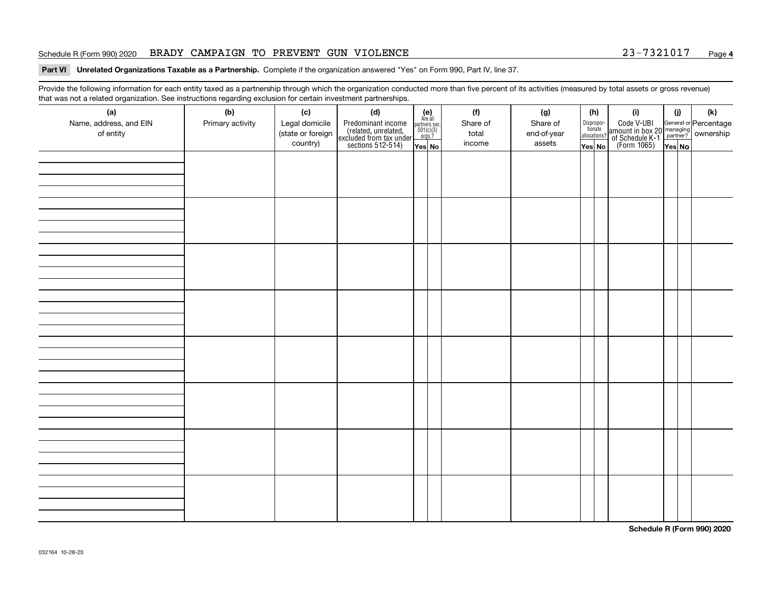#### Schedule R (Form 990) 2020 BRADY CAMPAIGN TO PREVENT GUN VIOLENCE 23-7321017 <sub>Page</sub>

#### Part VI Unrelated Organizations Taxable as a Partnership. Complete if the organization answered "Yes" on Form 990, Part IV, line 37.

Provide the following information for each entity taxed as a partnership through which the organization conducted more than five percent of its activities (measured by total assets or gross revenue) that was not a related organization. See instructions regarding exclusion for certain investment partnerships.

| that machieve a related erganization. See motivations regarding exercision for contain investment partnereinper<br>(a) | (b)              | (c)               | (d)                                                                                        |                                                              | (f)      | (g)         |        | (h)                                                                                                                     | (i)                                                                                      | (j) | $(\mathsf{k})$ |
|------------------------------------------------------------------------------------------------------------------------|------------------|-------------------|--------------------------------------------------------------------------------------------|--------------------------------------------------------------|----------|-------------|--------|-------------------------------------------------------------------------------------------------------------------------|------------------------------------------------------------------------------------------|-----|----------------|
| Name, address, and EIN                                                                                                 | Primary activity | Legal domicile    |                                                                                            | (e)<br>Are all<br>partners sec.<br>$\frac{501(c)(3)}{0rgs?}$ | Share of | Share of    |        |                                                                                                                         |                                                                                          |     |                |
| of entity                                                                                                              |                  | (state or foreign | Predominant income<br>(related, unrelated,<br>excluded from tax under<br>sections 512-514) |                                                              | total    | end-of-year |        | $\fbox{\parbox{0.5cm}{\begin{tabular}{ l l } \hline Disproportion\\{} tionate\\ all locations? \hline \end{tabular}} }$ | Code V-UBI<br>amount in box 20 managing<br>of Schedule K-1<br>(Form 1065)<br>The Nest No |     |                |
|                                                                                                                        |                  | country)          |                                                                                            | Yes No                                                       | income   | assets      | Yes No |                                                                                                                         |                                                                                          |     |                |
|                                                                                                                        |                  |                   |                                                                                            |                                                              |          |             |        |                                                                                                                         |                                                                                          |     |                |
|                                                                                                                        |                  |                   |                                                                                            |                                                              |          |             |        |                                                                                                                         |                                                                                          |     |                |
|                                                                                                                        |                  |                   |                                                                                            |                                                              |          |             |        |                                                                                                                         |                                                                                          |     |                |
|                                                                                                                        |                  |                   |                                                                                            |                                                              |          |             |        |                                                                                                                         |                                                                                          |     |                |
|                                                                                                                        |                  |                   |                                                                                            |                                                              |          |             |        |                                                                                                                         |                                                                                          |     |                |
|                                                                                                                        |                  |                   |                                                                                            |                                                              |          |             |        |                                                                                                                         |                                                                                          |     |                |
|                                                                                                                        |                  |                   |                                                                                            |                                                              |          |             |        |                                                                                                                         |                                                                                          |     |                |
|                                                                                                                        |                  |                   |                                                                                            |                                                              |          |             |        |                                                                                                                         |                                                                                          |     |                |
|                                                                                                                        |                  |                   |                                                                                            |                                                              |          |             |        |                                                                                                                         |                                                                                          |     |                |
|                                                                                                                        |                  |                   |                                                                                            |                                                              |          |             |        |                                                                                                                         |                                                                                          |     |                |
|                                                                                                                        |                  |                   |                                                                                            |                                                              |          |             |        |                                                                                                                         |                                                                                          |     |                |
|                                                                                                                        |                  |                   |                                                                                            |                                                              |          |             |        |                                                                                                                         |                                                                                          |     |                |
|                                                                                                                        |                  |                   |                                                                                            |                                                              |          |             |        |                                                                                                                         |                                                                                          |     |                |
|                                                                                                                        |                  |                   |                                                                                            |                                                              |          |             |        |                                                                                                                         |                                                                                          |     |                |
|                                                                                                                        |                  |                   |                                                                                            |                                                              |          |             |        |                                                                                                                         |                                                                                          |     |                |
|                                                                                                                        |                  |                   |                                                                                            |                                                              |          |             |        |                                                                                                                         |                                                                                          |     |                |
|                                                                                                                        |                  |                   |                                                                                            |                                                              |          |             |        |                                                                                                                         |                                                                                          |     |                |
|                                                                                                                        |                  |                   |                                                                                            |                                                              |          |             |        |                                                                                                                         |                                                                                          |     |                |
|                                                                                                                        |                  |                   |                                                                                            |                                                              |          |             |        |                                                                                                                         |                                                                                          |     |                |
|                                                                                                                        |                  |                   |                                                                                            |                                                              |          |             |        |                                                                                                                         |                                                                                          |     |                |
|                                                                                                                        |                  |                   |                                                                                            |                                                              |          |             |        |                                                                                                                         |                                                                                          |     |                |
|                                                                                                                        |                  |                   |                                                                                            |                                                              |          |             |        |                                                                                                                         |                                                                                          |     |                |
|                                                                                                                        |                  |                   |                                                                                            |                                                              |          |             |        |                                                                                                                         |                                                                                          |     |                |
|                                                                                                                        |                  |                   |                                                                                            |                                                              |          |             |        |                                                                                                                         |                                                                                          |     |                |
|                                                                                                                        |                  |                   |                                                                                            |                                                              |          |             |        |                                                                                                                         |                                                                                          |     |                |
|                                                                                                                        |                  |                   |                                                                                            |                                                              |          |             |        |                                                                                                                         |                                                                                          |     |                |
|                                                                                                                        |                  |                   |                                                                                            |                                                              |          |             |        |                                                                                                                         |                                                                                          |     |                |
|                                                                                                                        |                  |                   |                                                                                            |                                                              |          |             |        |                                                                                                                         |                                                                                          |     |                |
|                                                                                                                        |                  |                   |                                                                                            |                                                              |          |             |        |                                                                                                                         |                                                                                          |     |                |
|                                                                                                                        |                  |                   |                                                                                            |                                                              |          |             |        |                                                                                                                         |                                                                                          |     |                |
|                                                                                                                        |                  |                   |                                                                                            |                                                              |          |             |        |                                                                                                                         |                                                                                          |     |                |
|                                                                                                                        |                  |                   |                                                                                            |                                                              |          |             |        |                                                                                                                         |                                                                                          |     |                |

**Schedule R (Form 990) 2020**